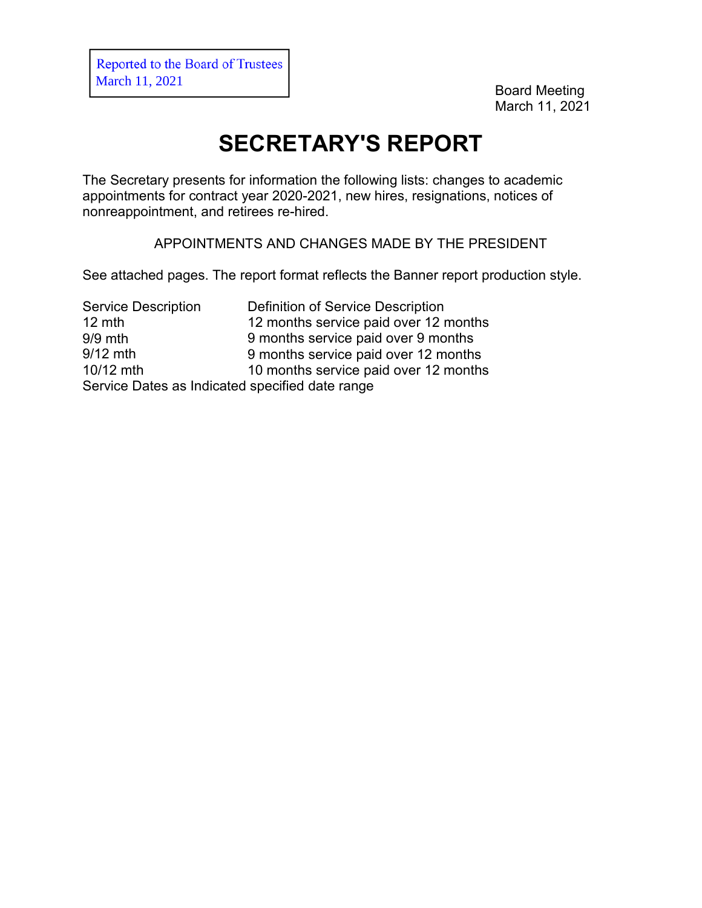Reported to the Board of Trustees March 11, 2021

Board Meeting March 11, 2021

## **SECRETARY'S REPORT**

The Secretary presents for information the following lists: changes to academic appointments for contract year 2020-2021, new hires, resignations, notices of nonreappointment, and retirees re-hired.

APPOINTMENTS AND CHANGES MADE BY THE PRESIDENT

See attached pages. The report format reflects the Banner report production style.

Service Description 12 mth 9/9 mth 9/12 mth 10/12 mth Definition of Service Description 12 months service paid over 12 months 9 months service paid over 9 months 9 months service paid over 12 months 10 months service paid over 12 months Service Dates as Indicated specified date range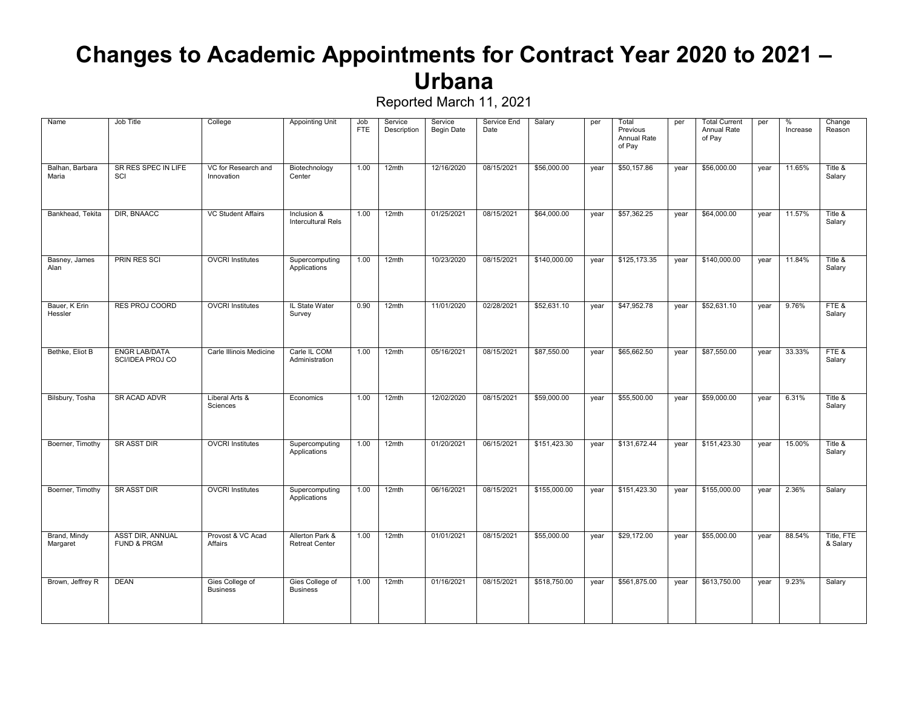### **Changes to Academic Appointments for Contract Year 2020 to 2021 – Urbana**

| Name                     | Job Title                                         | College                            | Appointing Unit                          | Job<br><b>FTE</b> | Service<br>Description | Service<br><b>Begin Date</b> | Service End<br>Date | Salary       | per  | Total<br>Previous<br>Annual Rate<br>of Pay | per  | <b>Total Current</b><br>Annual Rate<br>of Pay | per  | %<br>Increase | Change<br>Reason       |
|--------------------------|---------------------------------------------------|------------------------------------|------------------------------------------|-------------------|------------------------|------------------------------|---------------------|--------------|------|--------------------------------------------|------|-----------------------------------------------|------|---------------|------------------------|
| Balhan, Barbara<br>Maria | SR RES SPEC IN LIFE<br>SCI                        | VC for Research and<br>Innovation  | Biotechnology<br>Center                  | 1.00              | 12mth                  | 12/16/2020                   | 08/15/2021          | \$56,000.00  | year | \$50,157.86                                | year | \$56,000.00                                   | year | 11.65%        | Title &<br>Salary      |
| Bankhead, Tekita         | DIR, BNAACC                                       | <b>VC Student Affairs</b>          | Inclusion &<br><b>Intercultural Rels</b> | 1.00              | 12mth                  | 01/25/2021                   | 08/15/2021          | \$64,000.00  | year | \$57,362.25                                | year | \$64,000.00                                   | year | 11.57%        | Title &<br>Salary      |
| Basney, James<br>Alan    | <b>PRIN RES SCI</b>                               | <b>OVCRI Institutes</b>            | Supercomputing<br>Applications           | 1.00              | 12mth                  | 10/23/2020                   | 08/15/2021          | \$140,000.00 | year | \$125,173.35                               | year | \$140,000.00                                  | year | 11.84%        | Title &<br>Salary      |
| Bauer, K Erin<br>Hessler | <b>RES PROJ COORD</b>                             | <b>OVCRI</b> Institutes            | IL State Water<br>Survey                 | 0.90              | 12mth                  | 11/01/2020                   | 02/28/2021          | \$52,631.10  | year | \$47,952.78                                | year | \$52,631.10                                   | year | 9.76%         | FTE&<br>Salary         |
| Bethke, Eliot B          | ENGR LAB/DATA<br>SCI/IDEA PROJ CO                 | Carle Illinois Medicine            | Carle IL COM<br>Administration           | 1.00              | 12mth                  | 05/16/2021                   | 08/15/2021          | \$87,550.00  | year | \$65,662.50                                | year | \$87,550.00                                   | year | 33.33%        | FTE&<br>Salary         |
| Bilsbury, Tosha          | <b>SR ACAD ADVR</b>                               | Liberal Arts &<br>Sciences         | Economics                                | 1.00              | 12mth                  | 12/02/2020                   | 08/15/2021          | \$59,000.00  | year | \$55,500.00                                | year | \$59,000.00                                   | year | 6.31%         | Title &<br>Salary      |
| Boerner, Timothy         | <b>SR ASST DIR</b>                                | <b>OVCRI</b> Institutes            | Supercomputing<br>Applications           | 1.00              | 12mth                  | 01/20/2021                   | 06/15/2021          | \$151,423.30 | year | \$131,672.44                               | year | \$151,423.30                                  | year | 15.00%        | Title &<br>Salary      |
| Boerner, Timothy         | <b>SR ASST DIR</b>                                | <b>OVCRI</b> Institutes            | Supercomputing<br>Applications           | 1.00              | 12mth                  | 06/16/2021                   | 08/15/2021          | \$155,000.00 | year | \$151,423.30                               | year | \$155,000.00                                  | year | 2.36%         | Salary                 |
| Brand, Mindy<br>Margaret | <b>ASST DIR. ANNUAL</b><br><b>FUND &amp; PRGM</b> | Provost & VC Acad<br>Affairs       | Allerton Park &<br><b>Retreat Center</b> | 1.00              | 12mth                  | 01/01/2021                   | 08/15/2021          | \$55,000.00  | year | \$29,172.00                                | year | \$55,000.00                                   | year | 88.54%        | Title, FTE<br>& Salary |
| Brown, Jeffrey R         | <b>DEAN</b>                                       | Gies College of<br><b>Business</b> | Gies College of<br><b>Business</b>       | 1.00              | 12mth                  | 01/16/2021                   | 08/15/2021          | \$518,750.00 | year | \$561,875.00                               | year | \$613,750.00                                  | year | 9.23%         | Salary                 |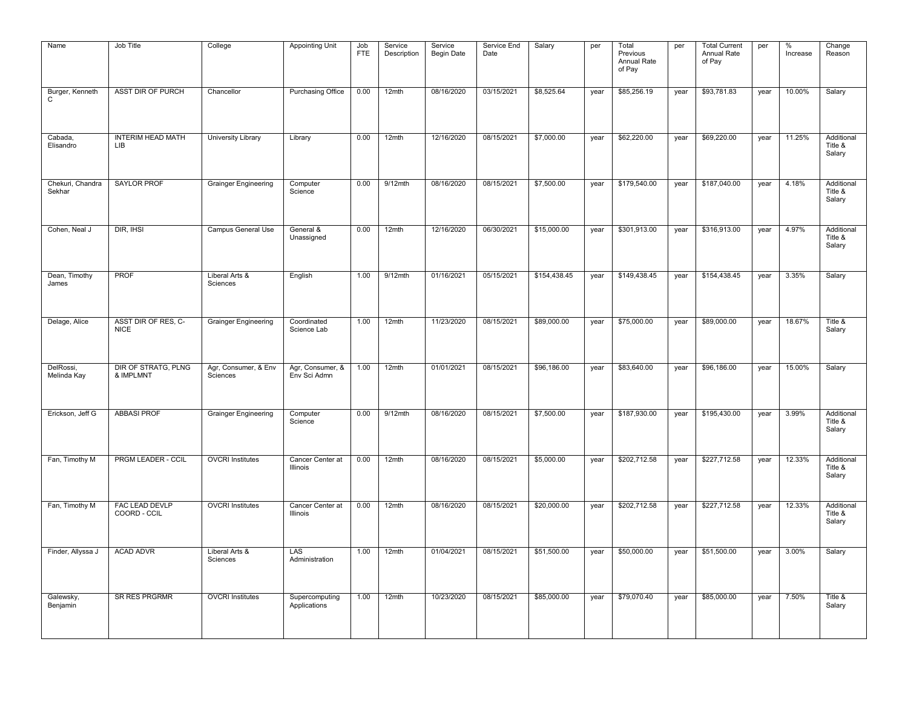| Name                       | Job Title                          | College                          | <b>Appointing Unit</b>           | Job<br><b>FTE</b> | Service<br>Description | Service<br><b>Begin Date</b> | Service End<br>Date | Salary       | per  | Total<br>Previous<br>Annual Rate<br>of Pay | per  | <b>Total Current</b><br>Annual Rate<br>of Pay | per  | %<br>Increase | Change<br>Reason                |
|----------------------------|------------------------------------|----------------------------------|----------------------------------|-------------------|------------------------|------------------------------|---------------------|--------------|------|--------------------------------------------|------|-----------------------------------------------|------|---------------|---------------------------------|
| Burger, Kenneth<br>C       | ASST DIR OF PURCH                  | Chancellor                       | <b>Purchasing Office</b>         | 0.00              | 12mth                  | 08/16/2020                   | 03/15/2021          | \$8,525.64   | year | \$85,256.19                                | year | \$93,781.83                                   | year | 10.00%        | Salary                          |
| Cabada,<br>Elisandro       | <b>INTERIM HEAD MATH</b><br>LIB.   | University Library               | Library                          | 0.00              | 12mth                  | 12/16/2020                   | 08/15/2021          | \$7,000.00   | year | \$62,220.00                                | year | \$69,220.00                                   | year | 11.25%        | Additional<br>Title &<br>Salary |
| Chekuri, Chandra<br>Sekhar | <b>SAYLOR PROF</b>                 | <b>Grainger Engineering</b>      | Computer<br>Science              | 0.00              | $9/12$ mth             | 08/16/2020                   | 08/15/2021          | \$7,500.00   | year | \$179,540.00                               | year | \$187,040.00                                  | year | 4.18%         | Additional<br>Title &<br>Salary |
| Cohen, Neal J              | DIR, IHSI                          | Campus General Use               | General &<br>Unassigned          | 0.00              | 12mth                  | 12/16/2020                   | 06/30/2021          | \$15,000.00  | year | \$301,913.00                               | year | \$316,913.00                                  | year | 4.97%         | Additional<br>Title &<br>Salary |
| Dean, Timothy<br>James     | PROF                               | Liberal Arts &<br>Sciences       | English                          | 1.00              | 9/12mth                | 01/16/2021                   | 05/15/2021          | \$154,438.45 | year | \$149,438.45                               | year | \$154,438.45                                  | year | 3.35%         | Salary                          |
| Delage, Alice              | ASST DIR OF RES, C-<br><b>NICE</b> | <b>Grainger Engineering</b>      | Coordinated<br>Science Lab       | 1.00              | 12mth                  | 11/23/2020                   | 08/15/2021          | \$89,000.00  | year | \$75,000.00                                | year | \$89,000.00                                   | year | 18.67%        | Title &<br>Salary               |
| DelRossi,<br>Melinda Kay   | DIR OF STRATG, PLNG<br>& IMPLMNT   | Agr, Consumer, & Env<br>Sciences | Agr, Consumer, &<br>Env Sci Admn | 1.00              | 12mth                  | 01/01/2021                   | 08/15/2021          | \$96,186.00  | year | \$83,640.00                                | year | \$96,186.00                                   | year | 15.00%        | Salary                          |
| Erickson, Jeff G           | <b>ABBASI PROF</b>                 | <b>Grainger Engineering</b>      | Computer<br>Science              | 0.00              | 9/12mth                | 08/16/2020                   | 08/15/2021          | \$7,500.00   | year | \$187,930.00                               | year | \$195,430.00                                  | year | 3.99%         | Additional<br>Title &<br>Salary |
| Fan, Timothy M             | PRGM LEADER - CCIL                 | <b>OVCRI Institutes</b>          | Cancer Center at<br>Illinois     | 0.00              | 12mth                  | 08/16/2020                   | 08/15/2021          | \$5,000.00   | year | \$202,712.58                               | year | \$227,712.58                                  | year | 12.33%        | Additional<br>Title &<br>Salary |
| Fan, Timothy M             | FAC LEAD DEVLP<br>COORD - CCIL     | <b>OVCRI Institutes</b>          | Cancer Center at<br>Illinois     | 0.00              | 12mth                  | 08/16/2020                   | 08/15/2021          | \$20,000.00  | year | \$202,712.58                               | year | \$227,712.58                                  | year | 12.33%        | Additional<br>Title &<br>Salary |
| Finder, Allyssa J          | <b>ACAD ADVR</b>                   | Liberal Arts &<br>Sciences       | LAS<br>Administration            | 1.00              | 12mth                  | 01/04/2021                   | 08/15/2021          | \$51,500.00  | year | \$50,000.00                                | year | \$51,500.00                                   | year | 3.00%         | Salary                          |
| Galewsky,<br>Benjamin      | <b>SR RES PRGRMR</b>               | <b>OVCRI Institutes</b>          | Supercomputing<br>Applications   | 1.00              | 12mth                  | 10/23/2020                   | 08/15/2021          | \$85,000.00  | year | \$79,070.40                                | year | \$85,000.00                                   | year | 7.50%         | Title &<br>Salary               |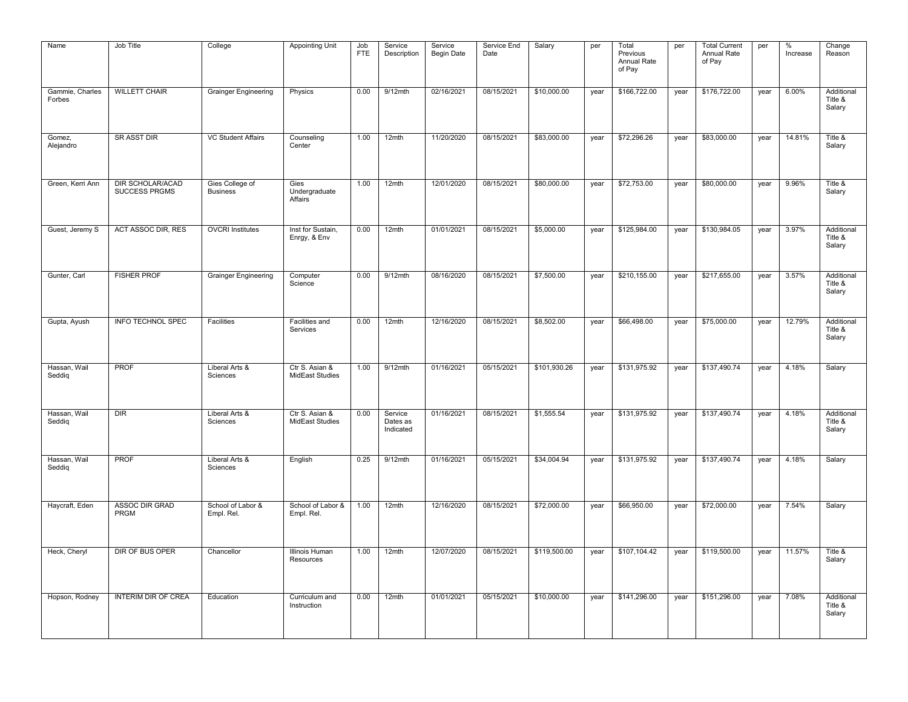| Name                      | Job Title                                       | College                            | <b>Appointing Unit</b>                   | Job<br><b>FTE</b> | Service<br>Description           | Service<br><b>Begin Date</b> | Service End<br>Date | Salary       | per  | Total<br>Previous<br>Annual Rate<br>of Pay | per  | <b>Total Current</b><br>Annual Rate<br>of Pay | per  | $\%$<br>Increase | Change<br>Reason                |
|---------------------------|-------------------------------------------------|------------------------------------|------------------------------------------|-------------------|----------------------------------|------------------------------|---------------------|--------------|------|--------------------------------------------|------|-----------------------------------------------|------|------------------|---------------------------------|
| Gammie, Charles<br>Forbes | <b>WILLETT CHAIR</b>                            | <b>Grainger Engineering</b>        | Physics                                  | 0.00              | $9/12$ mth                       | 02/16/2021                   | 08/15/2021          | \$10,000.00  | year | \$166,722.00                               | year | \$176,722.00                                  | year | 6.00%            | Additional<br>Title &<br>Salary |
| Gomez,<br>Alejandro       | <b>SR ASST DIR</b>                              | <b>VC Student Affairs</b>          | Counseling<br>Center                     | 1.00              | 12mth                            | 11/20/2020                   | 08/15/2021          | \$83,000.00  | year | \$72,296.26                                | year | \$83,000.00                                   | year | 14.81%           | Title &<br>Salary               |
| Green, Kerri Ann          | <b>DIR SCHOLAR/ACAD</b><br><b>SUCCESS PRGMS</b> | Gies College of<br><b>Business</b> | Gies<br>Undergraduate<br>Affairs         | 1.00              | 12mth                            | 12/01/2020                   | 08/15/2021          | \$80,000.00  | year | \$72,753.00                                | year | \$80,000.00                                   | year | 9.96%            | Title &<br>Salary               |
| Guest, Jeremy S           | ACT ASSOC DIR, RES                              | <b>OVCRI Institutes</b>            | Inst for Sustain,<br>Enrgy, & Env        | 0.00              | 12mth                            | 01/01/2021                   | 08/15/2021          | \$5,000.00   | year | \$125,984.00                               | year | \$130,984.05                                  | year | 3.97%            | Additional<br>Title &<br>Salary |
| Gunter, Carl              | <b>FISHER PROF</b>                              | <b>Grainger Engineering</b>        | Computer<br>Science                      | 0.00              | 9/12mth                          | 08/16/2020                   | 08/15/2021          | \$7,500.00   | year | \$210,155.00                               | year | \$217,655.00                                  | year | 3.57%            | Additional<br>Title &<br>Salary |
| Gupta, Ayush              | INFO TECHNOL SPEC                               | Facilities                         | Facilities and<br>Services               | 0.00              | 12mth                            | 12/16/2020                   | 08/15/2021          | \$8,502.00   | year | \$66,498.00                                | year | \$75,000.00                                   | year | 12.79%           | Additional<br>Title &<br>Salary |
| Hassan, Wail<br>Seddig    | <b>PROF</b>                                     | Liberal Arts &<br>Sciences         | Ctr S. Asian &<br><b>MidEast Studies</b> | 1.00              | $9/12$ mth                       | 01/16/2021                   | 05/15/2021          | \$101,930.26 | year | \$131,975.92                               | year | \$137,490.74                                  | year | 4.18%            | Salary                          |
| Hassan, Wail<br>Seddig    | DIR                                             | Liberal Arts &<br>Sciences         | Ctr S. Asian &<br><b>MidEast Studies</b> | 0.00              | Service<br>Dates as<br>Indicated | 01/16/2021                   | 08/15/2021          | \$1,555.54   | year | \$131,975.92                               | year | \$137,490.74                                  | year | 4.18%            | Additional<br>Title &<br>Salary |
| Hassan, Wail<br>Seddig    | <b>PROF</b>                                     | Liberal Arts &<br>Sciences         | English                                  | 0.25              | $9/12$ mth                       | 01/16/2021                   | 05/15/2021          | \$34,004.94  | year | \$131,975.92                               | year | \$137,490.74                                  | year | 4.18%            | Salary                          |
| Haycraft, Eden            | <b>ASSOC DIR GRAD</b><br>PRGM                   | School of Labor &<br>Empl. Rel.    | School of Labor &<br>Empl. Rel.          | 1.00              | 12mth                            | 12/16/2020                   | 08/15/2021          | \$72,000.00  | year | \$66,950.00                                | year | \$72,000.00                                   | year | 7.54%            | Salary                          |
| Heck, Cheryl              | DIR OF BUS OPER                                 | Chancellor                         | <b>Illinois Human</b><br>Resources       | 1.00              | 12mth                            | 12/07/2020                   | 08/15/2021          | \$119,500.00 | year | \$107,104.42                               | year | \$119,500.00                                  | year | 11.57%           | Title &<br>Salary               |
| Hopson, Rodney            | <b>INTERIM DIR OF CREA</b>                      | Education                          | Curriculum and<br>Instruction            | 0.00              | 12mth                            | 01/01/2021                   | 05/15/2021          | \$10,000.00  | year | \$141,296.00                               | year | \$151,296.00                                  | year | 7.08%            | Additional<br>Title &<br>Salary |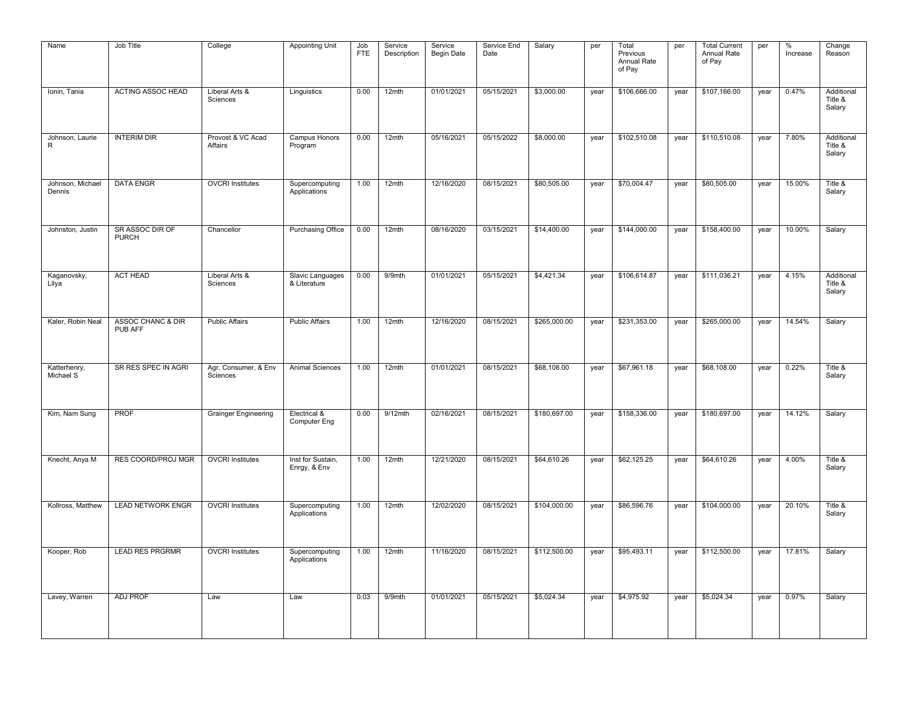| Name                       | Job Title                       | College                          | <b>Appointing Unit</b>              | Job<br><b>FTE</b> | Service<br>Description | Service<br>Begin Date | Service End<br>Date | Salary       | per  | Total<br>Previous<br>Annual Rate<br>of Pay | per  | <b>Total Current</b><br>Annual Rate<br>of Pay | per  | %<br>Increase | Change<br>Reason                |
|----------------------------|---------------------------------|----------------------------------|-------------------------------------|-------------------|------------------------|-----------------------|---------------------|--------------|------|--------------------------------------------|------|-----------------------------------------------|------|---------------|---------------------------------|
| Ionin, Tania               | <b>ACTING ASSOC HEAD</b>        | Liberal Arts &<br>Sciences       | Linguistics                         | 0.00              | 12mth                  | 01/01/2021            | 05/15/2021          | \$3,000.00   | year | \$106,666.00                               | year | \$107,166.00                                  | year | 0.47%         | Additional<br>Title &<br>Salary |
| Johnson, Laurie<br>R       | <b>INTERIM DIR</b>              | Provost & VC Acad<br>Affairs     | Campus Honors<br>Program            | 0.00              | 12mth                  | 05/16/2021            | 05/15/2022          | \$8,000.00   | year | \$102,510.08                               | year | \$110,510.08                                  | year | 7.80%         | Additional<br>Title &<br>Salary |
| Johnson, Michael<br>Dennis | <b>DATA ENGR</b>                | <b>OVCRI</b> Institutes          | Supercomputing<br>Applications      | 1.00              | 12mth                  | 12/16/2020            | 08/15/2021          | \$80,505.00  | year | \$70,004.47                                | year | \$80,505.00                                   | year | 15.00%        | Title &<br>Salary               |
| Johnston, Justin           | SR ASSOC DIR OF<br><b>PURCH</b> | Chancellor                       | <b>Purchasing Office</b>            | 0.00              | 12mth                  | 08/16/2020            | 03/15/2021          | \$14,400.00  | year | \$144,000.00                               | year | \$158,400.00                                  | year | 10.00%        | Salary                          |
| Kaganovsky,<br>Lilya       | <b>ACT HEAD</b>                 | Liberal Arts &<br>Sciences       | Slavic Languages<br>& Literature    | 0.00              | 9/9mth                 | 01/01/2021            | 05/15/2021          | \$4,421.34   | year | \$106,614.87                               | year | \$111,036.21                                  | year | 4.15%         | Additional<br>Title &<br>Salary |
| Kaler, Robin Neal          | ASSOC CHANC & DIR<br>PUB AFF    | <b>Public Affairs</b>            | <b>Public Affairs</b>               | 1.00              | 12mth                  | 12/16/2020            | 08/15/2021          | \$265,000.00 | year | \$231,353.00                               | year | \$265,000.00                                  | year | 14.54%        | Salary                          |
| Katterhenry,<br>Michael S  | SR RES SPEC IN AGRI             | Agr, Consumer, & Env<br>Sciences | <b>Animal Sciences</b>              | 1.00              | 12mth                  | 01/01/2021            | 08/15/2021          | \$68,108.00  | year | \$67,961.18                                | year | \$68,108.00                                   | year | 0.22%         | Title &<br>Salary               |
| Kim, Nam Sung              | <b>PROF</b>                     | <b>Grainger Engineering</b>      | Electrical &<br><b>Computer Eng</b> | 0.00              | $9/12$ mth             | 02/16/2021            | 08/15/2021          | \$180,697.00 | year | \$158,336.00                               | year | \$180,697.00                                  | year | 14.12%        | Salary                          |
| Knecht, Anya M             | RES COORD/PROJ MGR              | <b>OVCRI</b> Institutes          | Inst for Sustain,<br>Enrgy, & Env   | 1.00              | 12mth                  | 12/21/2020            | 08/15/2021          | \$64,610.26  | year | \$62,125.25                                | year | \$64,610.26                                   | year | 4.00%         | Title &<br>Salary               |
| Kollross, Matthew          | <b>LEAD NETWORK ENGR</b>        | <b>OVCRI</b> Institutes          | Supercomputing<br>Applications      | 1.00              | 12mth                  | 12/02/2020            | 08/15/2021          | \$104,000.00 | year | \$86,596.76                                | year | \$104,000.00                                  | year | 20.10%        | Title &<br>Salary               |
| Kooper, Rob                | <b>LEAD RES PRGRMR</b>          | <b>OVCRI</b> Institutes          | Supercomputing<br>Applications      | 1.00              | 12mth                  | 11/16/2020            | 08/15/2021          | \$112,500.00 | year | \$95,493.11                                | year | \$112,500.00                                  | year | 17.81%        | Salary                          |
| Lavey, Warren              | <b>ADJ PROF</b>                 | Law                              | Law                                 | 0.03              | 9/9mth                 | 01/01/2021            | 05/15/2021          | \$5,024.34   | year | \$4,975.92                                 | year | \$5,024.34                                    | year | 0.97%         | Salary                          |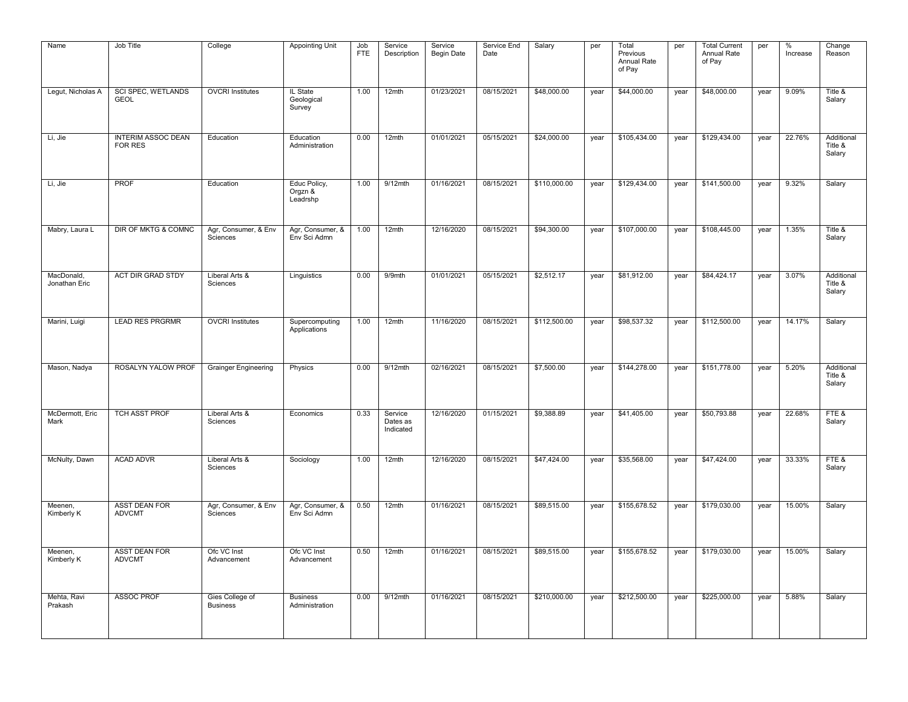| Name                        | Job Title                                | College                            | <b>Appointing Unit</b>              | Job<br><b>FTE</b> | Service<br>Description           | Service<br><b>Begin Date</b> | Service End<br>Date | Salary       | per  | Total<br>Previous<br>Annual Rate<br>of Pay | per  | <b>Total Current</b><br>Annual Rate<br>of Pay | per  | %<br>Increase | Change<br>Reason                |
|-----------------------------|------------------------------------------|------------------------------------|-------------------------------------|-------------------|----------------------------------|------------------------------|---------------------|--------------|------|--------------------------------------------|------|-----------------------------------------------|------|---------------|---------------------------------|
| Legut, Nicholas A           | <b>SCI SPEC, WETLANDS</b><br><b>GEOL</b> | <b>OVCRI</b> Institutes            | IL State<br>Geological<br>Survey    | 1.00              | 12mth                            | 01/23/2021                   | 08/15/2021          | \$48,000.00  | year | \$44,000.00                                | year | \$48,000.00                                   | year | 9.09%         | Title &<br>Salary               |
| Li, Jie                     | <b>INTERIM ASSOC DEAN</b><br>FOR RES     | Education                          | Education<br>Administration         | 0.00              | 12mth                            | 01/01/2021                   | 05/15/2021          | \$24,000.00  | year | \$105,434.00                               | year | \$129,434.00                                  | year | 22.76%        | Additional<br>Title &<br>Salary |
| Li, Jie                     | <b>PROF</b>                              | Education                          | Educ Policy,<br>Orgzn &<br>Leadrshp | 1.00              | $9/12$ mth                       | 01/16/2021                   | 08/15/2021          | \$110,000.00 | year | \$129,434.00                               | year | \$141,500.00                                  | year | 9.32%         | Salary                          |
| Mabry, Laura L              | DIR OF MKTG & COMNC                      | Agr, Consumer, & Env<br>Sciences   | Agr, Consumer, &<br>Env Sci Admn    | 1.00              | 12mth                            | 12/16/2020                   | 08/15/2021          | \$94,300.00  | year | \$107,000.00                               | year | \$108,445.00                                  | year | 1.35%         | Title &<br>Salary               |
| MacDonald,<br>Jonathan Eric | <b>ACT DIR GRAD STDY</b>                 | Liberal Arts &<br>Sciences         | Linguistics                         | 0.00              | 9/9mth                           | 01/01/2021                   | 05/15/2021          | \$2,512.17   | year | \$81,912.00                                | year | \$84,424.17                                   | year | 3.07%         | Additional<br>Title &<br>Salary |
| Marini, Luigi               | <b>LEAD RES PRGRMR</b>                   | <b>OVCRI</b> Institutes            | Supercomputing<br>Applications      | 1.00              | 12mth                            | 11/16/2020                   | 08/15/2021          | \$112,500.00 | year | \$98,537.32                                | year | \$112,500.00                                  | year | 14.17%        | Salary                          |
| Mason, Nadya                | ROSALYN YALOW PROF                       | <b>Grainger Engineering</b>        | Physics                             | 0.00              | $9/12$ mth                       | 02/16/2021                   | 08/15/2021          | \$7,500.00   | year | \$144,278.00                               | year | \$151,778.00                                  | year | 5.20%         | Additional<br>Title &<br>Salary |
| McDermott, Eric<br>Mark     | TCH ASST PROF                            | Liberal Arts &<br>Sciences         | Economics                           | 0.33              | Service<br>Dates as<br>Indicated | 12/16/2020                   | 01/15/2021          | \$9,388.89   | year | \$41,405.00                                | year | \$50,793.88                                   | year | 22.68%        | FTE&<br>Salary                  |
| McNulty, Dawn               | <b>ACAD ADVR</b>                         | Liberal Arts &<br>Sciences         | Sociology                           | 1.00              | 12mth                            | 12/16/2020                   | 08/15/2021          | \$47,424.00  | year | \$35,568.00                                | year | \$47,424.00                                   | year | 33.33%        | FTE&<br>Salary                  |
| Meenen,<br>Kimberly K       | <b>ASST DEAN FOR</b><br><b>ADVCMT</b>    | Agr, Consumer, & Env<br>Sciences   | Agr, Consumer, &<br>Env Sci Admn    | 0.50              | 12mth                            | 01/16/2021                   | 08/15/2021          | \$89,515.00  | year | \$155,678.52                               | year | \$179,030.00                                  | year | 15.00%        | Salary                          |
| Meenen,<br>Kimberly K       | <b>ASST DEAN FOR</b><br><b>ADVCMT</b>    | Ofc VC Inst<br>Advancement         | Ofc VC Inst<br>Advancement          | 0.50              | 12mth                            | 01/16/2021                   | 08/15/2021          | \$89,515.00  | year | \$155,678.52                               | year | \$179,030.00                                  | year | 15.00%        | Salary                          |
| Mehta, Ravi<br>Prakash      | <b>ASSOC PROF</b>                        | Gies College of<br><b>Business</b> | <b>Business</b><br>Administration   | 0.00              | $9/12$ mth                       | 01/16/2021                   | 08/15/2021          | \$210,000.00 | year | \$212,500.00                               | year | \$225,000.00                                  | year | 5.88%         | Salary                          |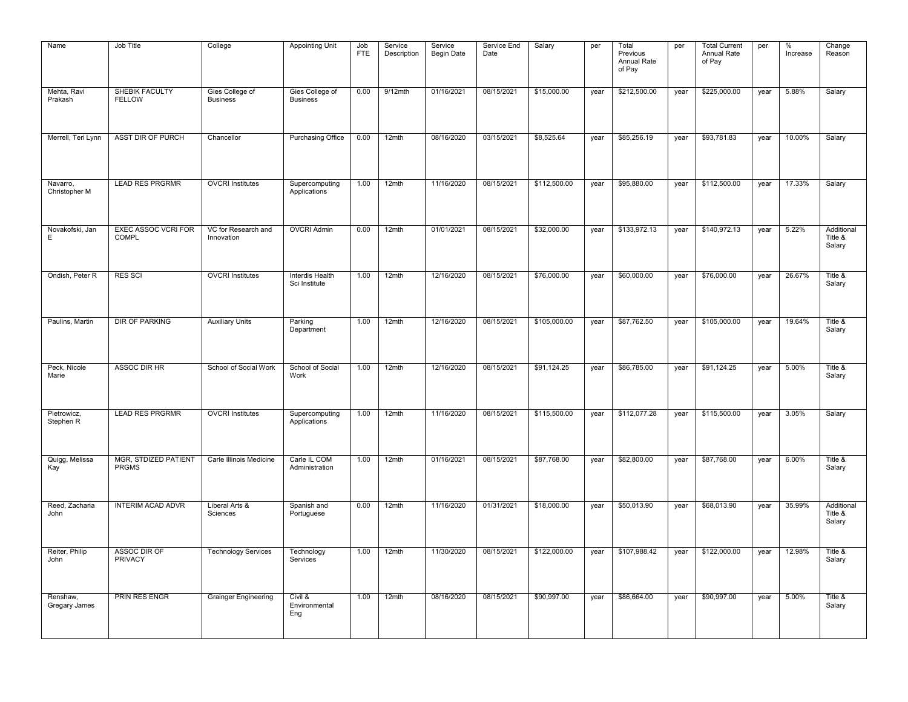| Name                      | Job Title                                   | College                            | <b>Appointing Unit</b>             | Job<br><b>FTE</b> | Service<br>Description | Service<br><b>Begin Date</b> | Service End<br>Date | Salary       | per  | Total<br>Previous<br>Annual Rate<br>of Pay | per  | <b>Total Current</b><br>Annual Rate<br>of Pay | per  | %<br>Increase | Change<br>Reason                |
|---------------------------|---------------------------------------------|------------------------------------|------------------------------------|-------------------|------------------------|------------------------------|---------------------|--------------|------|--------------------------------------------|------|-----------------------------------------------|------|---------------|---------------------------------|
| Mehta, Ravi<br>Prakash    | SHEBIK FACULTY<br><b>FELLOW</b>             | Gies College of<br><b>Business</b> | Gies College of<br><b>Business</b> | 0.00              | $9/12$ mth             | 01/16/2021                   | 08/15/2021          | \$15,000.00  | year | \$212,500.00                               | year | \$225,000.00                                  | year | 5.88%         | Salary                          |
| Merrell, Teri Lynn        | ASST DIR OF PURCH                           | Chancellor                         | <b>Purchasing Office</b>           | 0.00              | 12mth                  | 08/16/2020                   | 03/15/2021          | \$8,525.64   | year | \$85,256.19                                | year | \$93,781.83                                   | year | 10.00%        | Salary                          |
| Navarro,<br>Christopher M | <b>LEAD RES PRGRMR</b>                      | <b>OVCRI</b> Institutes            | Supercomputing<br>Applications     | 1.00              | 12mth                  | 11/16/2020                   | 08/15/2021          | \$112,500.00 | year | \$95,880.00                                | year | \$112,500.00                                  | year | 17.33%        | Salary                          |
| Novakofski, Jan<br>E      | <b>EXEC ASSOC VCRI FOR</b><br><b>COMPL</b>  | VC for Research and<br>Innovation  | <b>OVCRI Admin</b>                 | 0.00              | 12mth                  | 01/01/2021                   | 08/15/2021          | \$32,000.00  | year | \$133,972.13                               | year | \$140,972.13                                  | year | 5.22%         | Additional<br>Title &<br>Salary |
| Ondish, Peter R           | <b>RES SCI</b>                              | <b>OVCRI</b> Institutes            | Interdis Health<br>Sci Institute   | 1.00              | 12mth                  | 12/16/2020                   | 08/15/2021          | \$76,000.00  | year | \$60,000.00                                | year | \$76,000.00                                   | year | 26.67%        | Title &<br>Salary               |
| Paulins, Martin           | <b>DIR OF PARKING</b>                       | <b>Auxiliary Units</b>             | Parking<br>Department              | 1.00              | 12mth                  | 12/16/2020                   | 08/15/2021          | \$105,000.00 | year | \$87,762.50                                | year | \$105,000.00                                  | year | 19.64%        | Title &<br>Salary               |
| Peck, Nicole<br>Marie     | ASSOC DIR HR                                | School of Social Work              | School of Social<br>Work           | 1.00              | 12mth                  | 12/16/2020                   | 08/15/2021          | \$91,124.25  | year | \$86,785.00                                | year | \$91,124.25                                   | year | 5.00%         | Title &<br>Salary               |
| Pietrowicz,<br>Stephen R  | <b>LEAD RES PRGRMR</b>                      | <b>OVCRI</b> Institutes            | Supercomputing<br>Applications     | 1.00              | 12mth                  | 11/16/2020                   | 08/15/2021          | \$115,500.00 | year | \$112,077.28                               | year | \$115,500.00                                  | year | 3.05%         | Salary                          |
| Quigg, Melissa<br>Kay     | <b>MGR, STDIZED PATIENT</b><br><b>PRGMS</b> | Carle Illinois Medicine            | Carle IL COM<br>Administration     | 1.00              | 12mth                  | 01/16/2021                   | 08/15/2021          | \$87,768.00  | year | \$82,800.00                                | year | \$87,768.00                                   | year | 6.00%         | Title &<br>Salary               |
| Reed, Zacharia<br>John    | <b>INTERIM ACAD ADVR</b>                    | Liberal Arts &<br>Sciences         | Spanish and<br>Portuguese          | 0.00              | 12mth                  | 11/16/2020                   | 01/31/2021          | \$18,000.00  | year | \$50,013.90                                | year | \$68,013.90                                   | year | 35.99%        | Additional<br>Title &<br>Salary |
| Reiter, Philip<br>John    | ASSOC DIR OF<br>PRIVACY                     | <b>Technology Services</b>         | Technology<br>Services             | 1.00              | 12mth                  | 11/30/2020                   | 08/15/2021          | \$122,000.00 | year | \$107,988.42                               | year | \$122,000.00                                  | year | 12.98%        | Title &<br>Salary               |
| Renshaw,<br>Gregary James | <b>PRIN RES ENGR</b>                        | <b>Grainger Engineering</b>        | Civil &<br>Environmental<br>Eng    | 1.00              | 12mth                  | 08/16/2020                   | 08/15/2021          | \$90,997.00  | year | \$86,664.00                                | year | \$90,997.00                                   | year | 5.00%         | Title &<br>Salary               |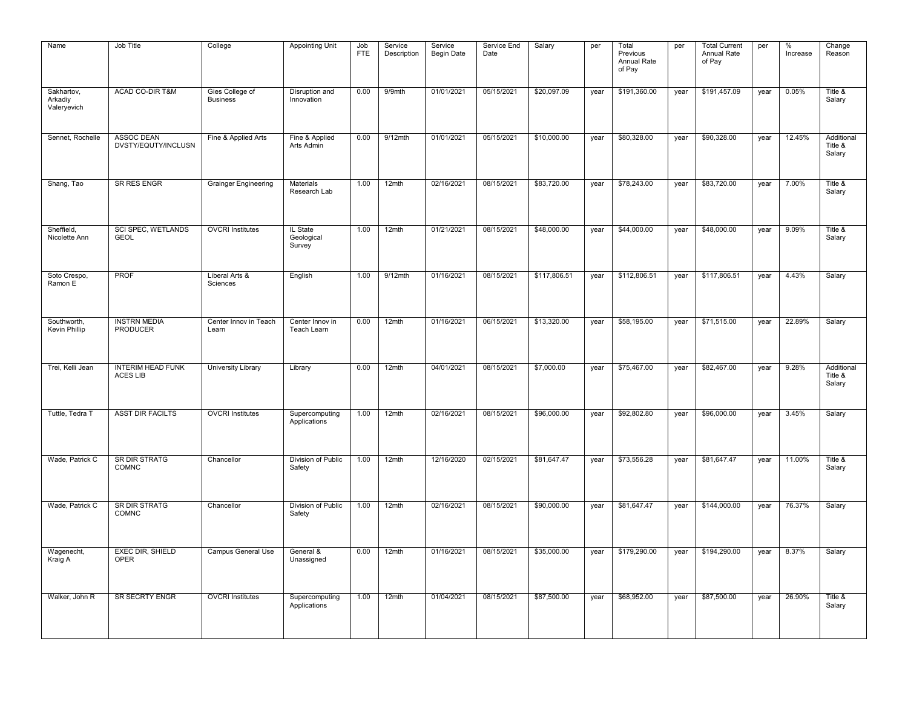| Name                                 | Job Title                                   | College                            | <b>Appointing Unit</b>           | Job<br><b>FTE</b> | Service<br>Description | Service<br><b>Begin Date</b> | Service End<br>Date | Salary       | per  | Total<br>Previous<br>Annual Rate<br>of Pay | per  | <b>Total Current</b><br>Annual Rate<br>of Pay | per  | %<br>Increase | Change<br>Reason                |
|--------------------------------------|---------------------------------------------|------------------------------------|----------------------------------|-------------------|------------------------|------------------------------|---------------------|--------------|------|--------------------------------------------|------|-----------------------------------------------|------|---------------|---------------------------------|
| Sakhartov,<br>Arkadiy<br>Valeryevich | ACAD CO-DIR T&M                             | Gies College of<br><b>Business</b> | Disruption and<br>Innovation     | 0.00              | 9/9mth                 | 01/01/2021                   | 05/15/2021          | \$20,097.09  | year | \$191,360.00                               | year | \$191,457.09                                  | year | 0.05%         | Title &<br>Salary               |
| Sennet, Rochelle                     | ASSOC DEAN<br>DVSTY/EQUTY/INCLUSN           | Fine & Applied Arts                | Fine & Applied<br>Arts Admin     | 0.00              | 9/12mth                | 01/01/2021                   | 05/15/2021          | \$10,000.00  | year | \$80,328.00                                | year | \$90,328.00                                   | year | 12.45%        | Additional<br>Title &<br>Salary |
| Shang, Tao                           | <b>SR RES ENGR</b>                          | <b>Grainger Engineering</b>        | Materials<br>Research Lab        | 1.00              | 12mth                  | 02/16/2021                   | 08/15/2021          | \$83,720.00  | year | \$78,243.00                                | year | \$83,720.00                                   | year | 7.00%         | Title &<br>Salary               |
| Sheffield,<br>Nicolette Ann          | <b>SCI SPEC, WETLANDS</b><br><b>GEOL</b>    | <b>OVCRI</b> Institutes            | IL State<br>Geological<br>Survey | 1.00              | 12mth                  | 01/21/2021                   | 08/15/2021          | \$48,000.00  | year | \$44,000.00                                | year | \$48,000.00                                   | year | 9.09%         | Title &<br>Salary               |
| Soto Crespo,<br>Ramon E              | <b>PROF</b>                                 | Liberal Arts &<br>Sciences         | English                          | 1.00              | $9/12$ mth             | 01/16/2021                   | 08/15/2021          | \$117,806.51 | year | \$112,806.51                               | year | \$117,806.51                                  | year | 4.43%         | Salary                          |
| Southworth,<br>Kevin Phillip         | <b>INSTRN MEDIA</b><br><b>PRODUCER</b>      | Center Innov in Teach<br>Learn     | Center Innov in<br>Teach Learn   | 0.00              | 12mth                  | 01/16/2021                   | 06/15/2021          | \$13,320.00  | year | \$58,195.00                                | year | \$71,515.00                                   | year | 22.89%        | Salary                          |
| Trei, Kelli Jean                     | <b>INTERIM HEAD FUNK</b><br><b>ACES LIB</b> | <b>University Library</b>          | Library                          | 0.00              | 12mth                  | 04/01/2021                   | 08/15/2021          | \$7,000.00   | year | \$75,467.00                                | year | \$82,467.00                                   | year | 9.28%         | Additional<br>Title &<br>Salary |
| Tuttle, Tedra T                      | <b>ASST DIR FACILTS</b>                     | <b>OVCRI</b> Institutes            | Supercomputing<br>Applications   | 1.00              | 12mth                  | 02/16/2021                   | 08/15/2021          | \$96,000.00  | year | \$92,802.80                                | year | \$96,000.00                                   | year | 3.45%         | Salary                          |
| Wade, Patrick C                      | <b>SR DIR STRATG</b><br>COMNC               | Chancellor                         | Division of Public<br>Safety     | 1.00              | 12mth                  | 12/16/2020                   | 02/15/2021          | \$81,647.47  | year | \$73,556.28                                | year | \$81,647.47                                   | year | 11.00%        | Title &<br>Salary               |
| Wade, Patrick C                      | <b>SR DIR STRATG</b><br>COMNC               | Chancellor                         | Division of Public<br>Safety     | 1.00              | 12mth                  | 02/16/2021                   | 08/15/2021          | \$90,000.00  | year | \$81,647.47                                | year | \$144,000.00                                  | year | 76.37%        | Salary                          |
| Wagenecht,<br>Kraig A                | <b>EXEC DIR, SHIELD</b><br>OPER             | Campus General Use                 | General &<br>Unassigned          | 0.00              | 12mth                  | 01/16/2021                   | 08/15/2021          | \$35,000.00  | year | \$179,290.00                               | year | \$194,290.00                                  | year | 8.37%         | Salary                          |
| Walker, John R                       | <b>SR SECRTY ENGR</b>                       | <b>OVCRI</b> Institutes            | Supercomputing<br>Applications   | 1.00              | 12mth                  | 01/04/2021                   | 08/15/2021          | \$87,500.00  | year | \$68,952.00                                | year | \$87,500.00                                   | year | 26.90%        | Title &<br>Salary               |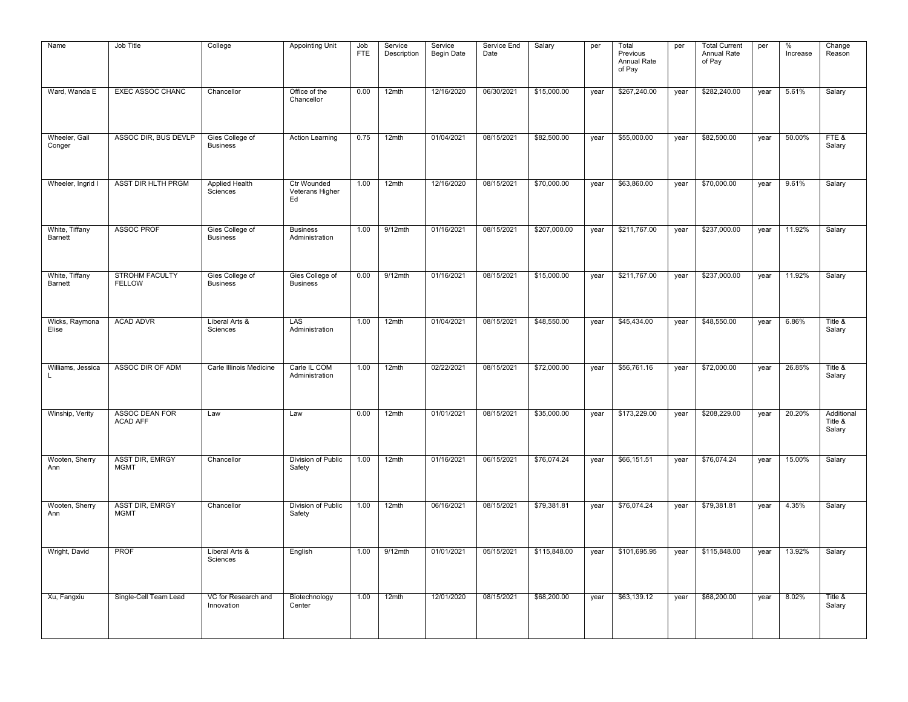| Name                      | Job Title                             | College                            | <b>Appointing Unit</b>                      | Job<br><b>FTE</b> | Service<br>Description | Service<br><b>Begin Date</b> | Service End<br>Date | Salary       | per  | Total<br>Previous<br>Annual Rate<br>of Pay | per  | <b>Total Current</b><br>Annual Rate<br>of Pay | per  | %<br>Increase | Change<br>Reason                |
|---------------------------|---------------------------------------|------------------------------------|---------------------------------------------|-------------------|------------------------|------------------------------|---------------------|--------------|------|--------------------------------------------|------|-----------------------------------------------|------|---------------|---------------------------------|
| Ward, Wanda E             | <b>EXEC ASSOC CHANC</b>               | Chancellor                         | Office of the<br>Chancellor                 | 0.00              | 12mth                  | 12/16/2020                   | 06/30/2021          | \$15,000.00  | year | \$267,240.00                               | year | \$282,240.00                                  | year | 5.61%         | Salary                          |
| Wheeler, Gail<br>Conger   | ASSOC DIR, BUS DEVLP                  | Gies College of<br><b>Business</b> | <b>Action Learning</b>                      | 0.75              | 12mth                  | 01/04/2021                   | 08/15/2021          | \$82,500.00  | year | \$55,000.00                                | year | \$82,500.00                                   | year | 50.00%        | FTE&<br>Salary                  |
| Wheeler, Ingrid I         | ASST DIR HLTH PRGM                    | Applied Health<br>Sciences         | <b>Ctr Wounded</b><br>Veterans Higher<br>Ed | 1.00              | 12mth                  | 12/16/2020                   | 08/15/2021          | \$70,000.00  | year | \$63,860.00                                | year | \$70,000.00                                   | year | 9.61%         | Salary                          |
| White, Tiffany<br>Barnett | <b>ASSOC PROF</b>                     | Gies College of<br><b>Business</b> | <b>Business</b><br>Administration           | 1.00              | $9/12$ mth             | 01/16/2021                   | 08/15/2021          | \$207,000.00 | year | \$211,767.00                               | year | \$237,000.00                                  | year | 11.92%        | Salary                          |
| White, Tiffany<br>Barnett | STROHM FACULTY<br><b>FELLOW</b>       | Gies College of<br><b>Business</b> | Gies College of<br><b>Business</b>          | 0.00              | $9/12$ mth             | 01/16/2021                   | 08/15/2021          | \$15,000.00  | year | \$211,767.00                               | year | \$237,000.00                                  | year | 11.92%        | Salary                          |
| Wicks, Raymona<br>Elise   | <b>ACAD ADVR</b>                      | Liberal Arts &<br>Sciences         | LAS<br>Administration                       | 1.00              | 12mth                  | 01/04/2021                   | 08/15/2021          | \$48,550.00  | year | \$45,434.00                                | year | \$48,550.00                                   | year | 6.86%         | Title &<br>Salary               |
| Williams, Jessica<br>L    | ASSOC DIR OF ADM                      | Carle Illinois Medicine            | Carle IL COM<br>Administration              | 1.00              | 12mth                  | 02/22/2021                   | 08/15/2021          | \$72,000.00  | year | \$56,761.16                                | year | \$72,000.00                                   | year | 26.85%        | Title &<br>Salary               |
| Winship, Verity           | ASSOC DEAN FOR<br><b>ACAD AFF</b>     | Law                                | Law                                         | 0.00              | 12mth                  | 01/01/2021                   | 08/15/2021          | \$35,000.00  | year | \$173,229.00                               | year | \$208,229.00                                  | year | 20.20%        | Additional<br>Title &<br>Salary |
| Wooten, Sherry<br>Ann     | <b>ASST DIR, EMRGY</b><br><b>MGMT</b> | Chancellor                         | Division of Public<br>Safety                | 1.00              | 12mth                  | 01/16/2021                   | 06/15/2021          | \$76,074.24  | year | \$66,151.51                                | year | \$76,074.24                                   | year | 15.00%        | Salary                          |
| Wooten, Sherry<br>Ann     | <b>ASST DIR, EMRGY</b><br><b>MGMT</b> | Chancellor                         | Division of Public<br>Safety                | 1.00              | 12mth                  | 06/16/2021                   | 08/15/2021          | \$79,381.81  | year | \$76,074.24                                | year | \$79,381.81                                   | year | 4.35%         | Salary                          |
| Wright, David             | PROF                                  | Liberal Arts &<br>Sciences         | English                                     | 1.00              | $9/12$ mth             | 01/01/2021                   | 05/15/2021          | \$115,848.00 | year | \$101,695.95                               | year | \$115,848.00                                  | year | 13.92%        | Salary                          |
| Xu, Fangxiu               | Single-Cell Team Lead                 | VC for Research and<br>Innovation  | Biotechnology<br>Center                     | 1.00              | 12mth                  | 12/01/2020                   | 08/15/2021          | \$68,200.00  | year | \$63,139.12                                | year | \$68,200.00                                   | year | 8.02%         | Title &<br>Salary               |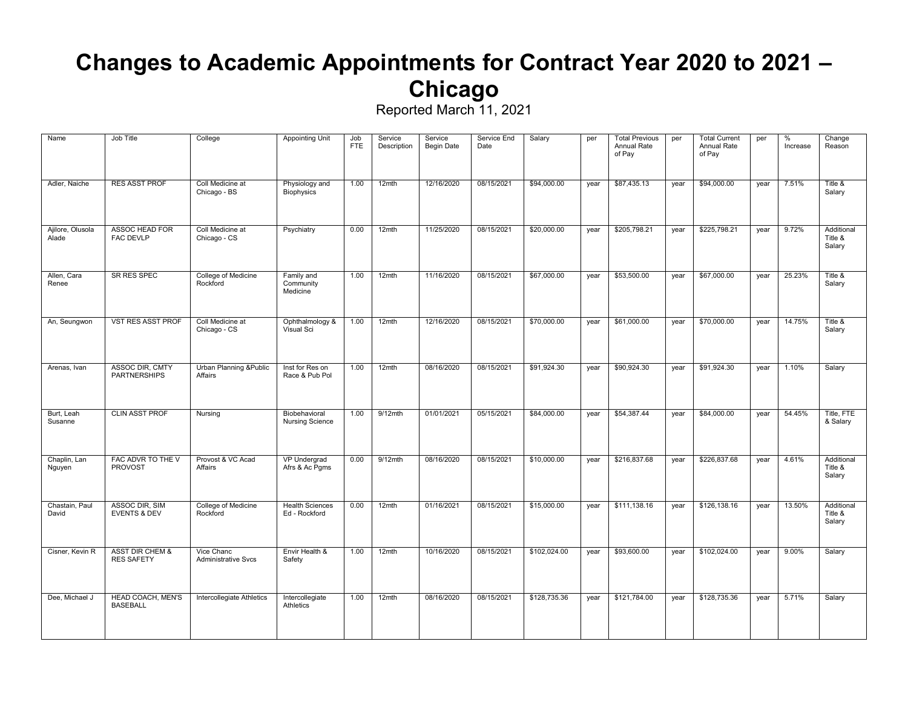## **Changes to Academic Appointments for Contract Year 2020 to 2021 – Chicago**

| Name                      | Job Title                                       | College                                  | <b>Appointing Unit</b>                  | Job<br><b>FTE</b> | Service<br>Description | Service<br><b>Begin Date</b> | Service End<br>Date | Salary       | per  | <b>Total Previous</b><br>Annual Rate<br>of Pay | per  | <b>Total Current</b><br>Annual Rate<br>of Pay | per  | $\%$<br>Increase | Change<br>Reason                |
|---------------------------|-------------------------------------------------|------------------------------------------|-----------------------------------------|-------------------|------------------------|------------------------------|---------------------|--------------|------|------------------------------------------------|------|-----------------------------------------------|------|------------------|---------------------------------|
| Adler, Naiche             | <b>RES ASST PROF</b>                            | Coll Medicine at<br>Chicago - BS         | Physiology and<br><b>Biophysics</b>     | 1.00              | 12mth                  | 12/16/2020                   | 08/15/2021          | \$94,000.00  | year | \$87,435.13                                    | year | \$94,000.00                                   | year | 7.51%            | Title &<br>Salary               |
| Ajilore, Olusola<br>Alade | <b>ASSOC HEAD FOR</b><br><b>FAC DEVLP</b>       | Coll Medicine at<br>Chicago - CS         | Psychiatry                              | 0.00              | 12mth                  | 11/25/2020                   | 08/15/2021          | \$20,000.00  | year | \$205,798.21                                   | year | \$225,798.21                                  | year | 9.72%            | Additional<br>Title &<br>Salary |
| Allen, Cara<br>Renee      | SR RES SPEC                                     | College of Medicine<br>Rockford          | Family and<br>Community<br>Medicine     | 1.00              | 12mth                  | 11/16/2020                   | 08/15/2021          | \$67,000.00  | year | \$53,500.00                                    | year | \$67,000.00                                   | year | 25.23%           | Title &<br>Salary               |
| An, Seungwon              | <b>VST RES ASST PROF</b>                        | Coll Medicine at<br>Chicago - CS         | Ophthalmology &<br>Visual Sci           | 1.00              | 12mth                  | 12/16/2020                   | 08/15/2021          | \$70,000.00  | year | \$61,000.00                                    | year | \$70,000.00                                   | year | 14.75%           | Title &<br>Salary               |
| Arenas, Ivan              | <b>ASSOC DIR. CMTY</b><br><b>PARTNERSHIPS</b>   | Urban Planning & Public<br>Affairs       | Inst for Res on<br>Race & Pub Pol       | 1.00              | 12mth                  | 08/16/2020                   | 08/15/2021          | \$91,924.30  | year | \$90,924.30                                    | year | \$91,924.30                                   | year | 1.10%            | Salary                          |
| Burt, Leah<br>Susanne     | <b>CLIN ASST PROF</b>                           | Nursing                                  | Biobehavioral<br><b>Nursing Science</b> | 1.00              | $9/12$ mth             | 01/01/2021                   | 05/15/2021          | \$84,000.00  | year | \$54,387.44                                    | year | \$84,000.00                                   | year | 54.45%           | Title, FTE<br>& Salary          |
| Chaplin, Lan<br>Nguyen    | FAC ADVR TO THE V<br><b>PROVOST</b>             | Provost & VC Acad<br>Affairs             | <b>VP Undergrad</b><br>Afrs & Ac Pgms   | 0.00              | $9/12$ mth             | 08/16/2020                   | 08/15/2021          | \$10,000.00  | year | \$216,837.68                                   | year | \$226,837.68                                  | year | 4.61%            | Additional<br>Title &<br>Salary |
| Chastain, Paul<br>David   | ASSOC DIR, SIM<br><b>EVENTS &amp; DEV</b>       | College of Medicine<br>Rockford          | <b>Health Sciences</b><br>Ed - Rockford | 0.00              | $12$ mth               | 01/16/2021                   | 08/15/2021          | \$15,000.00  | year | \$111,138.16                                   | year | \$126,138.16                                  | year | 13.50%           | Additional<br>Title &<br>Salary |
| Cisner, Kevin R           | <b>ASST DIR CHEM &amp;</b><br><b>RES SAFETY</b> | Vice Chanc<br><b>Administrative Svcs</b> | Envir Health &<br>Safety                | 1.00              | $12$ mth               | 10/16/2020                   | 08/15/2021          | \$102.024.00 | year | \$93,600.00                                    | year | \$102.024.00                                  | year | 9.00%            | Salary                          |
| Dee, Michael J            | <b>HEAD COACH, MEN'S</b><br><b>BASEBALL</b>     | Intercollegiate Athletics                | Intercollegiate<br>Athletics            | 1.00              | 12mth                  | 08/16/2020                   | 08/15/2021          | \$128,735.36 | year | \$121,784.00                                   | year | \$128,735.36                                  | year | 5.71%            | Salary                          |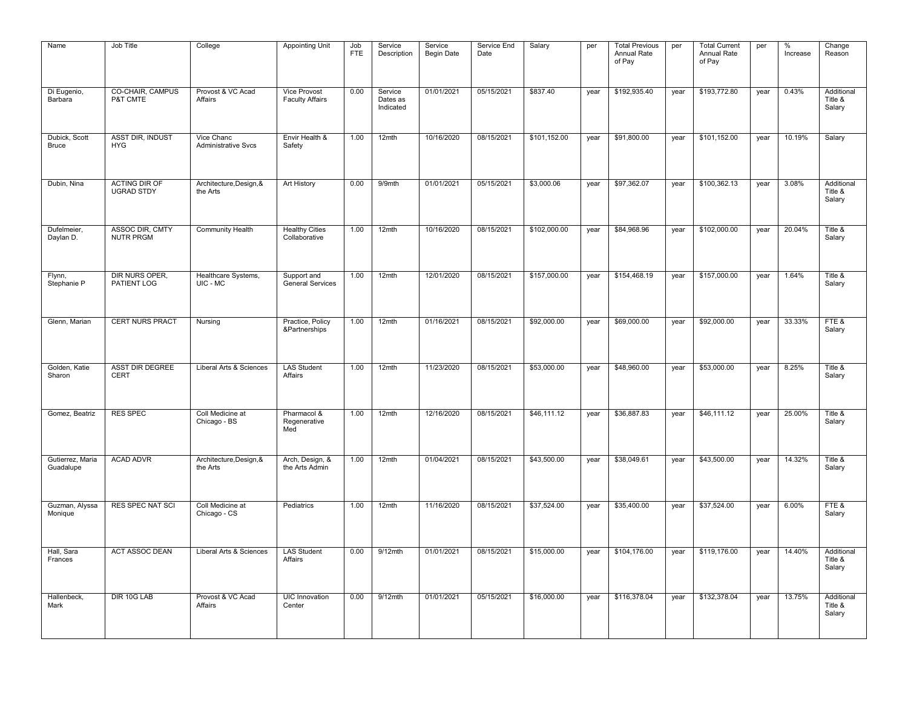| Name                          | Job Title                                 | College                                  | <b>Appointing Unit</b>                        | Job<br><b>FTE</b> | Service<br>Description           | Service<br><b>Begin Date</b> | Service End<br>Date | Salary       | per  | <b>Total Previous</b><br>Annual Rate<br>of Pay | per  | <b>Total Current</b><br>Annual Rate<br>of Pay | per  | $\%$<br>Increase | Change<br>Reason                |
|-------------------------------|-------------------------------------------|------------------------------------------|-----------------------------------------------|-------------------|----------------------------------|------------------------------|---------------------|--------------|------|------------------------------------------------|------|-----------------------------------------------|------|------------------|---------------------------------|
| Di Eugenio,<br>Barbara        | <b>CO-CHAIR, CAMPUS</b><br>P&T CMTE       | Provost & VC Acad<br>Affairs             | <b>Vice Provost</b><br><b>Faculty Affairs</b> | 0.00              | Service<br>Dates as<br>Indicated | 01/01/2021                   | 05/15/2021          | \$837.40     | year | \$192,935.40                                   | year | \$193,772.80                                  | year | 0.43%            | Additional<br>Title &<br>Salary |
| Dubick, Scott<br><b>Bruce</b> | <b>ASST DIR, INDUST</b><br><b>HYG</b>     | Vice Chanc<br><b>Administrative Svcs</b> | Envir Health &<br>Safety                      | 1.00              | 12mth                            | 10/16/2020                   | 08/15/2021          | \$101,152.00 | year | \$91,800.00                                    | year | \$101,152.00                                  | year | 10.19%           | Salary                          |
| Dubin, Nina                   | <b>ACTING DIR OF</b><br><b>UGRAD STDY</b> | Architecture, Design, &<br>the Arts      | Art History                                   | 0.00              | 9/9mth                           | 01/01/2021                   | 05/15/2021          | \$3,000.06   | year | \$97,362.07                                    | year | \$100,362.13                                  | year | 3.08%            | Additional<br>Title &<br>Salary |
| Dufelmeier,<br>Daylan D.      | ASSOC DIR, CMTY<br><b>NUTR PRGM</b>       | <b>Community Health</b>                  | <b>Healthy Cities</b><br>Collaborative        | 1.00              | 12mth                            | 10/16/2020                   | 08/15/2021          | \$102,000.00 | year | \$84,968.96                                    | year | \$102,000.00                                  | year | 20.04%           | Title &<br>Salary               |
| Flynn,<br>Stephanie P         | DIR NURS OPER,<br>PATIENT LOG             | Healthcare Systems,<br>UIC - MC          | Support and<br><b>General Services</b>        | 1.00              | 12mth                            | 12/01/2020                   | 08/15/2021          | \$157,000.00 | year | \$154,468.19                                   | year | \$157,000.00                                  | year | 1.64%            | Title &<br>Salary               |
| Glenn, Marian                 | <b>CERT NURS PRACT</b>                    | Nursing                                  | Practice, Policy<br>&Partnerships             | 1.00              | 12mth                            | 01/16/2021                   | 08/15/2021          | \$92,000.00  | year | \$69,000.00                                    | year | \$92,000.00                                   | year | 33.33%           | FTE&<br>Salary                  |
| Golden, Katie<br>Sharon       | <b>ASST DIR DEGREE</b><br><b>CERT</b>     | Liberal Arts & Sciences                  | <b>LAS Student</b><br>Affairs                 | 1.00              | 12mth                            | 11/23/2020                   | 08/15/2021          | \$53,000.00  | year | \$48,960.00                                    | year | \$53,000.00                                   | year | 8.25%            | Title &<br>Salary               |
| Gomez, Beatriz                | <b>RES SPEC</b>                           | Coll Medicine at<br>Chicago - BS         | Pharmacol &<br>Regenerative<br>Med            | 1.00              | 12mth                            | 12/16/2020                   | 08/15/2021          | \$46,111.12  | year | \$36,887.83                                    | year | \$46,111.12                                   | year | 25.00%           | Title &<br>Salary               |
| Gutierrez, Maria<br>Guadalupe | <b>ACAD ADVR</b>                          | Architecture, Design, &<br>the Arts      | Arch, Design, &<br>the Arts Admin             | 1.00              | 12mth                            | 01/04/2021                   | 08/15/2021          | \$43,500.00  | year | \$38,049.61                                    | year | \$43,500.00                                   | year | 14.32%           | Title &<br>Salary               |
| Guzman, Alyssa<br>Monique     | <b>RES SPEC NAT SCI</b>                   | Coll Medicine at<br>Chicago - CS         | Pediatrics                                    | 1.00              | 12mth                            | 11/16/2020                   | 08/15/2021          | \$37,524.00  | year | \$35,400.00                                    | year | \$37,524.00                                   | year | 6.00%            | FTE&<br>Salary                  |
| Hall, Sara<br>Frances         | <b>ACT ASSOC DEAN</b>                     | Liberal Arts & Sciences                  | <b>LAS Student</b><br>Affairs                 | 0.00              | $9/12$ mth                       | 01/01/2021                   | 08/15/2021          | \$15,000.00  | year | \$104,176.00                                   | year | \$119,176.00                                  | year | 14.40%           | Additional<br>Title &<br>Salary |
| Hallenbeck,<br>Mark           | DIR 10G LAB                               | Provost & VC Acad<br>Affairs             | <b>UIC</b> Innovation<br>Center               | 0.00              | $9/12$ mth                       | 01/01/2021                   | 05/15/2021          | \$16,000.00  | year | \$116,378.04                                   | year | \$132,378.04                                  | year | 13.75%           | Additional<br>Title &<br>Salary |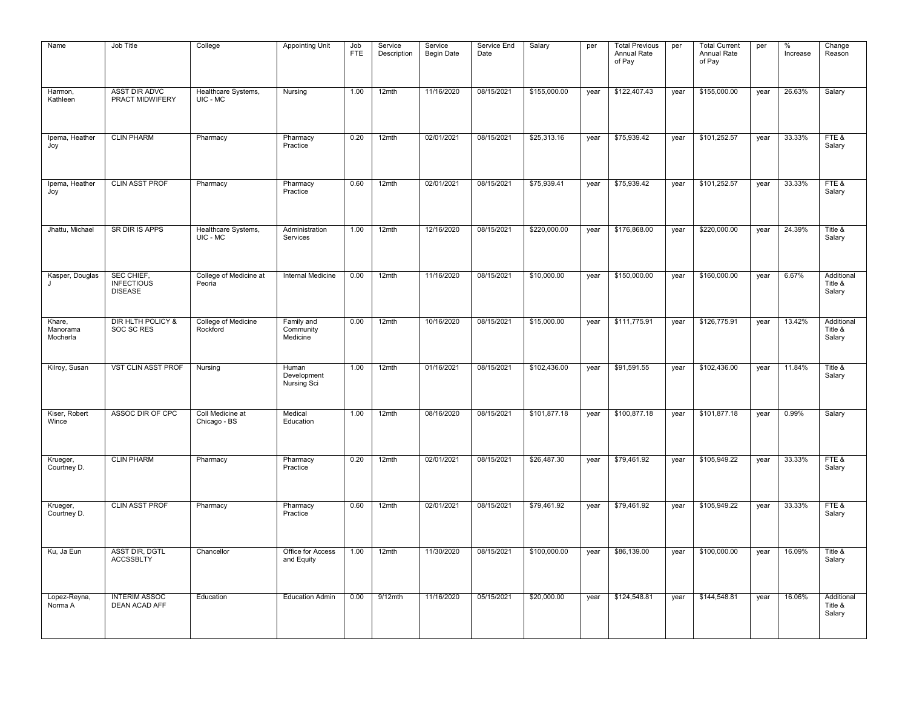| Name                           | Job Title                                         | College                          | <b>Appointing Unit</b>              | Job<br><b>FTE</b> | Service<br>Description | Service<br><b>Begin Date</b> | Service End<br>Date | Salary       | per  | <b>Total Previous</b><br>Annual Rate<br>of Pay | per  | <b>Total Current</b><br>Annual Rate<br>of Pay | per  | $\%$<br>Increase | Change<br>Reason                |
|--------------------------------|---------------------------------------------------|----------------------------------|-------------------------------------|-------------------|------------------------|------------------------------|---------------------|--------------|------|------------------------------------------------|------|-----------------------------------------------|------|------------------|---------------------------------|
| Harmon,<br>Kathleen            | <b>ASST DIR ADVC</b><br>PRACT MIDWIFERY           | Healthcare Systems,<br>UIC - MC  | Nursing                             | 1.00              | 12mth                  | 11/16/2020                   | 08/15/2021          | \$155,000.00 | year | \$122,407.43                                   | year | \$155,000.00                                  | year | 26.63%           | Salary                          |
| Ipema, Heather<br>Joy          | <b>CLIN PHARM</b>                                 | Pharmacy                         | Pharmacy<br>Practice                | 0.20              | 12mth                  | 02/01/2021                   | 08/15/2021          | \$25,313.16  | year | \$75,939.42                                    | year | \$101,252.57                                  | year | 33.33%           | FTE&<br>Salary                  |
| Ipema, Heather<br>Joy          | <b>CLIN ASST PROF</b>                             | Pharmacy                         | Pharmacy<br>Practice                | 0.60              | 12mth                  | 02/01/2021                   | 08/15/2021          | \$75,939.41  | year | \$75,939.42                                    | year | \$101,252.57                                  | year | 33.33%           | FTE&<br>Salary                  |
| Jhattu, Michael                | SR DIR IS APPS                                    | Healthcare Systems,<br>UIC - MC  | Administration<br>Services          | 1.00              | 12mth                  | 12/16/2020                   | 08/15/2021          | \$220,000.00 | year | \$176,868.00                                   | year | \$220,000.00                                  | year | 24.39%           | Title &<br>Salary               |
| Kasper, Douglas<br>$\cdot$     | SEC CHIEF,<br><b>INFECTIOUS</b><br><b>DISEASE</b> | College of Medicine at<br>Peoria | <b>Internal Medicine</b>            | 0.00              | 12mth                  | 11/16/2020                   | 08/15/2021          | \$10,000.00  | year | \$150,000.00                                   | year | \$160,000.00                                  | year | 6.67%            | Additional<br>Title &<br>Salary |
| Khare,<br>Manorama<br>Mocherla | DIR HLTH POLICY &<br>SOC SC RES                   | College of Medicine<br>Rockford  | Family and<br>Community<br>Medicine | 0.00              | 12mth                  | 10/16/2020                   | 08/15/2021          | \$15,000.00  | year | \$111,775.91                                   | year | \$126,775.91                                  | year | 13.42%           | Additional<br>Title &<br>Salary |
| Kilroy, Susan                  | <b>VST CLIN ASST PROF</b>                         | Nursing                          | Human<br>Development<br>Nursing Sci | 1.00              | 12mth                  | 01/16/2021                   | 08/15/2021          | \$102,436.00 | year | \$91,591.55                                    | year | \$102,436.00                                  | year | 11.84%           | Title &<br>Salary               |
| Kiser, Robert<br>Wince         | ASSOC DIR OF CPC                                  | Coll Medicine at<br>Chicago - BS | Medical<br>Education                | 1.00              | 12mth                  | 08/16/2020                   | 08/15/2021          | \$101,877.18 | year | \$100,877.18                                   | year | \$101,877.18                                  | year | 0.99%            | Salary                          |
| Krueger,<br>Courtney D.        | <b>CLIN PHARM</b>                                 | Pharmacy                         | Pharmacy<br>Practice                | 0.20              | 12mth                  | 02/01/2021                   | 08/15/2021          | \$26,487.30  | year | \$79,461.92                                    | year | \$105,949.22                                  | year | 33.33%           | FTE&<br>Salary                  |
| Krueger,<br>Courtney D.        | <b>CLIN ASST PROF</b>                             | Pharmacy                         | Pharmacy<br>Practice                | 0.60              | 12mth                  | 02/01/2021                   | 08/15/2021          | \$79,461.92  | year | \$79,461.92                                    | year | \$105,949.22                                  | year | 33.33%           | FTE&<br>Salary                  |
| Ku, Ja Eun                     | <b>ASST DIR, DGTL</b><br><b>ACCSSBLTY</b>         | Chancellor                       | Office for Access<br>and Equity     | 1.00              | 12mth                  | 11/30/2020                   | 08/15/2021          | \$100,000.00 | year | \$86,139.00                                    | year | \$100,000.00                                  | year | 16.09%           | Title &<br>Salary               |
| Lopez-Reyna,<br>Norma A        | <b>INTERIM ASSOC</b><br><b>DEAN ACAD AFF</b>      | Education                        | <b>Education Admin</b>              | 0.00              | $9/12$ mth             | 11/16/2020                   | 05/15/2021          | \$20,000.00  | year | \$124,548.81                                   | year | \$144,548.81                                  | year | 16.06%           | Additional<br>Title &<br>Salary |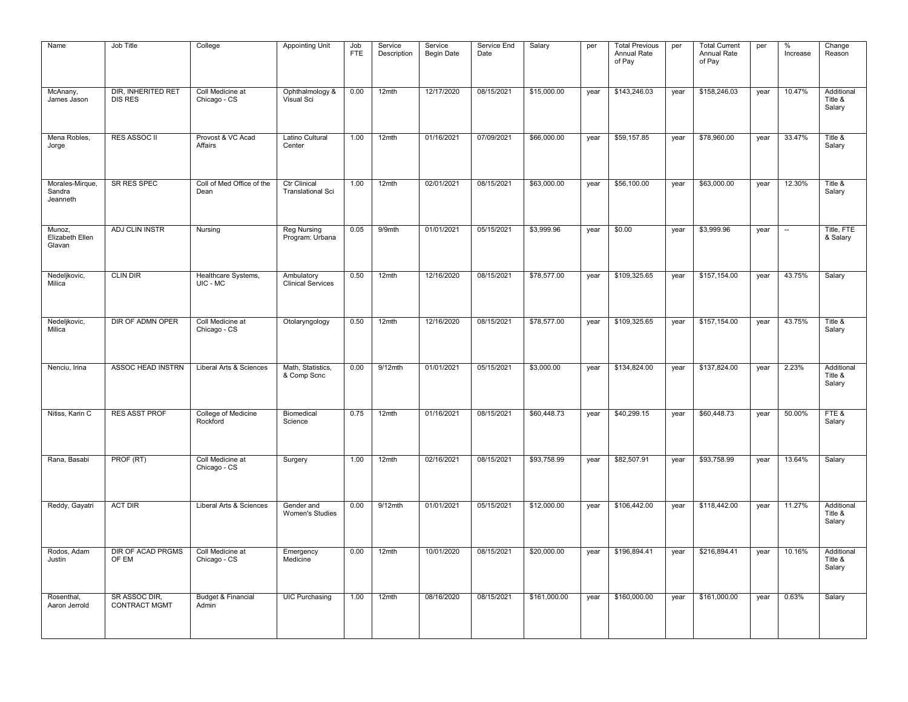| Name                                  | Job Title                             | College                                | <b>Appointing Unit</b>                          | Job<br><b>FTE</b> | Service<br>Description | Service<br><b>Begin Date</b> | Service End<br>Date | Salary       | per  | <b>Total Previous</b><br>Annual Rate<br>of Pay | per  | <b>Total Current</b><br>Annual Rate<br>of Pay | per  | $\%$<br>Increase | Change<br>Reason                |
|---------------------------------------|---------------------------------------|----------------------------------------|-------------------------------------------------|-------------------|------------------------|------------------------------|---------------------|--------------|------|------------------------------------------------|------|-----------------------------------------------|------|------------------|---------------------------------|
| McAnany,<br>James Jason               | DIR, INHERITED RET<br><b>DIS RES</b>  | Coll Medicine at<br>Chicago - CS       | Ophthalmology &<br>Visual Sci                   | 0.00              | 12mth                  | 12/17/2020                   | 08/15/2021          | \$15,000.00  | year | \$143,246.03                                   | year | \$158,246.03                                  | year | 10.47%           | Additional<br>Title &<br>Salary |
| Mena Robles,<br>Jorge                 | <b>RES ASSOC II</b>                   | Provost & VC Acad<br>Affairs           | Latino Cultural<br>Center                       | 1.00              | 12mth                  | 01/16/2021                   | 07/09/2021          | \$66,000.00  | year | \$59,157.85                                    | year | \$78,960.00                                   | year | 33.47%           | Title &<br>Salary               |
| Morales-Mirque,<br>Sandra<br>Jeanneth | <b>SR RES SPEC</b>                    | Coll of Med Office of the<br>Dean      | <b>Ctr Clinical</b><br><b>Translational Sci</b> | 1.00              | 12mth                  | 02/01/2021                   | 08/15/2021          | \$63,000.00  | year | \$56,100.00                                    | year | \$63,000.00                                   | year | 12.30%           | Title &<br>Salary               |
| Munoz,<br>Elizabeth Ellen<br>Glavan   | <b>ADJ CLIN INSTR</b>                 | Nursing                                | <b>Reg Nursing</b><br>Program: Urbana           | 0.05              | 9/9mth                 | 01/01/2021                   | 05/15/2021          | \$3,999.96   | year | \$0.00                                         | year | \$3,999.96                                    | year | $\sim$           | Title, FTE<br>& Salary          |
| Nedeljkovic,<br>Milica                | <b>CLIN DIR</b>                       | Healthcare Systems,<br>UIC - MC        | Ambulatory<br><b>Clinical Services</b>          | 0.50              | $12$ mth               | 12/16/2020                   | 08/15/2021          | \$78,577.00  | year | \$109,325.65                                   | year | \$157,154.00                                  | year | 43.75%           | Salary                          |
| Nedeljkovic,<br>Milica                | DIR OF ADMN OPER                      | Coll Medicine at<br>Chicago - CS       | Otolaryngology                                  | 0.50              | 12mth                  | 12/16/2020                   | 08/15/2021          | \$78,577.00  | year | \$109,325.65                                   | year | \$157,154.00                                  | year | 43.75%           | Title &<br>Salary               |
| Nenciu, Irina                         | ASSOC HEAD INSTRN                     | Liberal Arts & Sciences                | Math, Statistics,<br>& Comp Scnc                | 0.00              | $9/12$ mth             | 01/01/2021                   | 05/15/2021          | \$3,000.00   | year | \$134,824.00                                   | year | \$137,824.00                                  | year | 2.23%            | Additional<br>Title &<br>Salary |
| Nitiss, Karin C                       | <b>RES ASST PROF</b>                  | College of Medicine<br>Rockford        | Biomedical<br>Science                           | 0.75              | 12mth                  | 01/16/2021                   | 08/15/2021          | \$60,448.73  | year | \$40,299.15                                    | year | \$60,448.73                                   | year | 50.00%           | FTE&<br>Salary                  |
| Rana, Basabi                          | PROF (RT)                             | Coll Medicine at<br>Chicago - CS       | Surgery                                         | 1.00              | 12mth                  | 02/16/2021                   | 08/15/2021          | \$93,758.99  | year | \$82,507.91                                    | year | \$93,758.99                                   | year | 13.64%           | Salary                          |
| Reddy, Gayatri                        | <b>ACT DIR</b>                        | Liberal Arts & Sciences                | Gender and<br><b>Women's Studies</b>            | 0.00              | $9/12$ mth             | 01/01/2021                   | 05/15/2021          | \$12,000.00  | year | \$106,442.00                                   | year | \$118,442.00                                  | year | 11.27%           | Additional<br>Title &<br>Salary |
| Rodos, Adam<br>Justin                 | DIR OF ACAD PRGMS<br>OF EM            | Coll Medicine at<br>Chicago - CS       | Emergency<br>Medicine                           | 0.00              | 12mth                  | 10/01/2020                   | 08/15/2021          | \$20,000.00  | year | \$196,894.41                                   | year | \$216,894.41                                  | year | 10.16%           | Additional<br>Title &<br>Salary |
| Rosenthal,<br>Aaron Jerrold           | SR ASSOC DIR.<br><b>CONTRACT MGMT</b> | <b>Budget &amp; Financial</b><br>Admin | <b>UIC Purchasing</b>                           | 1.00              | 12mth                  | 08/16/2020                   | 08/15/2021          | \$161,000.00 | year | \$160,000.00                                   | year | \$161,000.00                                  | year | 0.63%            | Salary                          |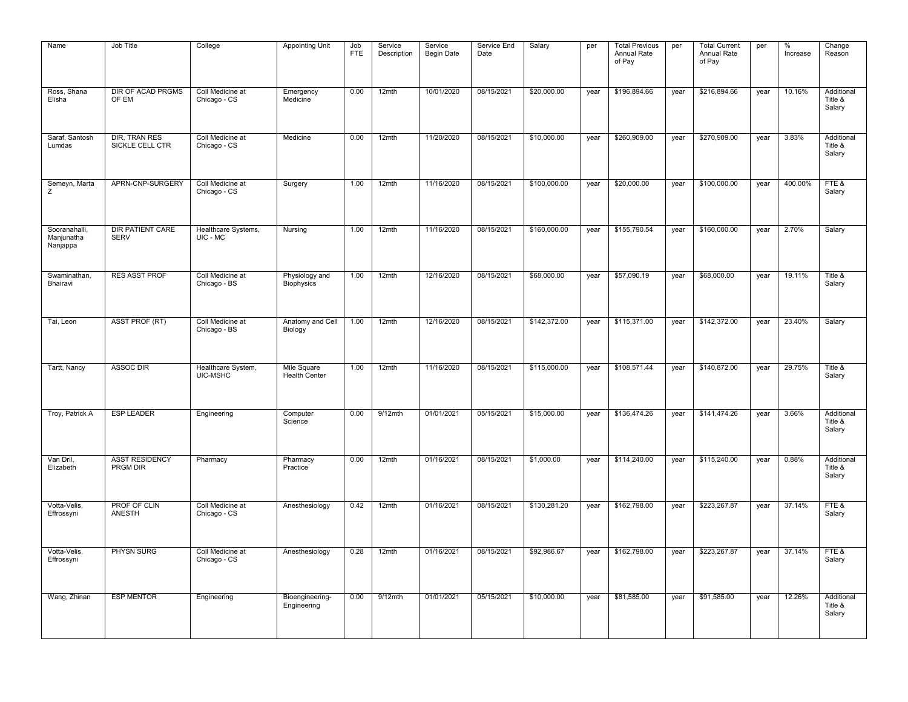| Name                                    | Job Title                              | College                          | <b>Appointing Unit</b>              | Job<br><b>FTE</b> | Service<br>Description | Service<br><b>Begin Date</b> | Service End<br>Date | Salary       | per  | <b>Total Previous</b><br>Annual Rate<br>of Pay | per  | <b>Total Current</b><br>Annual Rate<br>of Pay | per  | $\%$<br>Increase | Change<br>Reason                |
|-----------------------------------------|----------------------------------------|----------------------------------|-------------------------------------|-------------------|------------------------|------------------------------|---------------------|--------------|------|------------------------------------------------|------|-----------------------------------------------|------|------------------|---------------------------------|
| Ross, Shana<br>Elisha                   | <b>DIR OF ACAD PRGMS</b><br>OF EM      | Coll Medicine at<br>Chicago - CS | Emergency<br>Medicine               | 0.00              | 12mth                  | 10/01/2020                   | 08/15/2021          | \$20,000.00  | year | \$196,894.66                                   | year | \$216,894.66                                  | year | 10.16%           | Additional<br>Title &<br>Salary |
| Saraf, Santosh<br>Lumdas                | DIR, TRAN RES<br>SICKLE CELL CTR       | Coll Medicine at<br>Chicago - CS | Medicine                            | 0.00              | 12mth                  | 11/20/2020                   | 08/15/2021          | \$10,000.00  | year | \$260,909.00                                   | year | \$270,909.00                                  | year | 3.83%            | Additional<br>Title &<br>Salary |
| Semeyn, Marta<br>Ζ                      | APRN-CNP-SURGERY                       | Coll Medicine at<br>Chicago - CS | Surgery                             | 1.00              | 12mth                  | 11/16/2020                   | 08/15/2021          | \$100,000.00 | year | \$20,000.00                                    | year | \$100,000.00                                  | year | 400.00%          | FTE&<br>Salary                  |
| Sooranahalli,<br>Manjunatha<br>Nanjappa | <b>DIR PATIENT CARE</b><br><b>SERV</b> | Healthcare Systems,<br>UIC - MC  | Nursing                             | 1.00              | 12mth                  | 11/16/2020                   | 08/15/2021          | \$160,000.00 | year | \$155,790.54                                   | year | \$160,000.00                                  | year | 2.70%            | Salary                          |
| Swaminathan,<br>Bhairavi                | <b>RES ASST PROF</b>                   | Coll Medicine at<br>Chicago - BS | Physiology and<br>Biophysics        | 1.00              | 12mth                  | 12/16/2020                   | 08/15/2021          | \$68,000.00  | year | \$57,090.19                                    | year | \$68,000.00                                   | year | 19.11%           | Title &<br>Salary               |
| Tai, Leon                               | ASST PROF (RT)                         | Coll Medicine at<br>Chicago - BS | Anatomy and Cell<br>Biology         | 1.00              | 12mth                  | 12/16/2020                   | 08/15/2021          | \$142,372.00 | year | \$115,371.00                                   | year | \$142,372.00                                  | year | 23.40%           | Salary                          |
| Tartt, Nancy                            | <b>ASSOC DIR</b>                       | Healthcare System,<br>UIC-MSHC   | Mile Square<br><b>Health Center</b> | 1.00              | $12$ mth               | 11/16/2020                   | 08/15/2021          | \$115,000.00 | year | \$108,571.44                                   | year | \$140,872.00                                  | year | 29.75%           | Title &<br>Salary               |
| Troy, Patrick A                         | <b>ESP LEADER</b>                      | Engineering                      | Computer<br>Science                 | 0.00              | $9/12$ mth             | 01/01/2021                   | 05/15/2021          | \$15,000.00  | year | \$136,474.26                                   | year | \$141,474.26                                  | year | 3.66%            | Additional<br>Title &<br>Salary |
| Van Dril.<br>Elizabeth                  | <b>ASST RESIDENCY</b><br>PRGM DIR      | Pharmacy                         | Pharmacy<br>Practice                | 0.00              | 12mth                  | 01/16/2021                   | 08/15/2021          | \$1,000.00   | year | \$114,240.00                                   | year | \$115,240.00                                  | year | 0.88%            | Additional<br>Title &<br>Salary |
| Votta-Velis,<br>Effrossyni              | PROF OF CLIN<br><b>ANESTH</b>          | Coll Medicine at<br>Chicago - CS | Anesthesiology                      | 0.42              | 12mth                  | 01/16/2021                   | 08/15/2021          | \$130,281.20 | year | \$162,798.00                                   | year | \$223,267.87                                  | year | 37.14%           | FTE&<br>Salary                  |
| Votta-Velis,<br>Effrossyni              | PHYSN SURG                             | Coll Medicine at<br>Chicago - CS | Anesthesiology                      | 0.28              | 12mth                  | 01/16/2021                   | 08/15/2021          | \$92,986.67  | year | \$162,798.00                                   | year | \$223,267.87                                  | year | 37.14%           | FTE&<br>Salary                  |
| Wang, Zhinan                            | <b>ESP MENTOR</b>                      | Engineering                      | Bioengineering-<br>Engineering      | 0.00              | $9/12$ mth             | 01/01/2021                   | 05/15/2021          | \$10,000.00  | year | \$81,585.00                                    | year | \$91,585.00                                   | year | 12.26%           | Additional<br>Title &<br>Salary |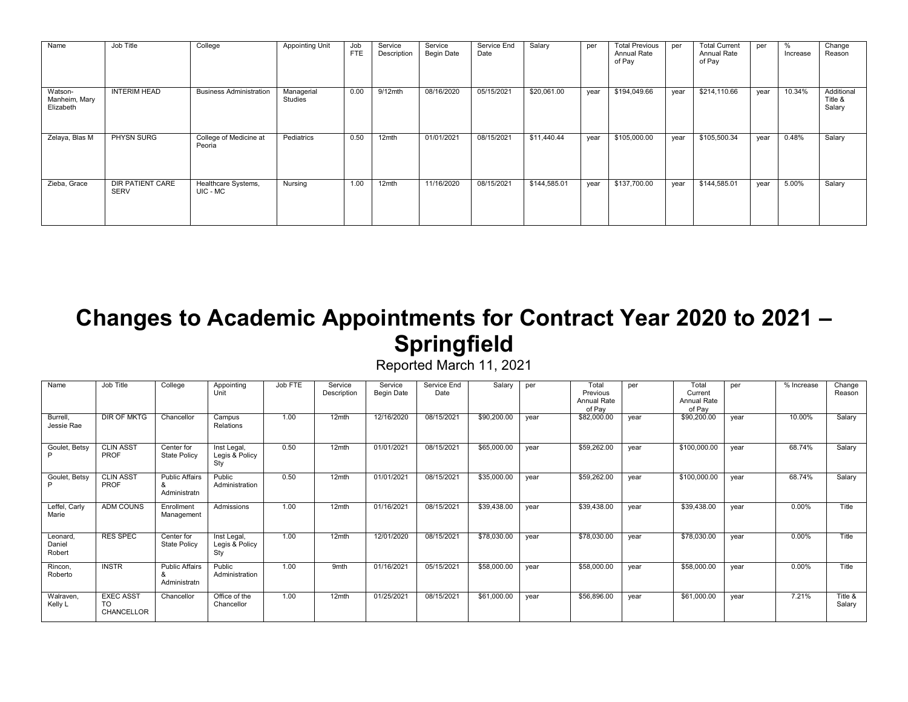| Name                                  | Job Title                              | College                          | <b>Appointing Unit</b> | Job<br><b>FTE</b> | Service<br>Description | Service<br><b>Begin Date</b> | Service End<br>Date | Salary       | per  | <b>Total Previous</b><br>Annual Rate<br>of Pay | per  | <b>Total Current</b><br><b>Annual Rate</b><br>of Pay | per  | %<br>Increase | Change<br>Reason                |
|---------------------------------------|----------------------------------------|----------------------------------|------------------------|-------------------|------------------------|------------------------------|---------------------|--------------|------|------------------------------------------------|------|------------------------------------------------------|------|---------------|---------------------------------|
| Watson-<br>Manheim, Mary<br>Elizabeth | <b>INTERIM HEAD</b>                    | <b>Business Administration</b>   | Managerial<br>Studies  | 0.00              | $9/12$ mth             | 08/16/2020                   | 05/15/2021          | \$20,061.00  | year | \$194,049.66                                   | year | \$214,110.66                                         | vear | 10.34%        | Additional<br>Title &<br>Salary |
| Zelaya, Blas M                        | PHYSN SURG                             | College of Medicine at<br>Peoria | Pediatrics             | 0.50              | 12mth                  | 01/01/2021                   | 08/15/2021          | \$11,440.44  | year | \$105,000.00                                   | year | \$105,500.34                                         | year | 0.48%         | Salary                          |
| Zieba, Grace                          | <b>DIR PATIENT CARE</b><br><b>SERV</b> | Healthcare Systems,<br>UIC - MC  | Nursing                | 1.00              | 12mth                  | 11/16/2020                   | 08/15/2021          | \$144,585.01 | year | \$137,700.00                                   | year | \$144,585.01                                         | year | 5.00%         | Salary                          |

### **Changes to Academic Appointments for Contract Year 2020 to 2021 – Springfield**

Reported March 11, 2021

| Name                         | Job Title                            | College                                    | Appointing<br>Unit                   | Job FTE | Service<br>Description | Service<br>Begin Date | Service End<br>Date | Salary      | per  | Total<br>Previous<br>Annual Rate<br>of Pay | per  | Total<br>Current<br>Annual Rate<br>of Pay | per  | % Increase | Change<br>Reason  |
|------------------------------|--------------------------------------|--------------------------------------------|--------------------------------------|---------|------------------------|-----------------------|---------------------|-------------|------|--------------------------------------------|------|-------------------------------------------|------|------------|-------------------|
| Burrell,<br>Jessie Rae       | DIR OF MKTG                          | Chancellor                                 | Campus<br>Relations                  | 1.00    | 12mth                  | 12/16/2020            | 08/15/2021          | \$90,200.00 | vear | \$82,000.00                                | year | \$90,200.00                               | vear | 10.00%     | Salary            |
| Goulet, Betsy                | <b>CLIN ASST</b><br>PROF             | Center for<br><b>State Policy</b>          | Inst Legal,<br>Legis & Policy<br>Sty | 0.50    | 12mth                  | 01/01/2021            | 08/15/2021          | \$65,000.00 | vear | \$59,262.00                                | vear | \$100,000.00                              | vear | 68.74%     | Salary            |
| Goulet, Betsy<br>D           | <b>CLIN ASST</b><br>PROF             | <b>Public Affairs</b><br>&<br>Administratn | Public<br>Administration             | 0.50    | 12mth                  | 01/01/2021            | 08/15/2021          | \$35,000.00 | vear | \$59,262.00                                | year | \$100,000.00                              | vear | 68.74%     | Salary            |
| Leffel, Carly<br>Marie       | <b>ADM COUNS</b>                     | Enrollment<br>Management                   | Admissions                           | 1.00    | 12mth                  | 01/16/2021            | 08/15/2021          | \$39,438.00 | vear | \$39,438.00                                | year | \$39,438.00                               | vear | 0.00%      | Title             |
| Leonard,<br>Daniel<br>Robert | <b>RES SPEC</b>                      | Center for<br><b>State Policy</b>          | Inst Legal,<br>Legis & Policy<br>Sty | 1.00    | 12mth                  | 12/01/2020            | 08/15/2021          | \$78,030.00 | year | \$78,030.00                                | year | \$78,030.00                               | vear | 0.00%      | Title             |
| Rincon,<br>Roberto           | <b>INSTR</b>                         | <b>Public Affairs</b><br>&<br>Administratn | Public<br>Administration             | 1.00    | 9 <sub>mth</sub>       | 01/16/2021            | 05/15/2021          | \$58,000.00 | vear | \$58,000.00                                | year | \$58,000.00                               | vear | 0.00%      | Title             |
| Walraven,<br>Kelly L         | <b>EXEC ASST</b><br>TO<br>CHANCELLOR | Chancellor                                 | Office of the<br>Chancellor          | 1.00    | 12mth                  | 01/25/2021            | 08/15/2021          | \$61,000.00 | year | \$56,896.00                                | year | \$61,000.00                               | year | 7.21%      | Title &<br>Salary |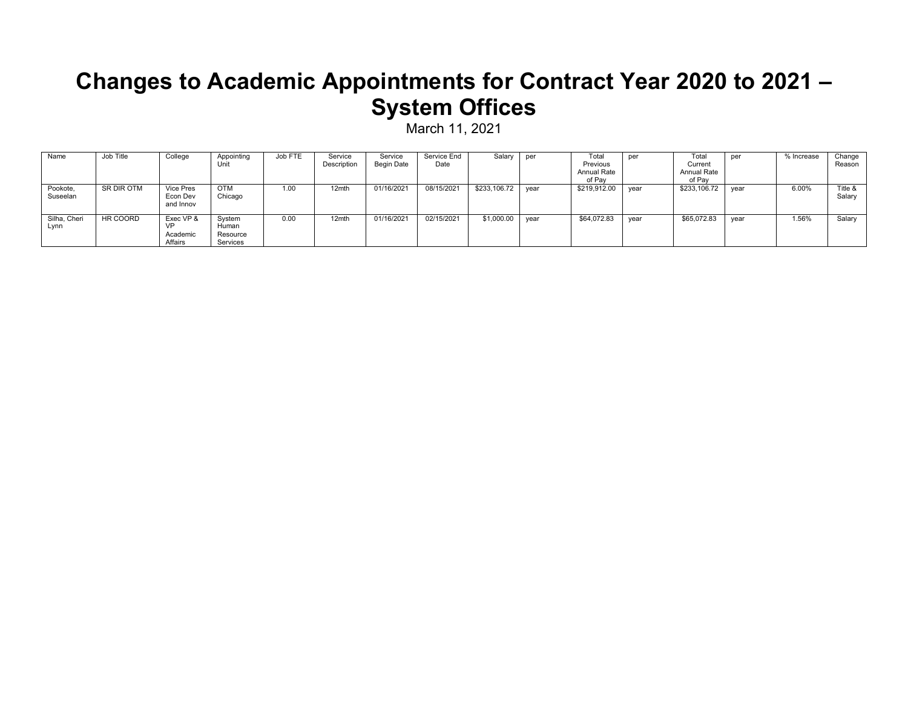#### **Changes to Academic Appointments for Contract Year 2020 to 2021 – System Offices**

March 11, 2021

| Name                 | Job Title  | College                                       | Appointing<br>Unit                      | Job FTE | Service<br>Description | Service<br>Begin Date | Service End<br>Date | Salary       | per  | Total<br>Previous<br>Annual Rate<br>of Pay | per  | Total<br>Current<br>Annual Rate<br>of Pav | per  | % Increase | Change<br>Reason  |
|----------------------|------------|-----------------------------------------------|-----------------------------------------|---------|------------------------|-----------------------|---------------------|--------------|------|--------------------------------------------|------|-------------------------------------------|------|------------|-------------------|
| Pookote,<br>Suseelan | SR DIR OTM | <b>Vice Pres</b><br>Econ Dev<br>and Innov     | <b>OTM</b><br>Chicago                   | 1.00    | 12mth                  | 01/16/2021            | 08/15/2021          | \$233,106.72 | year | \$219,912.00                               | year | \$233,106.72                              | year | 6.00%      | Title &<br>Salary |
| Silha, Cheri<br>Lynn | HR COORD   | Exec VP &<br><b>VP</b><br>Academic<br>Affairs | Svstem<br>Human<br>Resource<br>Services | 0.00    | 12mth                  | 01/16/2021            | 02/15/2021          | \$1,000.00   | vear | \$64,072.83                                | vear | \$65,072.83                               | vear | .56%       | Salarv            |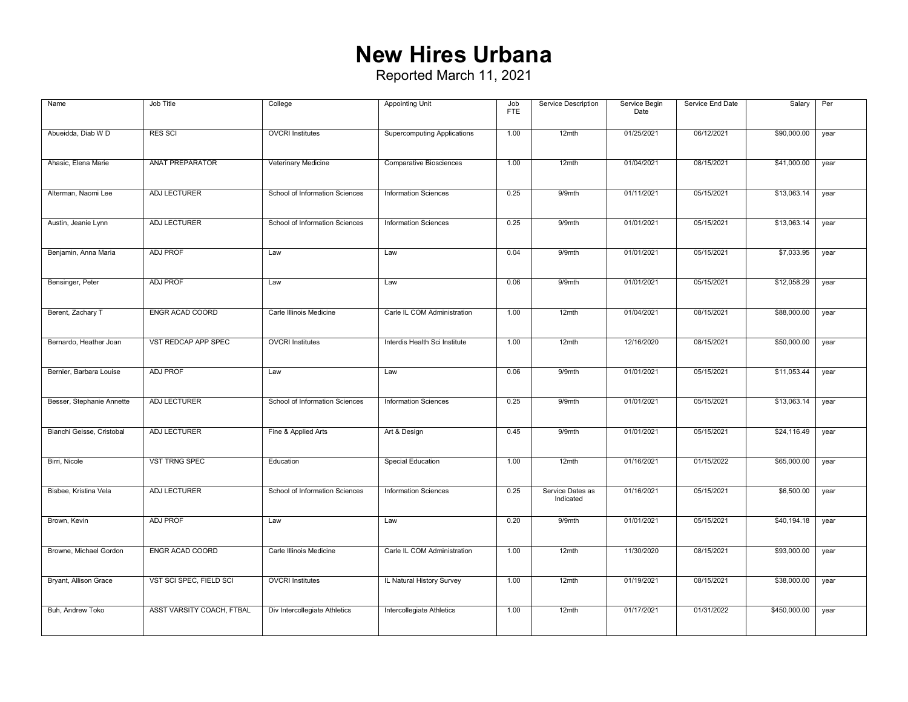# **New Hires Urbana**

| Name                      | Job Title                 | College                        | <b>Appointing Unit</b>             | Job<br><b>FTE</b> | Service Description           | Service Begin<br>Date | Service End Date | Salary       | Per  |
|---------------------------|---------------------------|--------------------------------|------------------------------------|-------------------|-------------------------------|-----------------------|------------------|--------------|------|
| Abueidda, Diab W D        | <b>RES SCI</b>            | <b>OVCRI</b> Institutes        | <b>Supercomputing Applications</b> | 1.00              | 12mth                         | 01/25/2021            | 06/12/2021       | \$90,000.00  | year |
| Ahasic, Elena Marie       | ANAT PREPARATOR           | Veterinary Medicine            | <b>Comparative Biosciences</b>     | 1.00              | 12mth                         | 01/04/2021            | 08/15/2021       | \$41,000.00  | year |
| Alterman, Naomi Lee       | <b>ADJ LECTURER</b>       | School of Information Sciences | <b>Information Sciences</b>        | 0.25              | 9/9mth                        | 01/11/2021            | 05/15/2021       | \$13,063.14  | year |
| Austin, Jeanie Lynn       | <b>ADJ LECTURER</b>       | School of Information Sciences | <b>Information Sciences</b>        | 0.25              | 9/9mth                        | 01/01/2021            | 05/15/2021       | \$13,063.14  | year |
| Benjamin, Anna Maria      | <b>ADJ PROF</b>           | Law                            | Law                                | 0.04              | 9/9mth                        | 01/01/2021            | 05/15/2021       | \$7,033.95   | year |
| Bensinger, Peter          | <b>ADJ PROF</b>           | Law                            | Law                                | 0.06              | 9/9mth                        | 01/01/2021            | 05/15/2021       | \$12,058.29  | year |
| Berent, Zachary T         | <b>ENGR ACAD COORD</b>    | Carle Illinois Medicine        | Carle IL COM Administration        | 1.00              | 12mth                         | 01/04/2021            | 08/15/2021       | \$88,000.00  | year |
| Bernardo, Heather Joan    | VST REDCAP APP SPEC       | <b>OVCRI</b> Institutes        | Interdis Health Sci Institute      | 1.00              | $12$ mth                      | 12/16/2020            | 08/15/2021       | \$50,000.00  | year |
| Bernier, Barbara Louise   | <b>ADJ PROF</b>           | Law                            | Law                                | 0.06              | 9/9mth                        | 01/01/2021            | 05/15/2021       | \$11,053.44  | year |
| Besser, Stephanie Annette | <b>ADJ LECTURER</b>       | School of Information Sciences | <b>Information Sciences</b>        | 0.25              | 9/9mth                        | 01/01/2021            | 05/15/2021       | \$13,063.14  | year |
| Bianchi Geisse, Cristobal | ADJ LECTURER              | Fine & Applied Arts            | Art & Design                       | 0.45              | 9/9mth                        | 01/01/2021            | 05/15/2021       | \$24,116.49  | year |
| Birri, Nicole             | <b>VST TRNG SPEC</b>      | Education                      | Special Education                  | 1.00              | 12mth                         | 01/16/2021            | 01/15/2022       | \$65,000.00  | year |
| Bisbee, Kristina Vela     | <b>ADJ LECTURER</b>       | School of Information Sciences | <b>Information Sciences</b>        | 0.25              | Service Dates as<br>Indicated | 01/16/2021            | 05/15/2021       | \$6,500.00   | year |
| Brown, Kevin              | ADJ PROF                  | Law                            | Law                                | 0.20              | 9/9mth                        | 01/01/2021            | 05/15/2021       | \$40,194.18  | year |
| Browne, Michael Gordon    | <b>ENGR ACAD COORD</b>    | Carle Illinois Medicine        | Carle IL COM Administration        | 1.00              | $12$ mth                      | 11/30/2020            | 08/15/2021       | \$93,000.00  | year |
| Bryant, Allison Grace     | VST SCI SPEC, FIELD SCI   | <b>OVCRI</b> Institutes        | IL Natural History Survey          | 1.00              | 12mth                         | 01/19/2021            | 08/15/2021       | \$38,000.00  | year |
| Buh, Andrew Toko          | ASST VARSITY COACH, FTBAL | Div Intercollegiate Athletics  | Intercollegiate Athletics          | 1.00              | 12mth                         | 01/17/2021            | 01/31/2022       | \$450,000.00 | year |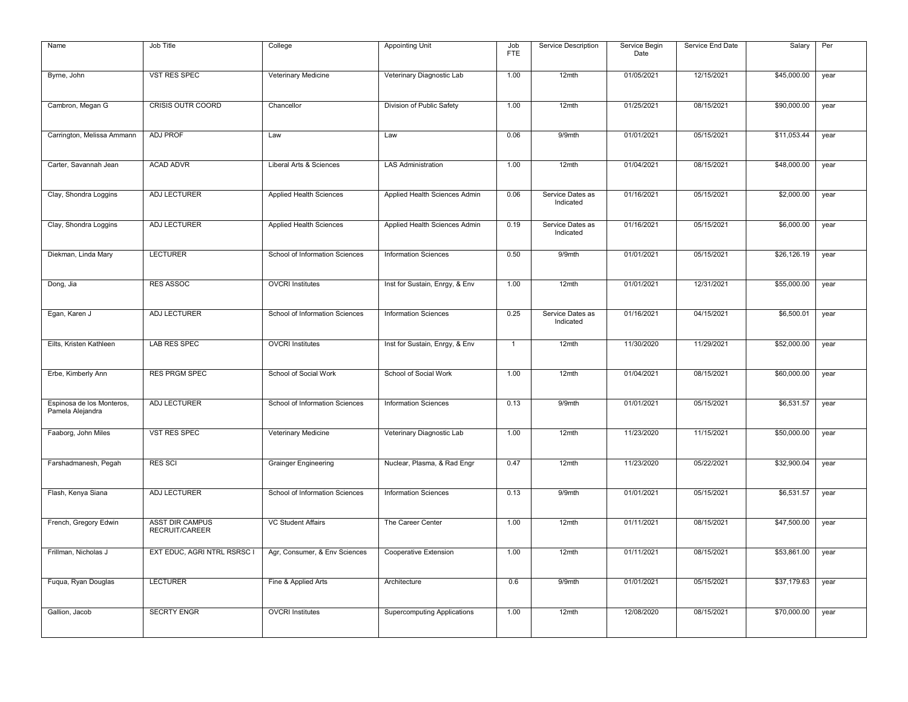| Name                                          | Job Title                                | College                        | Appointing Unit                    | Job<br><b>FTE</b> | Service Description           | Service Begin<br>Date | Service End Date | Salary      | Per  |
|-----------------------------------------------|------------------------------------------|--------------------------------|------------------------------------|-------------------|-------------------------------|-----------------------|------------------|-------------|------|
| Byrne, John                                   | VST RES SPEC                             | Veterinary Medicine            | Veterinary Diagnostic Lab          | 1.00              | 12mth                         | 01/05/2021            | 12/15/2021       | \$45,000.00 | year |
| Cambron, Megan G                              | <b>CRISIS OUTR COORD</b>                 | Chancellor                     | Division of Public Safety          | 1.00              | $12$ mth                      | 01/25/2021            | 08/15/2021       | \$90,000.00 | year |
| Carrington, Melissa Ammann                    | <b>ADJ PROF</b>                          | Law                            | Law                                | 0.06              | 9/9mth                        | 01/01/2021            | 05/15/2021       | \$11,053.44 | year |
| Carter, Savannah Jean                         | <b>ACAD ADVR</b>                         | Liberal Arts & Sciences        | <b>LAS Administration</b>          | 1.00              | 12mth                         | 01/04/2021            | 08/15/2021       | \$48,000.00 | year |
| Clay, Shondra Loggins                         | ADJ LECTURER                             | Applied Health Sciences        | Applied Health Sciences Admin      | 0.06              | Service Dates as<br>Indicated | 01/16/2021            | 05/15/2021       | \$2,000.00  | year |
| Clay, Shondra Loggins                         | <b>ADJ LECTURER</b>                      | Applied Health Sciences        | Applied Health Sciences Admin      | 0.19              | Service Dates as<br>Indicated | 01/16/2021            | 05/15/2021       | \$6,000.00  | year |
| Diekman, Linda Mary                           | <b>LECTURER</b>                          | School of Information Sciences | <b>Information Sciences</b>        | 0.50              | 9/9mth                        | 01/01/2021            | 05/15/2021       | \$26,126.19 | year |
| Dong, Jia                                     | <b>RES ASSOC</b>                         | <b>OVCRI</b> Institutes        | Inst for Sustain, Enrgy, & Env     | 1.00              | 12mth                         | 01/01/2021            | 12/31/2021       | \$55,000.00 | year |
| Egan, Karen J                                 | <b>ADJ LECTURER</b>                      | School of Information Sciences | <b>Information Sciences</b>        | 0.25              | Service Dates as<br>Indicated | 01/16/2021            | 04/15/2021       | \$6,500.01  | year |
| Eilts, Kristen Kathleen                       | <b>LAB RES SPEC</b>                      | <b>OVCRI</b> Institutes        | Inst for Sustain, Enrgy, & Env     | $\mathbf{1}$      | 12mth                         | 11/30/2020            | 11/29/2021       | \$52,000.00 | year |
| Erbe, Kimberly Ann                            | <b>RES PRGM SPEC</b>                     | School of Social Work          | School of Social Work              | 1.00              | $12$ mth                      | 01/04/2021            | 08/15/2021       | \$60,000.00 | year |
| Espinosa de los Monteros,<br>Pamela Alejandra | <b>ADJ LECTURER</b>                      | School of Information Sciences | <b>Information Sciences</b>        | 0.13              | 9/9mth                        | 01/01/2021            | 05/15/2021       | \$6,531.57  | year |
| Faaborg, John Miles                           | <b>VST RES SPEC</b>                      | Veterinary Medicine            | Veterinary Diagnostic Lab          | 1.00              | $12$ mth                      | 11/23/2020            | 11/15/2021       | \$50,000.00 | year |
| Farshadmanesh, Pegah                          | <b>RES SCI</b>                           | <b>Grainger Engineering</b>    | Nuclear, Plasma, & Rad Engr        | 0.47              | 12mth                         | 11/23/2020            | 05/22/2021       | \$32,900.04 | year |
| Flash, Kenya Siana                            | <b>ADJ LECTURER</b>                      | School of Information Sciences | <b>Information Sciences</b>        | 0.13              | 9/9mth                        | 01/01/2021            | 05/15/2021       | \$6,531.57  | year |
| French, Gregory Edwin                         | <b>ASST DIR CAMPUS</b><br>RECRUIT/CAREER | <b>VC Student Affairs</b>      | The Career Center                  | 1.00              | 12mth                         | 01/11/2021            | 08/15/2021       | \$47,500.00 | year |
| Frillman, Nicholas J                          | EXT EDUC, AGRI NTRL RSRSC I              | Agr, Consumer, & Env Sciences  | Cooperative Extension              | 1.00              | 12mth                         | 01/11/2021            | 08/15/2021       | \$53,861.00 | year |
| Fuqua, Ryan Douglas                           | <b>LECTURER</b>                          | Fine & Applied Arts            | Architecture                       | 0.6               | 9/9mth                        | 01/01/2021            | 05/15/2021       | \$37,179.63 | year |
| Gallion, Jacob                                | <b>SECRTY ENGR</b>                       | <b>OVCRI</b> Institutes        | <b>Supercomputing Applications</b> | 1.00              | 12mth                         | 12/08/2020            | 08/15/2021       | \$70,000.00 | year |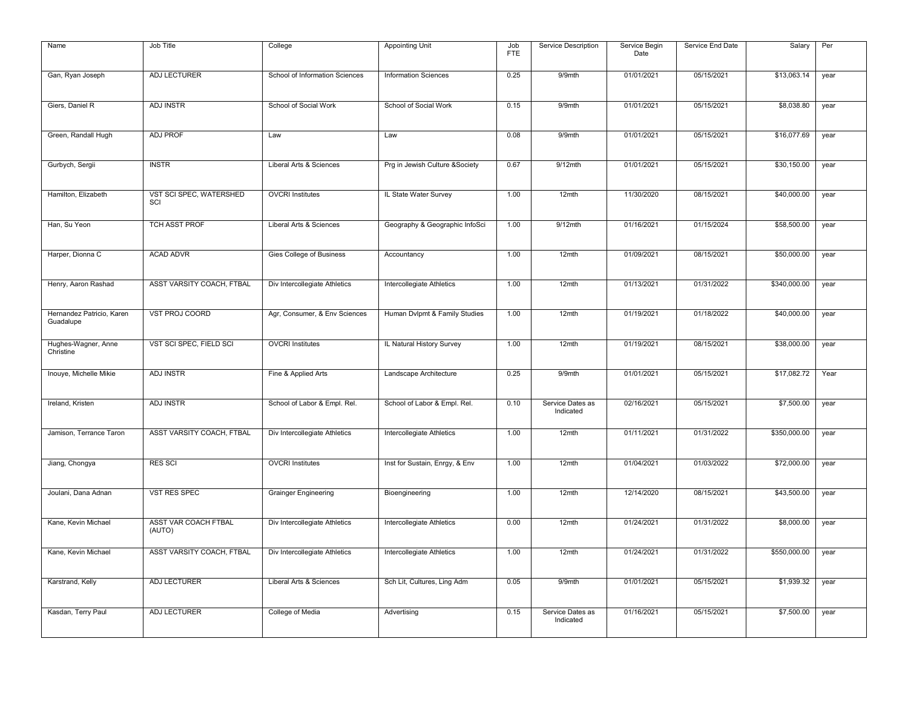| Name                                   | Job Title                             | College                        | <b>Appointing Unit</b>          | Job<br><b>FTE</b> | Service Description           | Service Begin<br>Date | Service End Date | Salary       | Per  |
|----------------------------------------|---------------------------------------|--------------------------------|---------------------------------|-------------------|-------------------------------|-----------------------|------------------|--------------|------|
|                                        |                                       |                                |                                 |                   |                               |                       |                  |              |      |
| Gan, Ryan Joseph                       | <b>ADJ LECTURER</b>                   | School of Information Sciences | <b>Information Sciences</b>     | 0.25              | 9/9mth                        | 01/01/2021            | 05/15/2021       | \$13,063.14  | year |
| Giers, Daniel R                        | <b>ADJ INSTR</b>                      | School of Social Work          | School of Social Work           | 0.15              | 9/9mth                        | 01/01/2021            | 05/15/2021       | \$8,038.80   | year |
| Green, Randall Hugh                    | <b>ADJ PROF</b>                       | Law                            | Law                             | 0.08              | 9/9mth                        | 01/01/2021            | 05/15/2021       | \$16,077.69  | year |
| Gurbych, Sergii                        | <b>INSTR</b>                          | Liberal Arts & Sciences        | Prg in Jewish Culture & Society | 0.67              | $9/12$ mth                    | 01/01/2021            | 05/15/2021       | \$30,150.00  | year |
| Hamilton, Elizabeth                    | VST SCI SPEC, WATERSHED<br>SCI        | <b>OVCRI</b> Institutes        | IL State Water Survey           | 1.00              | 12mth                         | 11/30/2020            | 08/15/2021       | \$40,000.00  | year |
| Han, Su Yeon                           | TCH ASST PROF                         | Liberal Arts & Sciences        | Geography & Geographic InfoSci  | 1.00              | $9/12$ mth                    | 01/16/2021            | 01/15/2024       | \$58,500.00  | year |
| Harper, Dionna C                       | <b>ACAD ADVR</b>                      | Gies College of Business       | Accountancy                     | 1.00              | 12mth                         | 01/09/2021            | 08/15/2021       | \$50,000.00  | year |
| Henry, Aaron Rashad                    | ASST VARSITY COACH, FTBAL             | Div Intercollegiate Athletics  | Intercollegiate Athletics       | 1.00              | 12mth                         | 01/13/2021            | 01/31/2022       | \$340,000.00 | year |
| Hernandez Patricio, Karen<br>Guadalupe | VST PROJ COORD                        | Agr, Consumer, & Env Sciences  | Human Dvlpmt & Family Studies   | 1.00              | 12mth                         | 01/19/2021            | 01/18/2022       | \$40,000.00  | year |
| Hughes-Wagner, Anne<br>Christine       | VST SCI SPEC, FIELD SCI               | <b>OVCRI</b> Institutes        | IL Natural History Survey       | 1.00              | $12$ mth                      | 01/19/2021            | 08/15/2021       | \$38,000.00  | year |
| Inouye, Michelle Mikie                 | <b>ADJ INSTR</b>                      | Fine & Applied Arts            | Landscape Architecture          | 0.25              | 9/9mth                        | 01/01/2021            | 05/15/2021       | \$17,082.72  | Year |
| Ireland, Kristen                       | <b>ADJ INSTR</b>                      | School of Labor & Empl. Rel.   | School of Labor & Empl. Rel.    | 0.10              | Service Dates as<br>Indicated | 02/16/2021            | 05/15/2021       | \$7,500.00   | year |
| Jamison, Terrance Taron                | ASST VARSITY COACH, FTBAL             | Div Intercollegiate Athletics  | Intercollegiate Athletics       | 1.00              | 12mth                         | 01/11/2021            | 01/31/2022       | \$350,000.00 | year |
| Jiang, Chongya                         | <b>RES SCI</b>                        | <b>OVCRI</b> Institutes        | Inst for Sustain, Enrgy, & Env  | 1.00              | 12mth                         | 01/04/2021            | 01/03/2022       | \$72,000.00  | year |
| Joulani, Dana Adnan                    | <b>VST RES SPEC</b>                   | <b>Grainger Engineering</b>    | Bioengineering                  | 1.00              | $12$ mth                      | 12/14/2020            | 08/15/2021       | \$43,500.00  | year |
| Kane, Kevin Michael                    | <b>ASST VAR COACH FTBAL</b><br>(AUTO) | Div Intercollegiate Athletics  | Intercollegiate Athletics       | 0.00              | 12mth                         | 01/24/2021            | 01/31/2022       | \$8,000.00   | year |
| Kane, Kevin Michael                    | ASST VARSITY COACH, FTBAL             | Div Intercollegiate Athletics  | Intercollegiate Athletics       | 1.00              | 12mth                         | 01/24/2021            | 01/31/2022       | \$550,000.00 | year |
| Karstrand, Kelly                       | ADJ LECTURER                          | Liberal Arts & Sciences        | Sch Lit, Cultures, Ling Adm     | 0.05              | 9/9mth                        | 01/01/2021            | 05/15/2021       | \$1,939.32   | year |
| Kasdan, Terry Paul                     | <b>ADJ LECTURER</b>                   | College of Media               | Advertising                     | 0.15              | Service Dates as<br>Indicated | 01/16/2021            | 05/15/2021       | \$7,500.00   | year |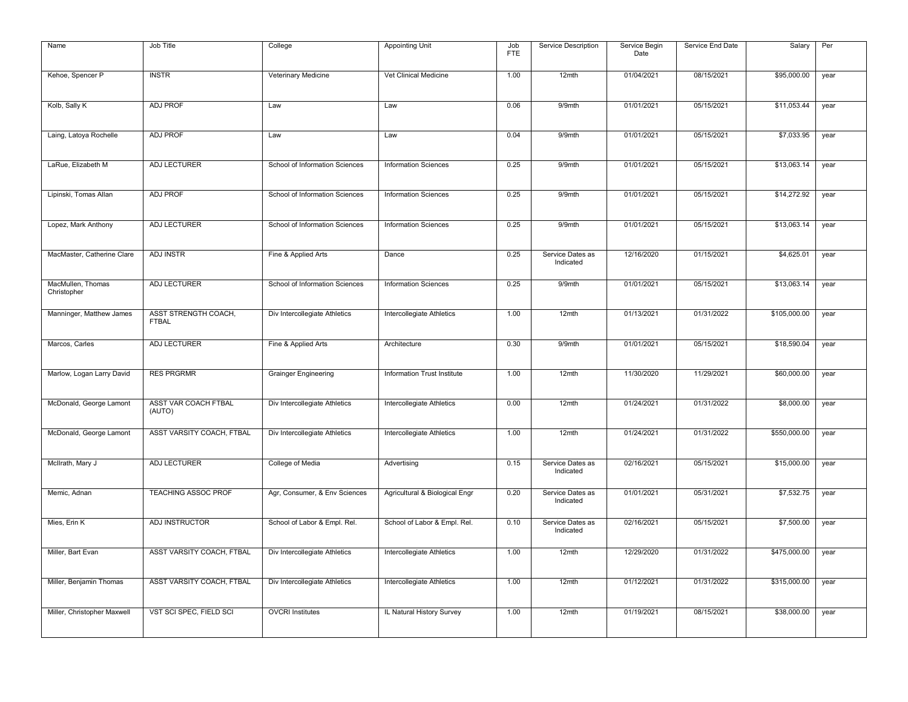| Name                             | Job Title                            | College                        | Appointing Unit                | Job<br><b>FTE</b> | Service Description           | Service Begin<br>Date | Service End Date | Salary       | Per  |
|----------------------------------|--------------------------------------|--------------------------------|--------------------------------|-------------------|-------------------------------|-----------------------|------------------|--------------|------|
| Kehoe, Spencer P                 | <b>INSTR</b>                         | Veterinary Medicine            | Vet Clinical Medicine          | 1.00              | 12mth                         | 01/04/2021            | 08/15/2021       | \$95,000.00  | year |
| Kolb, Sally K                    | <b>ADJ PROF</b>                      | Law                            | Law                            | 0.06              | 9/9mth                        | 01/01/2021            | 05/15/2021       | \$11,053.44  | year |
|                                  |                                      |                                |                                |                   |                               |                       |                  |              |      |
| Laing, Latoya Rochelle           | <b>ADJ PROF</b>                      | Law                            | Law                            | 0.04              | 9/9mth                        | 01/01/2021            | 05/15/2021       | \$7,033.95   | year |
| LaRue, Elizabeth M               | ADJ LECTURER                         | School of Information Sciences | <b>Information Sciences</b>    | 0.25              | 9/9mth                        | 01/01/2021            | 05/15/2021       | \$13,063.14  | year |
| Lipinski, Tomas Allan            | ADJ PROF                             | School of Information Sciences | <b>Information Sciences</b>    | 0.25              | 9/9mth                        | 01/01/2021            | 05/15/2021       | \$14,272.92  | year |
| Lopez, Mark Anthony              | ADJ LECTURER                         | School of Information Sciences | <b>Information Sciences</b>    | 0.25              | 9/9mth                        | 01/01/2021            | 05/15/2021       | \$13,063.14  | year |
| MacMaster, Catherine Clare       | <b>ADJ INSTR</b>                     | Fine & Applied Arts            | Dance                          | 0.25              | Service Dates as<br>Indicated | 12/16/2020            | 01/15/2021       | \$4,625.01   | year |
| MacMullen, Thomas<br>Christopher | <b>ADJ LECTURER</b>                  | School of Information Sciences | <b>Information Sciences</b>    | 0.25              | 9/9mth                        | 01/01/2021            | 05/15/2021       | \$13,063.14  | year |
| Manninger, Matthew James         | ASST STRENGTH COACH,<br><b>FTBAL</b> | Div Intercollegiate Athletics  | Intercollegiate Athletics      | 1.00              | $12$ mth                      | 01/13/2021            | 01/31/2022       | \$105,000.00 | year |
| Marcos, Carles                   | <b>ADJ LECTURER</b>                  | Fine & Applied Arts            | Architecture                   | 0.30              | 9/9mth                        | 01/01/2021            | 05/15/2021       | \$18,590.04  | year |
| Marlow, Logan Larry David        | <b>RES PRGRMR</b>                    | <b>Grainger Engineering</b>    | Information Trust Institute    | 1.00              | 12mth                         | 11/30/2020            | 11/29/2021       | \$60,000.00  | year |
| McDonald, George Lamont          | ASST VAR COACH FTBAL<br>(AUTO)       | Div Intercollegiate Athletics  | Intercollegiate Athletics      | 0.00              | 12mth                         | 01/24/2021            | 01/31/2022       | \$8,000.00   | year |
| McDonald, George Lamont          | ASST VARSITY COACH, FTBAL            | Div Intercollegiate Athletics  | Intercollegiate Athletics      | 1.00              | 12mth                         | 01/24/2021            | 01/31/2022       | \$550,000.00 | year |
| McIlrath, Mary J                 | ADJ LECTURER                         | College of Media               | Advertising                    | 0.15              | Service Dates as<br>Indicated | 02/16/2021            | 05/15/2021       | \$15,000.00  | year |
| Memic, Adnan                     | <b>TEACHING ASSOC PROF</b>           | Agr, Consumer, & Env Sciences  | Agricultural & Biological Engr | 0.20              | Service Dates as<br>Indicated | 01/01/2021            | 05/31/2021       | \$7,532.75   | year |
| Mies, Erin K                     | ADJ INSTRUCTOR                       | School of Labor & Empl. Rel.   | School of Labor & Empl. Rel.   | 0.10              | Service Dates as<br>Indicated | 02/16/2021            | 05/15/2021       | \$7,500.00   | year |
| Miller, Bart Evan                | ASST VARSITY COACH, FTBAL            | Div Intercollegiate Athletics  | Intercollegiate Athletics      | 1.00              | 12mth                         | 12/29/2020            | 01/31/2022       | \$475,000.00 | year |
| Miller, Benjamin Thomas          | ASST VARSITY COACH, FTBAL            | Div Intercollegiate Athletics  | Intercollegiate Athletics      | 1.00              | 12mth                         | 01/12/2021            | 01/31/2022       | \$315,000.00 | year |
| Miller, Christopher Maxwell      | VST SCI SPEC, FIELD SCI              | <b>OVCRI</b> Institutes        | IL Natural History Survey      | 1.00              | 12mth                         | 01/19/2021            | 08/15/2021       | \$38,000.00  | year |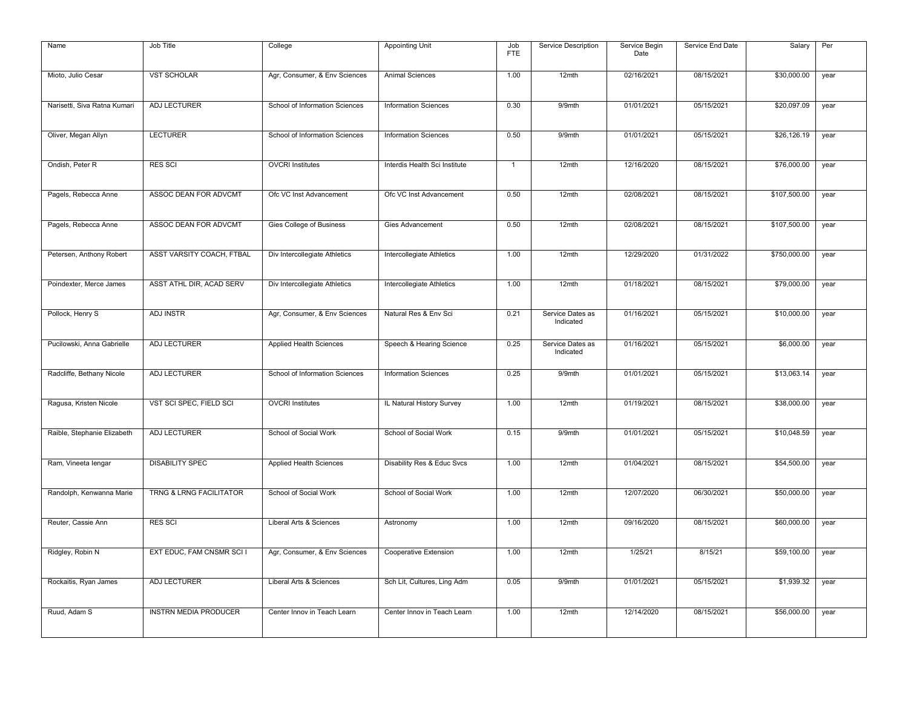| Name                         | Job Title                          | College                        | Appointing Unit               | Job<br>FTE     | Service Description           | Service Begin<br>Date | Service End Date | Salary       | Per  |
|------------------------------|------------------------------------|--------------------------------|-------------------------------|----------------|-------------------------------|-----------------------|------------------|--------------|------|
| Mioto, Julio Cesar           | <b>VST SCHOLAR</b>                 | Agr, Consumer, & Env Sciences  | Animal Sciences               | 1.00           | 12mth                         | 02/16/2021            | 08/15/2021       | \$30,000.00  | year |
| Narisetti, Siva Ratna Kumari | <b>ADJ LECTURER</b>                | School of Information Sciences | <b>Information Sciences</b>   | 0.30           | 9/9mth                        | 01/01/2021            | 05/15/2021       | \$20,097.09  | year |
| Oliver, Megan Allyn          | <b>LECTURER</b>                    | School of Information Sciences | <b>Information Sciences</b>   | 0.50           | 9/9mth                        | 01/01/2021            | 05/15/2021       | \$26,126.19  | year |
| Ondish, Peter R              | <b>RES SCI</b>                     | <b>OVCRI</b> Institutes        | Interdis Health Sci Institute | $\overline{1}$ | 12mth                         | 12/16/2020            | 08/15/2021       | \$76,000.00  | year |
| Pagels, Rebecca Anne         | ASSOC DEAN FOR ADVCMT              | Ofc VC Inst Advancement        | Ofc VC Inst Advancement       | 0.50           | $12$ mth                      | 02/08/2021            | 08/15/2021       | \$107,500.00 | year |
| Pagels, Rebecca Anne         | ASSOC DEAN FOR ADVCMT              | Gies College of Business       | Gies Advancement              | 0.50           | 12mth                         | 02/08/2021            | 08/15/2021       | \$107,500.00 | year |
| Petersen, Anthony Robert     | ASST VARSITY COACH, FTBAL          | Div Intercollegiate Athletics  | Intercollegiate Athletics     | 1.00           | $12$ mth                      | 12/29/2020            | 01/31/2022       | \$750,000.00 | year |
| Poindexter, Merce James      | ASST ATHL DIR, ACAD SERV           | Div Intercollegiate Athletics  | Intercollegiate Athletics     | 1.00           | 12mth                         | 01/18/2021            | 08/15/2021       | \$79,000.00  | year |
| Pollock, Henry S             | <b>ADJ INSTR</b>                   | Agr, Consumer, & Env Sciences  | Natural Res & Env Sci         | 0.21           | Service Dates as<br>Indicated | 01/16/2021            | 05/15/2021       | \$10,000.00  | year |
| Pucilowski, Anna Gabrielle   | <b>ADJ LECTURER</b>                | Applied Health Sciences        | Speech & Hearing Science      | 0.25           | Service Dates as<br>Indicated | 01/16/2021            | 05/15/2021       | \$6,000.00   | year |
| Radcliffe, Bethany Nicole    | <b>ADJ LECTURER</b>                | School of Information Sciences | <b>Information Sciences</b>   | 0.25           | 9/9mth                        | 01/01/2021            | 05/15/2021       | \$13,063.14  | year |
| Ragusa, Kristen Nicole       | VST SCI SPEC, FIELD SCI            | <b>OVCRI</b> Institutes        | IL Natural History Survey     | 1.00           | 12mth                         | 01/19/2021            | 08/15/2021       | \$38,000.00  | year |
| Raible, Stephanie Elizabeth  | <b>ADJ LECTURER</b>                | School of Social Work          | School of Social Work         | 0.15           | 9/9mth                        | 01/01/2021            | 05/15/2021       | \$10,048.59  | year |
| Ram, Vineeta lengar          | <b>DISABILITY SPEC</b>             | Applied Health Sciences        | Disability Res & Educ Svcs    | 1.00           | 12mth                         | 01/04/2021            | 08/15/2021       | \$54,500.00  | year |
| Randolph, Kenwanna Marie     | <b>TRNG &amp; LRNG FACILITATOR</b> | School of Social Work          | School of Social Work         | 1.00           | 12mth                         | 12/07/2020            | 06/30/2021       | \$50,000.00  | year |
| Reuter, Cassie Ann           | <b>RES SCI</b>                     | Liberal Arts & Sciences        | Astronomy                     | 1.00           | 12mth                         | 09/16/2020            | 08/15/2021       | \$60,000.00  | year |
| Ridgley, Robin N             | EXT EDUC, FAM CNSMR SCI I          | Agr, Consumer, & Env Sciences  | Cooperative Extension         | 1.00           | 12mth                         | 1/25/21               | 8/15/21          | \$59,100.00  | year |
| Rockaitis, Ryan James        | ADJ LECTURER                       | Liberal Arts & Sciences        | Sch Lit, Cultures, Ling Adm   | 0.05           | 9/9mth                        | 01/01/2021            | 05/15/2021       | \$1,939.32   | year |
| Ruud, Adam S                 | <b>INSTRN MEDIA PRODUCER</b>       | Center Innov in Teach Learn    | Center Innov in Teach Learn   | 1.00           | 12mth                         | 12/14/2020            | 08/15/2021       | \$56,000.00  | year |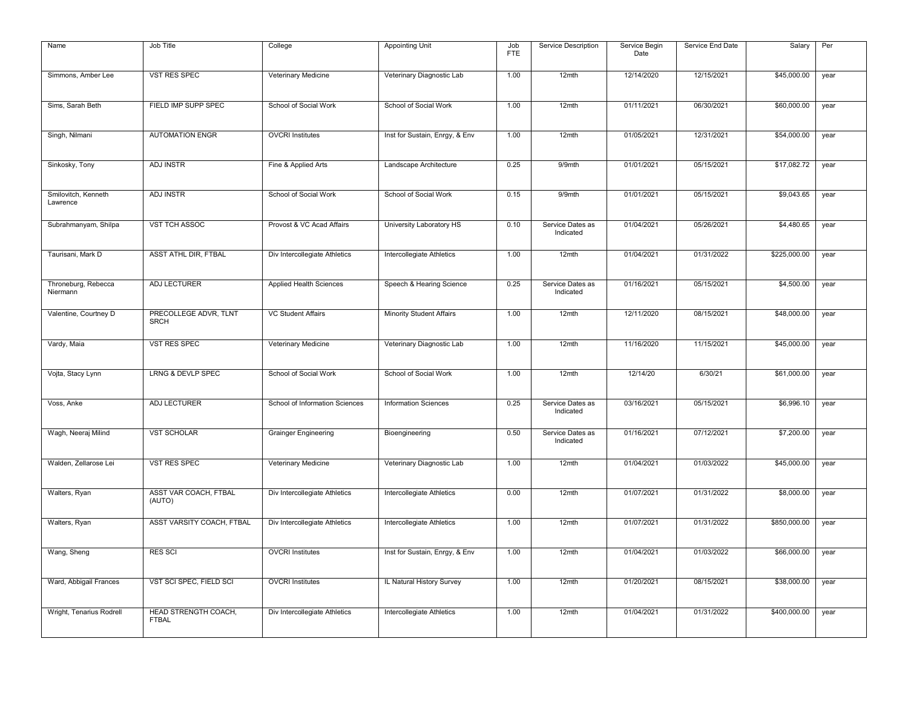| Name                            | Job Title                                   | College                        | <b>Appointing Unit</b>          | Job<br>FTE | Service Description           | Service Begin<br>Date | Service End Date | Salary       | Per  |
|---------------------------------|---------------------------------------------|--------------------------------|---------------------------------|------------|-------------------------------|-----------------------|------------------|--------------|------|
| Simmons, Amber Lee              | <b>VST RES SPEC</b>                         | Veterinary Medicine            | Veterinary Diagnostic Lab       | 1.00       | 12mth                         | 12/14/2020            | 12/15/2021       | \$45,000.00  | year |
| Sims, Sarah Beth                | FIELD IMP SUPP SPEC                         | School of Social Work          | School of Social Work           | 1.00       | 12mth                         | 01/11/2021            | 06/30/2021       | \$60,000.00  | year |
| Singh, Nilmani                  | <b>AUTOMATION ENGR</b>                      | <b>OVCRI</b> Institutes        | Inst for Sustain, Enrgy, & Env  | 1.00       | 12mth                         | 01/05/2021            | 12/31/2021       | \$54,000.00  | year |
| Sinkosky, Tony                  | <b>ADJ INSTR</b>                            | Fine & Applied Arts            | Landscape Architecture          | 0.25       | 9/9mth                        | 01/01/2021            | 05/15/2021       | \$17,082.72  | year |
| Smilovitch, Kenneth<br>Lawrence | <b>ADJ INSTR</b>                            | School of Social Work          | School of Social Work           | 0.15       | 9/9mth                        | 01/01/2021            | 05/15/2021       | \$9,043.65   | year |
| Subrahmanyam, Shilpa            | <b>VST TCH ASSOC</b>                        | Provost & VC Acad Affairs      | University Laboratory HS        | 0.10       | Service Dates as<br>Indicated | 01/04/2021            | 05/26/2021       | \$4,480.65   | year |
| Taurisani, Mark D               | ASST ATHL DIR, FTBAL                        | Div Intercollegiate Athletics  | Intercollegiate Athletics       | 1.00       | 12mth                         | 01/04/2021            | 01/31/2022       | \$225,000.00 | year |
| Throneburg, Rebecca<br>Niermann | <b>ADJ LECTURER</b>                         | Applied Health Sciences        | Speech & Hearing Science        | 0.25       | Service Dates as<br>Indicated | 01/16/2021            | 05/15/2021       | \$4,500.00   | year |
| Valentine, Courtney D           | PRECOLLEGE ADVR, TLNT<br><b>SRCH</b>        | <b>VC Student Affairs</b>      | <b>Minority Student Affairs</b> | 1.00       | 12mth                         | 12/11/2020            | 08/15/2021       | \$48,000.00  | year |
| Vardy, Maia                     | <b>VST RES SPEC</b>                         | Veterinary Medicine            | Veterinary Diagnostic Lab       | 1.00       | 12mth                         | 11/16/2020            | 11/15/2021       | \$45,000.00  | year |
| Vojta, Stacy Lynn               | <b>LRNG &amp; DEVLP SPEC</b>                | School of Social Work          | School of Social Work           | 1.00       | 12mth                         | 12/14/20              | 6/30/21          | \$61,000.00  | year |
| Voss, Anke                      | <b>ADJ LECTURER</b>                         | School of Information Sciences | <b>Information Sciences</b>     | 0.25       | Service Dates as<br>Indicated | 03/16/2021            | 05/15/2021       | \$6,996.10   | year |
| Wagh, Neeraj Milind             | <b>VST SCHOLAR</b>                          | <b>Grainger Engineering</b>    | Bioengineering                  | 0.50       | Service Dates as<br>Indicated | 01/16/2021            | 07/12/2021       | \$7,200.00   | year |
| Walden, Zellarose Lei           | VST RES SPEC                                | Veterinary Medicine            | Veterinary Diagnostic Lab       | 1.00       | 12mth                         | 01/04/2021            | 01/03/2022       | \$45,000.00  | year |
| Walters, Ryan                   | ASST VAR COACH, FTBAL<br>(AUTO)             | Div Intercollegiate Athletics  | Intercollegiate Athletics       | 0.00       | $12$ mth                      | 01/07/2021            | 01/31/2022       | \$8,000.00   | year |
| Walters, Ryan                   | ASST VARSITY COACH, FTBAL                   | Div Intercollegiate Athletics  | Intercollegiate Athletics       | 1.00       | 12mth                         | 01/07/2021            | 01/31/2022       | \$850,000.00 | year |
| Wang, Sheng                     | <b>RES SCI</b>                              | <b>OVCRI</b> Institutes        | Inst for Sustain, Enrgy, & Env  | 1.00       | 12mth                         | 01/04/2021            | 01/03/2022       | \$66,000.00  | year |
| Ward, Abbigail Frances          | VST SCI SPEC, FIELD SCI                     | <b>OVCRI</b> Institutes        | IL Natural History Survey       | 1.00       | 12mth                         | 01/20/2021            | 08/15/2021       | \$38,000.00  | year |
| Wright, Tenarius Rodrell        | <b>HEAD STRENGTH COACH,</b><br><b>FTBAL</b> | Div Intercollegiate Athletics  | Intercollegiate Athletics       | 1.00       | 12mth                         | 01/04/2021            | 01/31/2022       | \$400,000.00 | year |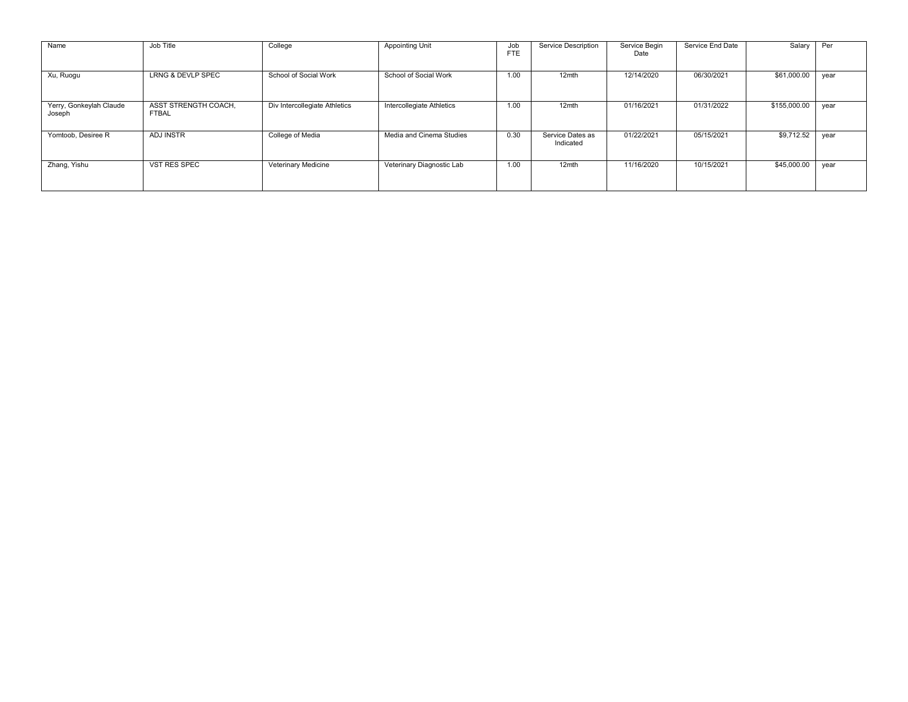| Name                              | Job Title                            | College                       | <b>Appointing Unit</b>    | Job<br><b>FTE</b> | Service Description           | Service Begin<br>Date | Service End Date | Salary       | Per  |
|-----------------------------------|--------------------------------------|-------------------------------|---------------------------|-------------------|-------------------------------|-----------------------|------------------|--------------|------|
| Xu, Ruogu                         | <b>LRNG &amp; DEVLP SPEC</b>         | School of Social Work         | School of Social Work     | 1.00              | 12mth                         | 12/14/2020            | 06/30/2021       | \$61,000.00  | year |
| Yerry, Gonkeylah Claude<br>Joseph | ASST STRENGTH COACH,<br><b>FTBAL</b> | Div Intercollegiate Athletics | Intercollegiate Athletics | 1.00              | 12mth                         | 01/16/2021            | 01/31/2022       | \$155,000.00 | year |
| Yomtoob, Desiree R                | <b>ADJ INSTR</b>                     | College of Media              | Media and Cinema Studies  | 0.30              | Service Dates as<br>Indicated | 01/22/2021            | 05/15/2021       | \$9,712.52   | year |
| Zhang, Yishu                      | <b>VST RES SPEC</b>                  | Veterinary Medicine           | Veterinary Diagnostic Lab | 1.00              | 12mth                         | 11/16/2020            | 10/15/2021       | \$45,000.00  | vear |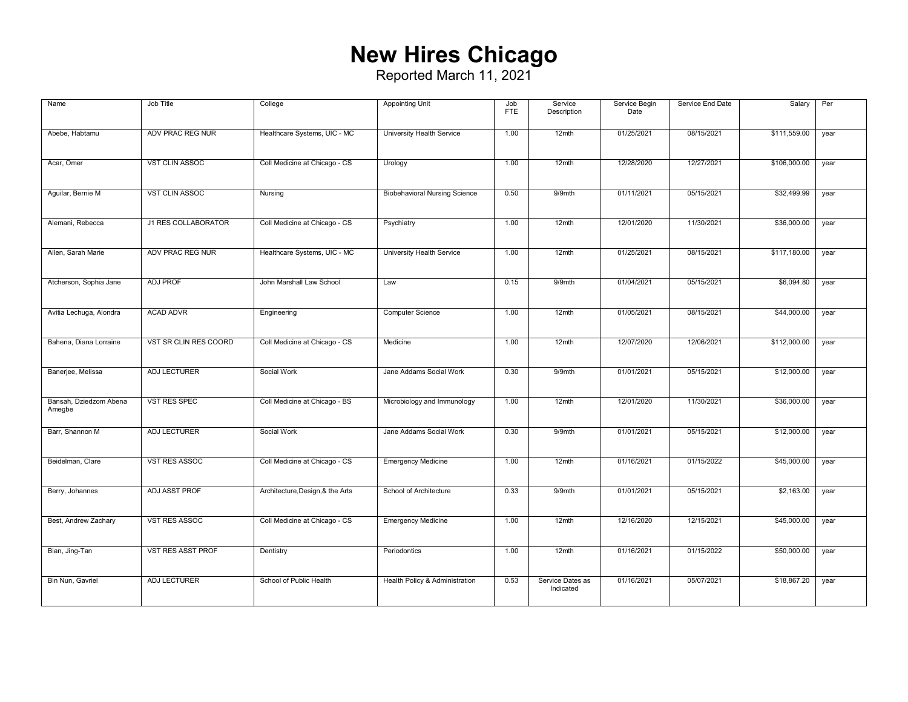## **New Hires Chicago**

| Name                             | Job Title             | College                          | <b>Appointing Unit</b>               | Job<br><b>FTE</b> | Service<br>Description        | Service Begin<br>Date | Service End Date | Salary       | Per  |
|----------------------------------|-----------------------|----------------------------------|--------------------------------------|-------------------|-------------------------------|-----------------------|------------------|--------------|------|
| Abebe, Habtamu                   | ADV PRAC REG NUR      | Healthcare Systems, UIC - MC     | University Health Service            | 1.00              | $12$ mth                      | 01/25/2021            | 08/15/2021       | \$111,559.00 | year |
| Acar, Omer                       | <b>VST CLIN ASSOC</b> | Coll Medicine at Chicago - CS    | Urology                              | 1.00              | 12mth                         | 12/28/2020            | 12/27/2021       | \$106,000.00 | year |
| Aguilar, Bernie M                | <b>VST CLIN ASSOC</b> | Nursing                          | <b>Biobehavioral Nursing Science</b> | 0.50              | 9/9mth                        | 01/11/2021            | 05/15/2021       | \$32,499.99  | year |
| Alemani, Rebecca                 | J1 RES COLLABORATOR   | Coll Medicine at Chicago - CS    | Psychiatry                           | 1.00              | 12mth                         | 12/01/2020            | 11/30/2021       | \$36,000.00  | year |
| Allen, Sarah Marie               | ADV PRAC REG NUR      | Healthcare Systems, UIC - MC     | University Health Service            | 1.00              | $12$ mth                      | 01/25/2021            | 08/15/2021       | \$117,180.00 | year |
| Atcherson, Sophia Jane           | <b>ADJ PROF</b>       | John Marshall Law School         | Law                                  | 0.15              | 9/9mth                        | 01/04/2021            | 05/15/2021       | \$6,094.80   | year |
| Avitia Lechuga, Alondra          | <b>ACAD ADVR</b>      | Engineering                      | Computer Science                     | 1.00              | 12mth                         | 01/05/2021            | 08/15/2021       | \$44,000.00  | year |
| Bahena, Diana Lorraine           | VST SR CLIN RES COORD | Coll Medicine at Chicago - CS    | Medicine                             | 1.00              | 12mth                         | 12/07/2020            | 12/06/2021       | \$112,000.00 | year |
| Banerjee, Melissa                | ADJ LECTURER          | Social Work                      | Jane Addams Social Work              | 0.30              | 9/9mth                        | 01/01/2021            | 05/15/2021       | \$12,000.00  | year |
| Bansah, Dziedzom Abena<br>Amegbe | VST RES SPEC          | Coll Medicine at Chicago - BS    | Microbiology and Immunology          | 1.00              | 12mth                         | 12/01/2020            | 11/30/2021       | \$36,000.00  | year |
| Barr, Shannon M                  | ADJ LECTURER          | Social Work                      | Jane Addams Social Work              | 0.30              | 9/9mth                        | 01/01/2021            | 05/15/2021       | \$12,000.00  | year |
| Beidelman, Clare                 | <b>VST RES ASSOC</b>  | Coll Medicine at Chicago - CS    | <b>Emergency Medicine</b>            | 1.00              | $12$ mth                      | 01/16/2021            | 01/15/2022       | \$45,000.00  | year |
| Berry, Johannes                  | ADJ ASST PROF         | Architecture, Design, & the Arts | School of Architecture               | 0.33              | 9/9mth                        | 01/01/2021            | 05/15/2021       | \$2,163.00   | year |
| Best, Andrew Zachary             | <b>VST RES ASSOC</b>  | Coll Medicine at Chicago - CS    | <b>Emergency Medicine</b>            | 1.00              | 12mth                         | 12/16/2020            | 12/15/2021       | \$45,000.00  | year |
| Bian, Jing-Tan                   | VST RES ASST PROF     | Dentistry                        | Periodontics                         | 1.00              | 12mth                         | 01/16/2021            | 01/15/2022       | \$50,000.00  | year |
| Bin Nun, Gavriel                 | ADJ LECTURER          | School of Public Health          | Health Policy & Administration       | 0.53              | Service Dates as<br>Indicated | 01/16/2021            | 05/07/2021       | \$18,867.20  | year |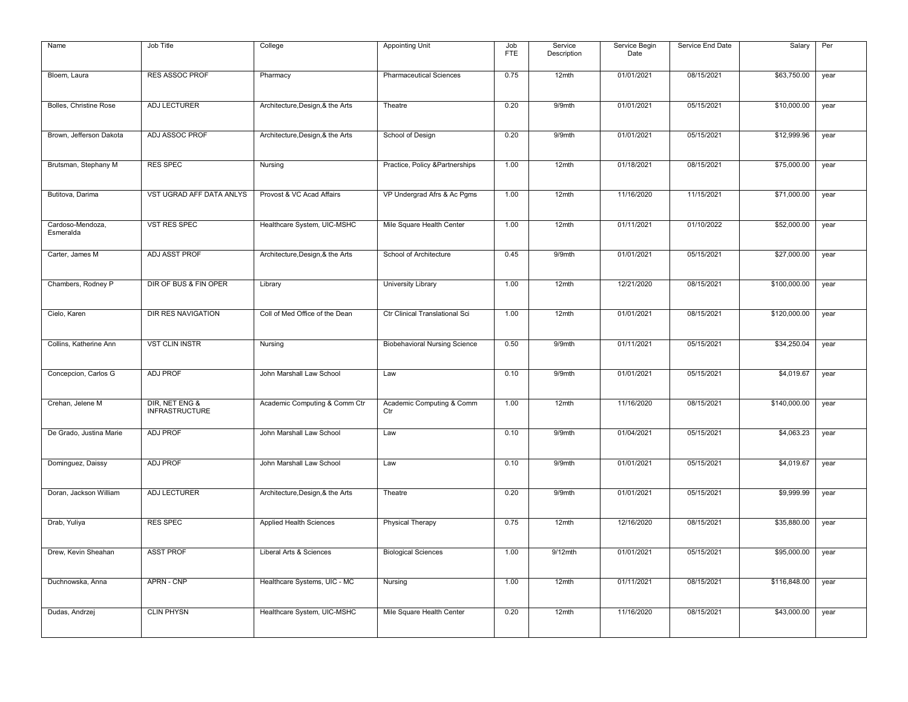| Name                          | Job Title                               | College                          | <b>Appointing Unit</b>               | Job<br><b>FTE</b> | Service<br>Description | Service Begin<br>Date | Service End Date | Salary       | Per  |
|-------------------------------|-----------------------------------------|----------------------------------|--------------------------------------|-------------------|------------------------|-----------------------|------------------|--------------|------|
| Bloem, Laura                  | <b>RES ASSOC PROF</b>                   | Pharmacy                         | <b>Pharmaceutical Sciences</b>       | 0.75              | 12mth                  | 01/01/2021            | 08/15/2021       | \$63,750.00  | year |
| Bolles, Christine Rose        | ADJ LECTURER                            | Architecture, Design, & the Arts | Theatre                              | 0.20              | 9/9mth                 | 01/01/2021            | 05/15/2021       | \$10,000.00  | year |
| Brown, Jefferson Dakota       | ADJ ASSOC PROF                          | Architecture, Design, & the Arts | School of Design                     | 0.20              | 9/9mth                 | 01/01/2021            | 05/15/2021       | \$12,999.96  | year |
| Brutsman, Stephany M          | <b>RES SPEC</b>                         | Nursing                          | Practice, Policy & Partnerships      | 1.00              | 12mth                  | 01/18/2021            | 08/15/2021       | \$75,000.00  | year |
| Butitova, Darima              | VST UGRAD AFF DATA ANLYS                | Provost & VC Acad Affairs        | VP Undergrad Afrs & Ac Pgms          | 1.00              | 12mth                  | 11/16/2020            | 11/15/2021       | \$71,000.00  | year |
| Cardoso-Mendoza,<br>Esmeralda | VST RES SPEC                            | Healthcare System, UIC-MSHC      | Mile Square Health Center            | 1.00              | 12mth                  | 01/11/2021            | 01/10/2022       | \$52,000.00  | year |
| Carter, James M               | ADJ ASST PROF                           | Architecture, Design, & the Arts | School of Architecture               | 0.45              | 9/9mth                 | 01/01/2021            | 05/15/2021       | \$27,000.00  | year |
| Chambers, Rodney P            | DIR OF BUS & FIN OPER                   | Library                          | University Library                   | 1.00              | 12mth                  | 12/21/2020            | 08/15/2021       | \$100,000.00 | year |
| Cielo, Karen                  | DIR RES NAVIGATION                      | Coll of Med Office of the Dean   | Ctr Clinical Translational Sci       | 1.00              | 12mth                  | 01/01/2021            | 08/15/2021       | \$120,000.00 | year |
| Collins, Katherine Ann        | <b>VST CLIN INSTR</b>                   | Nursing                          | <b>Biobehavioral Nursing Science</b> | 0.50              | 9/9mth                 | 01/11/2021            | 05/15/2021       | \$34,250.04  | year |
| Concepcion, Carlos G          | <b>ADJ PROF</b>                         | John Marshall Law School         | Law                                  | 0.10              | 9/9mth                 | 01/01/2021            | 05/15/2021       | \$4,019.67   | year |
| Crehan, Jelene M              | DIR, NET ENG &<br><b>INFRASTRUCTURE</b> | Academic Computing & Comm Ctr    | Academic Computing & Comm<br>Ctr     | 1.00              | 12mth                  | 11/16/2020            | 08/15/2021       | \$140,000.00 | year |
| De Grado, Justina Marie       | <b>ADJ PROF</b>                         | John Marshall Law School         | Law                                  | 0.10              | 9/9mth                 | 01/04/2021            | 05/15/2021       | \$4,063.23   | year |
| Dominguez, Daissy             | <b>ADJ PROF</b>                         | John Marshall Law School         | Law                                  | 0.10              | 9/9mth                 | 01/01/2021            | 05/15/2021       | \$4,019.67   | year |
| Doran, Jackson William        | ADJ LECTURER                            | Architecture, Design, & the Arts | Theatre                              | 0.20              | 9/9mth                 | 01/01/2021            | 05/15/2021       | \$9,999.99   | year |
| Drab, Yuliya                  | <b>RES SPEC</b>                         | Applied Health Sciences          | <b>Physical Therapy</b>              | 0.75              | 12mth                  | 12/16/2020            | 08/15/2021       | \$35,880.00  | year |
| Drew, Kevin Sheahan           | <b>ASST PROF</b>                        | Liberal Arts & Sciences          | <b>Biological Sciences</b>           | 1.00              | $9/12$ mth             | 01/01/2021            | 05/15/2021       | \$95,000.00  | year |
| Duchnowska, Anna              | APRN - CNP                              | Healthcare Systems, UIC - MC     | Nursing                              | 1.00              | 12mth                  | 01/11/2021            | 08/15/2021       | \$116,848.00 | year |
| Dudas, Andrzej                | <b>CLIN PHYSN</b>                       | Healthcare System, UIC-MSHC      | Mile Square Health Center            | 0.20              | 12mth                  | 11/16/2020            | 08/15/2021       | \$43,000.00  | year |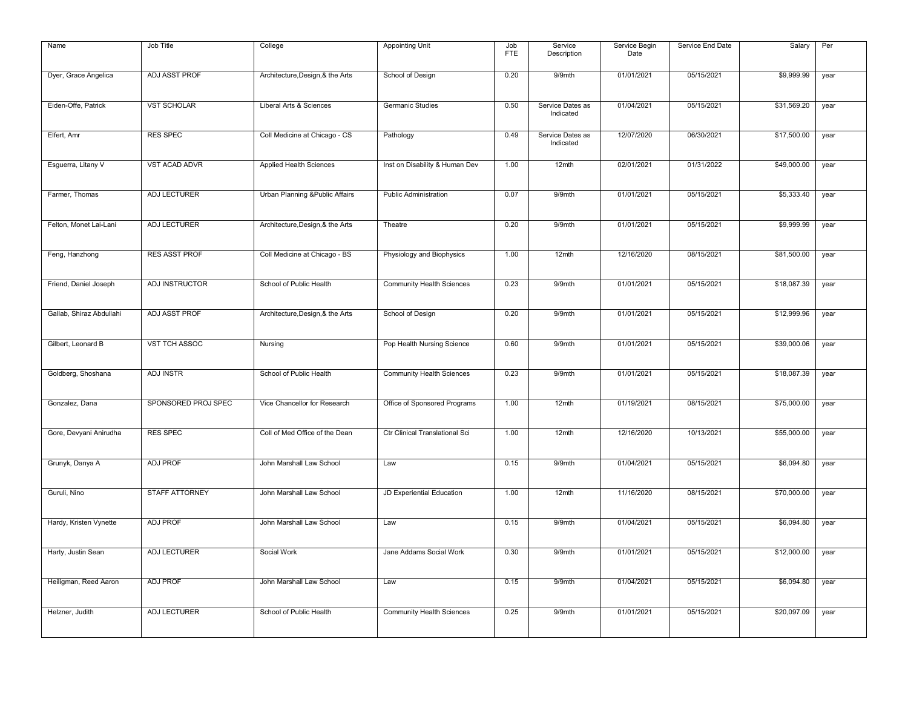| Name                     | Job Title             | College                          | <b>Appointing Unit</b>           | Job        | Service                       | Service Begin | Service End Date | Salary      | Per  |
|--------------------------|-----------------------|----------------------------------|----------------------------------|------------|-------------------------------|---------------|------------------|-------------|------|
|                          |                       |                                  |                                  | <b>FTE</b> | Description                   | Date          |                  |             |      |
| Dyer, Grace Angelica     | ADJ ASST PROF         | Architecture, Design, & the Arts | School of Design                 | 0.20       | 9/9mth                        | 01/01/2021    | 05/15/2021       | \$9,999.99  | year |
| Eiden-Offe, Patrick      | <b>VST SCHOLAR</b>    | Liberal Arts & Sciences          | Germanic Studies                 | 0.50       | Service Dates as<br>Indicated | 01/04/2021    | 05/15/2021       | \$31,569.20 | year |
| Elfert, Amr              | <b>RES SPEC</b>       | Coll Medicine at Chicago - CS    | Pathology                        | 0.49       | Service Dates as<br>Indicated | 12/07/2020    | 06/30/2021       | \$17,500.00 | year |
| Esguerra, Litany V       | <b>VST ACAD ADVR</b>  | Applied Health Sciences          | Inst on Disability & Human Dev   | 1.00       | 12mth                         | 02/01/2021    | 01/31/2022       | \$49,000.00 | year |
| Farmer, Thomas           | ADJ LECTURER          | Urban Planning & Public Affairs  | Public Administration            | 0.07       | 9/9mth                        | 01/01/2021    | 05/15/2021       | \$5,333.40  | year |
| Felton, Monet Lai-Lani   | ADJ LECTURER          | Architecture, Design, & the Arts | Theatre                          | 0.20       | 9/9mth                        | 01/01/2021    | 05/15/2021       | \$9,999.99  | year |
| Feng, Hanzhong           | <b>RES ASST PROF</b>  | Coll Medicine at Chicago - BS    | Physiology and Biophysics        | 1.00       | 12mth                         | 12/16/2020    | 08/15/2021       | \$81,500.00 | year |
| Friend, Daniel Joseph    | ADJ INSTRUCTOR        | School of Public Health          | <b>Community Health Sciences</b> | 0.23       | 9/9mth                        | 01/01/2021    | 05/15/2021       | \$18,087.39 | year |
| Gallab, Shiraz Abdullahi | ADJ ASST PROF         | Architecture, Design, & the Arts | School of Design                 | 0.20       | 9/9mth                        | 01/01/2021    | 05/15/2021       | \$12,999.96 | year |
| Gilbert, Leonard B       | <b>VST TCH ASSOC</b>  | Nursing                          | Pop Health Nursing Science       | 0.60       | 9/9mth                        | 01/01/2021    | 05/15/2021       | \$39,000.06 | year |
| Goldberg, Shoshana       | ADJ INSTR             | School of Public Health          | <b>Community Health Sciences</b> | 0.23       | 9/9mth                        | 01/01/2021    | 05/15/2021       | \$18,087.39 | year |
| Gonzalez, Dana           | SPONSORED PROJ SPEC   | Vice Chancellor for Research     | Office of Sponsored Programs     | 1.00       | 12mth                         | 01/19/2021    | 08/15/2021       | \$75,000.00 | year |
| Gore, Devyani Anirudha   | <b>RES SPEC</b>       | Coll of Med Office of the Dean   | Ctr Clinical Translational Sci   | 1.00       | 12mth                         | 12/16/2020    | 10/13/2021       | \$55,000.00 | year |
| Grunyk, Danya A          | <b>ADJ PROF</b>       | John Marshall Law School         | Law                              | 0.15       | 9/9mth                        | 01/04/2021    | 05/15/2021       | \$6,094.80  | year |
| Guruli, Nino             | <b>STAFF ATTORNEY</b> | John Marshall Law School         | JD Experiential Education        | 1.00       | 12mth                         | 11/16/2020    | 08/15/2021       | \$70,000.00 | year |
| Hardy, Kristen Vynette   | <b>ADJ PROF</b>       | John Marshall Law School         | Law                              | 0.15       | 9/9mth                        | 01/04/2021    | 05/15/2021       | \$6,094.80  | year |
| Harty, Justin Sean       | <b>ADJ LECTURER</b>   | Social Work                      | Jane Addams Social Work          | 0.30       | 9/9mth                        | 01/01/2021    | 05/15/2021       | \$12,000.00 | year |
| Heiligman, Reed Aaron    | <b>ADJ PROF</b>       | John Marshall Law School         | Law                              | 0.15       | 9/9mth                        | 01/04/2021    | 05/15/2021       | \$6,094.80  | year |
| Helzner, Judith          | ADJ LECTURER          | School of Public Health          | <b>Community Health Sciences</b> | 0.25       | 9/9mth                        | 01/01/2021    | 05/15/2021       | \$20,097.09 | year |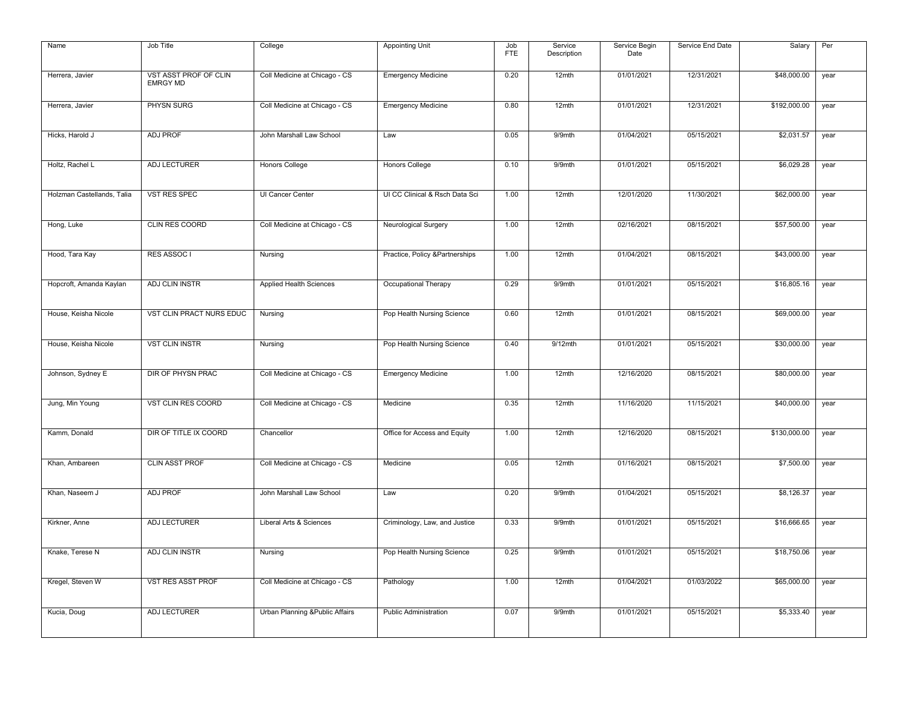| Name                       | Job Title                                | College                         | <b>Appointing Unit</b>         | Job<br><b>FTE</b> | Service<br>Description | Service Begin<br>Date | Service End Date | Salary       | Per  |
|----------------------------|------------------------------------------|---------------------------------|--------------------------------|-------------------|------------------------|-----------------------|------------------|--------------|------|
| Herrera, Javier            | VST ASST PROF OF CLIN<br><b>EMRGY MD</b> | Coll Medicine at Chicago - CS   | <b>Emergency Medicine</b>      | 0.20              | 12mth                  | 01/01/2021            | 12/31/2021       | \$48,000.00  | year |
| Herrera, Javier            | PHYSN SURG                               | Coll Medicine at Chicago - CS   | <b>Emergency Medicine</b>      | 0.80              | 12mth                  | 01/01/2021            | 12/31/2021       | \$192,000.00 | year |
| Hicks, Harold J            | <b>ADJ PROF</b>                          | John Marshall Law School        | Law                            | 0.05              | 9/9mth                 | 01/04/2021            | 05/15/2021       | \$2,031.57   | year |
| Holtz, Rachel L            | <b>ADJ LECTURER</b>                      | <b>Honors College</b>           | <b>Honors College</b>          | 0.10              | 9/9mth                 | 01/01/2021            | 05/15/2021       | \$6,029.28   | year |
| Holzman Castellands, Talia | VST RES SPEC                             | UI Cancer Center                | UI CC Clinical & Rsch Data Sci | 1.00              | 12mth                  | 12/01/2020            | 11/30/2021       | \$62,000.00  | year |
| Hong, Luke                 | CLIN RES COORD                           | Coll Medicine at Chicago - CS   | Neurological Surgery           | 1.00              | 12mth                  | 02/16/2021            | 08/15/2021       | \$57,500.00  | year |
| Hood, Tara Kay             | RES ASSOC I                              | Nursing                         | Practice, Policy &Partnerships | 1.00              | 12mth                  | 01/04/2021            | 08/15/2021       | \$43,000.00  | year |
| Hopcroft, Amanda Kaylan    | ADJ CLIN INSTR                           | Applied Health Sciences         | Occupational Therapy           | 0.29              | 9/9mth                 | 01/01/2021            | 05/15/2021       | \$16,805.16  | year |
| House, Keisha Nicole       | VST CLIN PRACT NURS EDUC                 | Nursing                         | Pop Health Nursing Science     | 0.60              | 12mth                  | 01/01/2021            | 08/15/2021       | \$69,000.00  | year |
| House, Keisha Nicole       | <b>VST CLIN INSTR</b>                    | Nursing                         | Pop Health Nursing Science     | 0.40              | $9/12$ mth             | 01/01/2021            | 05/15/2021       | \$30,000.00  | year |
| Johnson, Sydney E          | DIR OF PHYSN PRAC                        | Coll Medicine at Chicago - CS   | <b>Emergency Medicine</b>      | 1.00              | 12mth                  | 12/16/2020            | 08/15/2021       | \$80,000.00  | year |
| Jung, Min Young            | VST CLIN RES COORD                       | Coll Medicine at Chicago - CS   | Medicine                       | 0.35              | 12mth                  | 11/16/2020            | 11/15/2021       | \$40,000.00  | year |
| Kamm, Donald               | DIR OF TITLE IX COORD                    | Chancellor                      | Office for Access and Equity   | 1.00              | 12mth                  | 12/16/2020            | 08/15/2021       | \$130,000.00 | year |
| Khan, Ambareen             | <b>CLIN ASST PROF</b>                    | Coll Medicine at Chicago - CS   | Medicine                       | 0.05              | 12mth                  | 01/16/2021            | 08/15/2021       | \$7,500.00   | year |
| Khan, Naseem J             | <b>ADJ PROF</b>                          | John Marshall Law School        | Law                            | 0.20              | 9/9mth                 | 01/04/2021            | 05/15/2021       | \$8,126.37   | year |
| Kirkner, Anne              | ADJ LECTURER                             | Liberal Arts & Sciences         | Criminology, Law, and Justice  | 0.33              | 9/9mth                 | 01/01/2021            | 05/15/2021       | \$16,666.65  | year |
| Knake, Terese N            | ADJ CLIN INSTR                           | Nursing                         | Pop Health Nursing Science     | 0.25              | 9/9mth                 | 01/01/2021            | 05/15/2021       | \$18,750.06  | year |
| Kregel, Steven W           | VST RES ASST PROF                        | Coll Medicine at Chicago - CS   | Pathology                      | 1.00              | 12mth                  | 01/04/2021            | 01/03/2022       | \$65,000.00  | year |
| Kucia, Doug                | ADJ LECTURER                             | Urban Planning & Public Affairs | <b>Public Administration</b>   | 0.07              | 9/9mth                 | 01/01/2021            | 05/15/2021       | \$5,333.40   | year |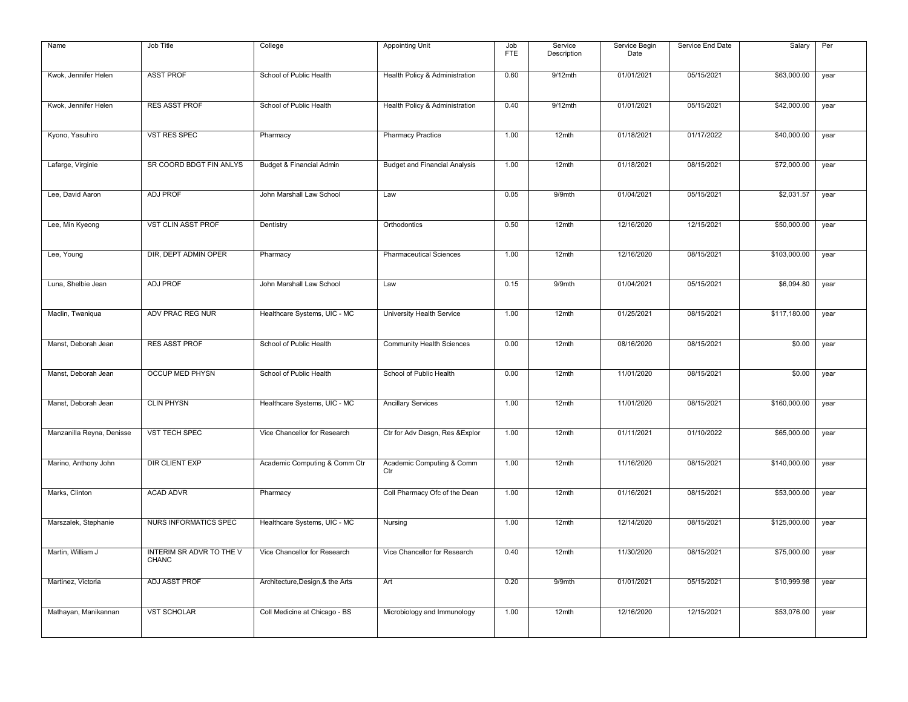| Name                      | Job Title                                | College                          | <b>Appointing Unit</b>               | Job<br><b>FTE</b> | Service<br>Description | Service Begin<br>Date | Service End Date | Salary       | Per  |
|---------------------------|------------------------------------------|----------------------------------|--------------------------------------|-------------------|------------------------|-----------------------|------------------|--------------|------|
| Kwok, Jennifer Helen      | <b>ASST PROF</b>                         | School of Public Health          | Health Policy & Administration       | 0.60              | $9/12$ mth             | 01/01/2021            | 05/15/2021       | \$63,000.00  | year |
| Kwok, Jennifer Helen      | <b>RES ASST PROF</b>                     | School of Public Health          | Health Policy & Administration       | 0.40              | $9/12$ mth             | 01/01/2021            | 05/15/2021       | \$42,000.00  | year |
| Kyono, Yasuhiro           | <b>VST RES SPEC</b>                      | Pharmacy                         | <b>Pharmacy Practice</b>             | 1.00              | 12mth                  | 01/18/2021            | 01/17/2022       | \$40,000.00  | year |
| Lafarge, Virginie         | SR COORD BDGT FIN ANLYS                  | Budget & Financial Admin         | <b>Budget and Financial Analysis</b> | 1.00              | 12mth                  | 01/18/2021            | 08/15/2021       | \$72,000.00  | year |
| Lee, David Aaron          | <b>ADJ PROF</b>                          | John Marshall Law School         | Law                                  | 0.05              | 9/9mth                 | 01/04/2021            | 05/15/2021       | \$2,031.57   | year |
| Lee, Min Kyeong           | VST CLIN ASST PROF                       | Dentistry                        | Orthodontics                         | 0.50              | 12mth                  | 12/16/2020            | 12/15/2021       | \$50,000.00  | year |
| Lee, Young                | DIR, DEPT ADMIN OPER                     | Pharmacy                         | <b>Pharmaceutical Sciences</b>       | 1.00              | 12mth                  | 12/16/2020            | 08/15/2021       | \$103,000.00 | year |
| Luna, Shelbie Jean        | <b>ADJ PROF</b>                          | John Marshall Law School         | Law                                  | 0.15              | 9/9mth                 | 01/04/2021            | 05/15/2021       | \$6,094.80   | year |
| Maclin, Twaniqua          | ADV PRAC REG NUR                         | Healthcare Systems, UIC - MC     | University Health Service            | 1.00              | 12mth                  | 01/25/2021            | 08/15/2021       | \$117,180.00 | year |
| Manst, Deborah Jean       | <b>RES ASST PROF</b>                     | School of Public Health          | Community Health Sciences            | 0.00              | 12 <sub>mth</sub>      | 08/16/2020            | 08/15/2021       | \$0.00       | year |
| Manst, Deborah Jean       | <b>OCCUP MED PHYSN</b>                   | School of Public Health          | School of Public Health              | 0.00              | 12mth                  | 11/01/2020            | 08/15/2021       | \$0.00       | year |
| Manst, Deborah Jean       | <b>CLIN PHYSN</b>                        | Healthcare Systems, UIC - MC     | <b>Ancillary Services</b>            | 1.00              | 12 <sub>mth</sub>      | 11/01/2020            | 08/15/2021       | \$160,000.00 | year |
| Manzanilla Reyna, Denisse | <b>VST TECH SPEC</b>                     | Vice Chancellor for Research     | Ctr for Adv Desgn, Res & Explor      | 1.00              | 12mth                  | 01/11/2021            | 01/10/2022       | \$65,000.00  | year |
| Marino, Anthony John      | DIR CLIENT EXP                           | Academic Computing & Comm Ctr    | Academic Computing & Comm<br>Ctr     | 1.00              | 12mth                  | 11/16/2020            | 08/15/2021       | \$140,000.00 | year |
| Marks, Clinton            | <b>ACAD ADVR</b>                         | Pharmacy                         | Coll Pharmacy Ofc of the Dean        | 1.00              | 12mth                  | 01/16/2021            | 08/15/2021       | \$53,000.00  | year |
| Marszalek, Stephanie      | <b>NURS INFORMATICS SPEC</b>             | Healthcare Systems, UIC - MC     | Nursing                              | 1.00              | 12mth                  | 12/14/2020            | 08/15/2021       | \$125,000.00 | year |
| Martin, William J         | INTERIM SR ADVR TO THE V<br><b>CHANC</b> | Vice Chancellor for Research     | Vice Chancellor for Research         | 0.40              | $12$ mth               | 11/30/2020            | 08/15/2021       | \$75,000.00  | year |
| Martinez, Victoria        | ADJ ASST PROF                            | Architecture, Design, & the Arts | Art                                  | 0.20              | 9/9mth                 | 01/01/2021            | 05/15/2021       | \$10,999.98  | year |
| Mathayan, Manikannan      | <b>VST SCHOLAR</b>                       | Coll Medicine at Chicago - BS    | Microbiology and Immunology          | 1.00              | 12mth                  | 12/16/2020            | 12/15/2021       | \$53,076.00  | year |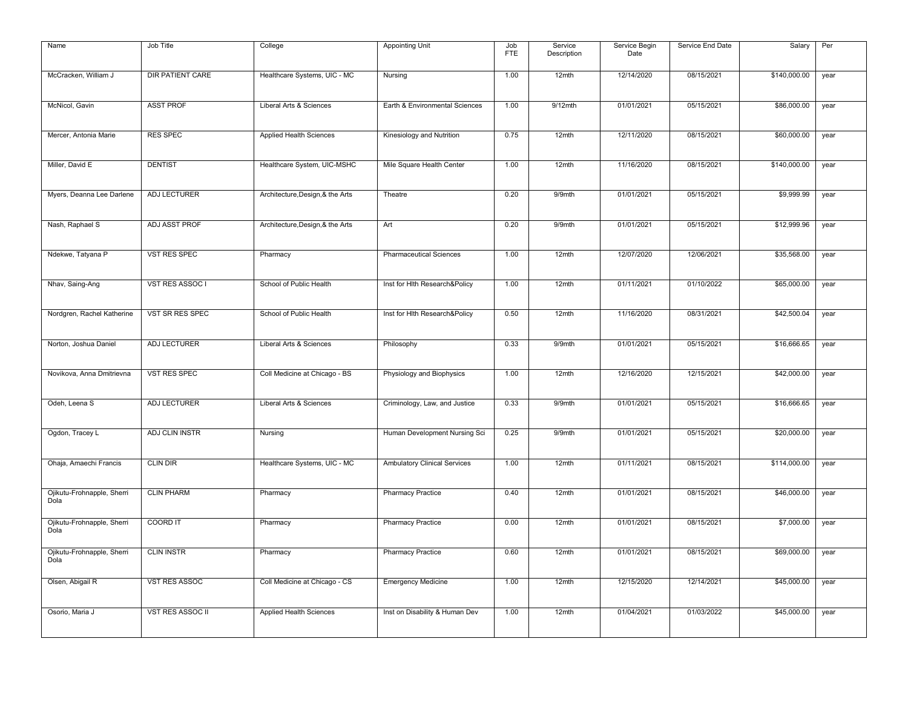| Name                               | Job Title               | College                          | <b>Appointing Unit</b>              | Job        | Service     | Service Begin | Service End Date | Salary       | Per  |
|------------------------------------|-------------------------|----------------------------------|-------------------------------------|------------|-------------|---------------|------------------|--------------|------|
|                                    |                         |                                  |                                     | <b>FTE</b> | Description | Date          |                  |              |      |
| McCracken, William J               | <b>DIR PATIENT CARE</b> | Healthcare Systems, UIC - MC     | Nursing                             | 1.00       | 12mth       | 12/14/2020    | 08/15/2021       | \$140,000.00 | year |
| McNicol, Gavin                     | <b>ASST PROF</b>        | Liberal Arts & Sciences          | Earth & Environmental Sciences      | 1.00       | $9/12$ mth  | 01/01/2021    | 05/15/2021       | \$86,000.00  | year |
| Mercer, Antonia Marie              | <b>RES SPEC</b>         | Applied Health Sciences          | Kinesiology and Nutrition           | 0.75       | 12mth       | 12/11/2020    | 08/15/2021       | \$60,000.00  | year |
| Miller, David E                    | <b>DENTIST</b>          | Healthcare System, UIC-MSHC      | Mile Square Health Center           | 1.00       | 12mth       | 11/16/2020    | 08/15/2021       | \$140,000.00 | year |
| Myers, Deanna Lee Darlene          | ADJ LECTURER            | Architecture, Design, & the Arts | Theatre                             | 0.20       | 9/9mth      | 01/01/2021    | 05/15/2021       | \$9,999.99   | year |
| Nash, Raphael S                    | ADJ ASST PROF           | Architecture, Design, & the Arts | Art                                 | 0.20       | 9/9mth      | 01/01/2021    | 05/15/2021       | \$12,999.96  | year |
| Ndekwe, Tatyana P                  | VST RES SPEC            | Pharmacy                         | <b>Pharmaceutical Sciences</b>      | 1.00       | 12mth       | 12/07/2020    | 12/06/2021       | \$35,568.00  | year |
| Nhav, Saing-Ang                    | VST RES ASSOC I         | School of Public Health          | Inst for Hith Research&Policy       | 1.00       | 12mth       | 01/11/2021    | 01/10/2022       | \$65,000.00  | year |
| Nordgren, Rachel Katherine         | VST SR RES SPEC         | School of Public Health          | Inst for Hith Research&Policy       | 0.50       | 12mth       | 11/16/2020    | 08/31/2021       | \$42,500.04  | year |
| Norton, Joshua Daniel              | ADJ LECTURER            | Liberal Arts & Sciences          | Philosophy                          | 0.33       | 9/9mth      | 01/01/2021    | 05/15/2021       | \$16,666.65  | year |
| Novikova, Anna Dmitrievna          | VST RES SPEC            | Coll Medicine at Chicago - BS    | Physiology and Biophysics           | 1.00       | 12mth       | 12/16/2020    | 12/15/2021       | \$42,000.00  | year |
| Odeh, Leena S                      | <b>ADJ LECTURER</b>     | Liberal Arts & Sciences          | Criminology, Law, and Justice       | 0.33       | 9/9mth      | 01/01/2021    | 05/15/2021       | \$16,666.65  | year |
| Ogdon, Tracey L                    | ADJ CLIN INSTR          | Nursing                          | Human Development Nursing Sci       | 0.25       | $9/9$ mth   | 01/01/2021    | 05/15/2021       | \$20,000.00  | year |
| Ohaja, Amaechi Francis             | <b>CLIN DIR</b>         | Healthcare Systems, UIC - MC     | <b>Ambulatory Clinical Services</b> | 1.00       | 12mth       | 01/11/2021    | 08/15/2021       | \$114,000.00 | year |
| Ojikutu-Frohnapple, Sherri<br>Dola | <b>CLIN PHARM</b>       | Pharmacy                         | <b>Pharmacy Practice</b>            | 0.40       | 12mth       | 01/01/2021    | 08/15/2021       | \$46,000.00  | year |
| Ojikutu-Frohnapple, Sherri<br>Dola | <b>COORD IT</b>         | Pharmacy                         | <b>Pharmacy Practice</b>            | 0.00       | 12mth       | 01/01/2021    | 08/15/2021       | \$7,000.00   | year |
| Ojikutu-Frohnapple, Sherri<br>Dola | <b>CLIN INSTR</b>       | Pharmacy                         | <b>Pharmacy Practice</b>            | 0.60       | 12mth       | 01/01/2021    | 08/15/2021       | \$69,000.00  | year |
| Olsen, Abigail R                   | <b>VST RES ASSOC</b>    | Coll Medicine at Chicago - CS    | <b>Emergency Medicine</b>           | 1.00       | 12mth       | 12/15/2020    | 12/14/2021       | \$45,000.00  | year |
| Osorio, Maria J                    | <b>VST RES ASSOC II</b> | <b>Applied Health Sciences</b>   | Inst on Disability & Human Dev      | 1.00       | 12mth       | 01/04/2021    | 01/03/2022       | \$45,000.00  | year |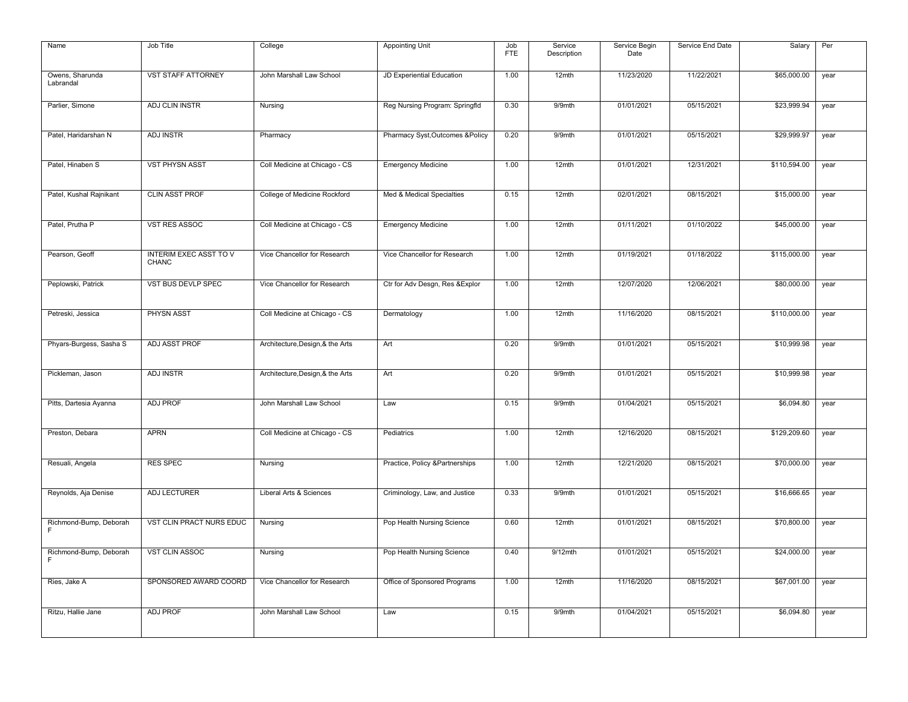| Name                         | Job Title                              | College                          | <b>Appointing Unit</b>           | Job<br><b>FTE</b> | Service<br>Description | Service Begin<br>Date | Service End Date | Salary       | Per  |
|------------------------------|----------------------------------------|----------------------------------|----------------------------------|-------------------|------------------------|-----------------------|------------------|--------------|------|
| Owens, Sharunda<br>Labrandal | <b>VST STAFF ATTORNEY</b>              | John Marshall Law School         | JD Experiential Education        | 1.00              | 12mth                  | 11/23/2020            | 11/22/2021       | \$65,000.00  | year |
| Parlier, Simone              | ADJ CLIN INSTR                         | Nursing                          | Reg Nursing Program: Springfld   | 0.30              | 9/9mth                 | 01/01/2021            | 05/15/2021       | \$23,999.94  | year |
| Patel, Haridarshan N         | <b>ADJ INSTR</b>                       | Pharmacy                         | Pharmacy Syst, Outcomes & Policy | 0.20              | 9/9mth                 | 01/01/2021            | 05/15/2021       | \$29,999.97  | year |
| Patel, Hinaben S             | <b>VST PHYSN ASST</b>                  | Coll Medicine at Chicago - CS    | <b>Emergency Medicine</b>        | 1.00              | 12mth                  | 01/01/2021            | 12/31/2021       | \$110,594.00 | year |
| Patel, Kushal Rajnikant      | <b>CLIN ASST PROF</b>                  | College of Medicine Rockford     | Med & Medical Specialties        | 0.15              | 12mth                  | 02/01/2021            | 08/15/2021       | \$15,000.00  | year |
| Patel, Prutha P              | VST RES ASSOC                          | Coll Medicine at Chicago - CS    | <b>Emergency Medicine</b>        | 1.00              | 12mth                  | 01/11/2021            | 01/10/2022       | \$45,000.00  | year |
| Pearson, Geoff               | <b>INTERIM EXEC ASST TO V</b><br>CHANC | Vice Chancellor for Research     | Vice Chancellor for Research     | 1.00              | 12mth                  | 01/19/2021            | 01/18/2022       | \$115,000.00 | year |
| Peplowski, Patrick           | VST BUS DEVLP SPEC                     | Vice Chancellor for Research     | Ctr for Adv Desgn, Res & Explor  | 1.00              | 12mth                  | 12/07/2020            | 12/06/2021       | \$80,000.00  | year |
| Petreski, Jessica            | <b>PHYSN ASST</b>                      | Coll Medicine at Chicago - CS    | Dermatology                      | 1.00              | 12mth                  | 11/16/2020            | 08/15/2021       | \$110,000.00 | year |
| Phyars-Burgess, Sasha S      | <b>ADJ ASST PROF</b>                   | Architecture, Design, & the Arts | Art                              | 0.20              | 9/9mth                 | 01/01/2021            | 05/15/2021       | \$10,999.98  | year |
| Pickleman, Jason             | ADJ INSTR                              | Architecture, Design, & the Arts | Art                              | 0.20              | 9/9mth                 | 01/01/2021            | 05/15/2021       | \$10,999.98  | year |
| Pitts, Dartesia Ayanna       | <b>ADJ PROF</b>                        | John Marshall Law School         | Law                              | 0.15              | 9/9mth                 | 01/04/2021            | 05/15/2021       | \$6,094.80   | year |
| Preston, Debara              | <b>APRN</b>                            | Coll Medicine at Chicago - CS    | Pediatrics                       | 1.00              | 12mth                  | 12/16/2020            | 08/15/2021       | \$129,209.60 | year |
| Resuali, Angela              | <b>RES SPEC</b>                        | Nursing                          | Practice, Policy &Partnerships   | 1.00              | 12mth                  | 12/21/2020            | 08/15/2021       | \$70,000.00  | year |
| Reynolds, Aja Denise         | ADJ LECTURER                           | Liberal Arts & Sciences          | Criminology, Law, and Justice    | 0.33              | 9/9mth                 | 01/01/2021            | 05/15/2021       | \$16,666.65  | year |
| Richmond-Bump, Deborah<br>F  | VST CLIN PRACT NURS EDUC               | Nursing                          | Pop Health Nursing Science       | 0.60              | 12mth                  | 01/01/2021            | 08/15/2021       | \$70,800.00  | year |
| Richmond-Bump, Deborah<br>F  | <b>VST CLIN ASSOC</b>                  | Nursing                          | Pop Health Nursing Science       | 0.40              | $9/12$ mth             | 01/01/2021            | 05/15/2021       | \$24,000.00  | year |
| Ries, Jake A                 | SPONSORED AWARD COORD                  | Vice Chancellor for Research     | Office of Sponsored Programs     | 1.00              | 12mth                  | 11/16/2020            | 08/15/2021       | \$67,001.00  | year |
| Ritzu, Hallie Jane           | <b>ADJ PROF</b>                        | John Marshall Law School         | Law                              | 0.15              | 9/9mth                 | 01/04/2021            | 05/15/2021       | \$6,094.80   | year |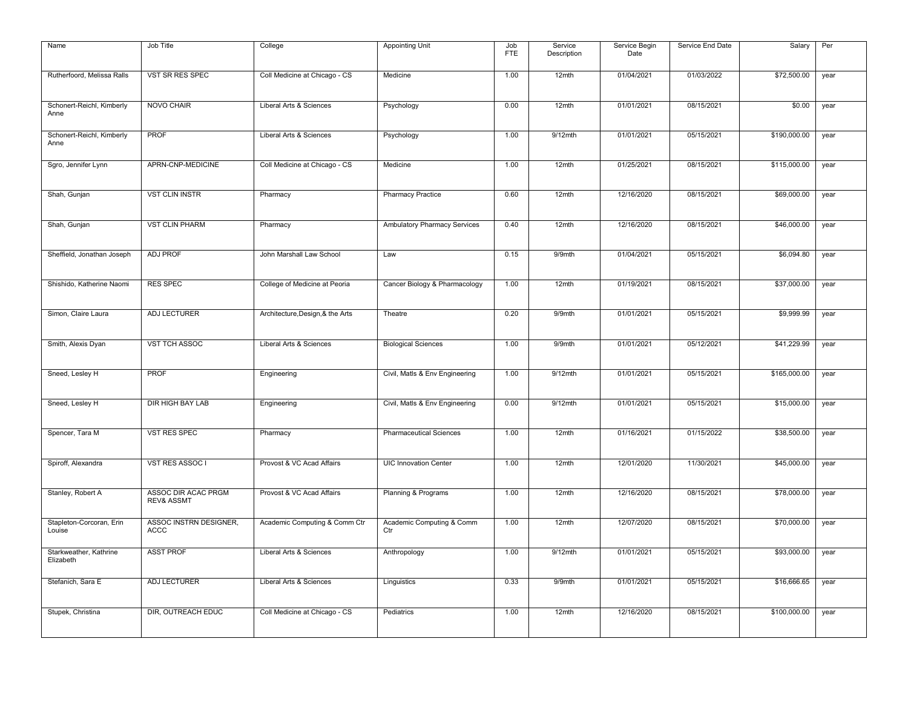| Name                                | Job Title                                    | College                          | <b>Appointing Unit</b>           | Job<br><b>FTE</b> | Service<br>Description | Service Begin<br>Date | Service End Date | Salary       | Per  |
|-------------------------------------|----------------------------------------------|----------------------------------|----------------------------------|-------------------|------------------------|-----------------------|------------------|--------------|------|
| Rutherfoord, Melissa Ralls          | VST SR RES SPEC                              | Coll Medicine at Chicago - CS    | Medicine                         | 1.00              | 12mth                  | 01/04/2021            | 01/03/2022       | \$72,500.00  | year |
| Schonert-Reichl, Kimberly<br>Anne   | NOVO CHAIR                                   | Liberal Arts & Sciences          | Psychology                       | 0.00              | 12mth                  | 01/01/2021            | 08/15/2021       | \$0.00       | year |
| Schonert-Reichl, Kimberly<br>Anne   | <b>PROF</b>                                  | Liberal Arts & Sciences          | Psychology                       | 1.00              | $9/12$ mth             | 01/01/2021            | 05/15/2021       | \$190,000.00 | year |
| Sgro, Jennifer Lynn                 | APRN-CNP-MEDICINE                            | Coll Medicine at Chicago - CS    | Medicine                         | 1.00              | 12mth                  | 01/25/2021            | 08/15/2021       | \$115,000.00 | year |
| Shah, Gunjan                        | <b>VST CLIN INSTR</b>                        | Pharmacy                         | <b>Pharmacy Practice</b>         | 0.60              | 12mth                  | 12/16/2020            | 08/15/2021       | \$69,000.00  | year |
| Shah, Gunjan                        | <b>VST CLIN PHARM</b>                        | Pharmacy                         | Ambulatory Pharmacy Services     | 0.40              | 12mth                  | 12/16/2020            | 08/15/2021       | \$46,000.00  | year |
| Sheffield, Jonathan Joseph          | <b>ADJ PROF</b>                              | John Marshall Law School         | Law                              | 0.15              | 9/9mth                 | 01/04/2021            | 05/15/2021       | \$6,094.80   | year |
| Shishido, Katherine Naomi           | <b>RES SPEC</b>                              | College of Medicine at Peoria    | Cancer Biology & Pharmacology    | 1.00              | 12mth                  | 01/19/2021            | 08/15/2021       | \$37,000.00  | year |
| Simon, Claire Laura                 | ADJ LECTURER                                 | Architecture, Design, & the Arts | Theatre                          | 0.20              | 9/9mth                 | 01/01/2021            | 05/15/2021       | \$9,999.99   | year |
| Smith, Alexis Dyan                  | VST TCH ASSOC                                | Liberal Arts & Sciences          | <b>Biological Sciences</b>       | 1.00              | 9/9mth                 | 01/01/2021            | 05/12/2021       | \$41,229.99  | year |
| Sneed, Lesley H                     | PROF                                         | Engineering                      | Civil, Matls & Env Engineering   | 1.00              | 9/12mth                | 01/01/2021            | 05/15/2021       | \$165,000.00 | year |
| Sneed, Lesley H                     | <b>DIR HIGH BAY LAB</b>                      | Engineering                      | Civil, Matls & Env Engineering   | 0.00              | $9/12$ mth             | 01/01/2021            | 05/15/2021       | \$15,000.00  | year |
| Spencer, Tara M                     | <b>VST RES SPEC</b>                          | Pharmacy                         | <b>Pharmaceutical Sciences</b>   | 1.00              | 12mth                  | 01/16/2021            | 01/15/2022       | \$38,500.00  | year |
| Spiroff, Alexandra                  | VST RES ASSOC I                              | Provost & VC Acad Affairs        | <b>UIC Innovation Center</b>     | 1.00              | 12mth                  | 12/01/2020            | 11/30/2021       | \$45,000.00  | year |
| Stanley, Robert A                   | ASSOC DIR ACAC PRGM<br><b>REV&amp; ASSMT</b> | Provost & VC Acad Affairs        | Planning & Programs              | 1.00              | 12mth                  | 12/16/2020            | 08/15/2021       | \$78,000.00  | year |
| Stapleton-Corcoran, Erin<br>Louise  | ASSOC INSTRN DESIGNER,<br>ACCC               | Academic Computing & Comm Ctr    | Academic Computing & Comm<br>Ctr | 1.00              | 12mth                  | 12/07/2020            | 08/15/2021       | \$70,000.00  | year |
| Starkweather, Kathrine<br>Elizabeth | <b>ASST PROF</b>                             | Liberal Arts & Sciences          | Anthropology                     | 1.00              | 9/12mth                | 01/01/2021            | 05/15/2021       | \$93,000.00  | year |
| Stefanich, Sara E                   | ADJ LECTURER                                 | Liberal Arts & Sciences          | Linguistics                      | 0.33              | 9/9mth                 | 01/01/2021            | 05/15/2021       | \$16,666.65  | year |
| Stupek, Christina                   | DIR, OUTREACH EDUC                           | Coll Medicine at Chicago - CS    | Pediatrics                       | 1.00              | 12mth                  | 12/16/2020            | 08/15/2021       | \$100,000.00 | year |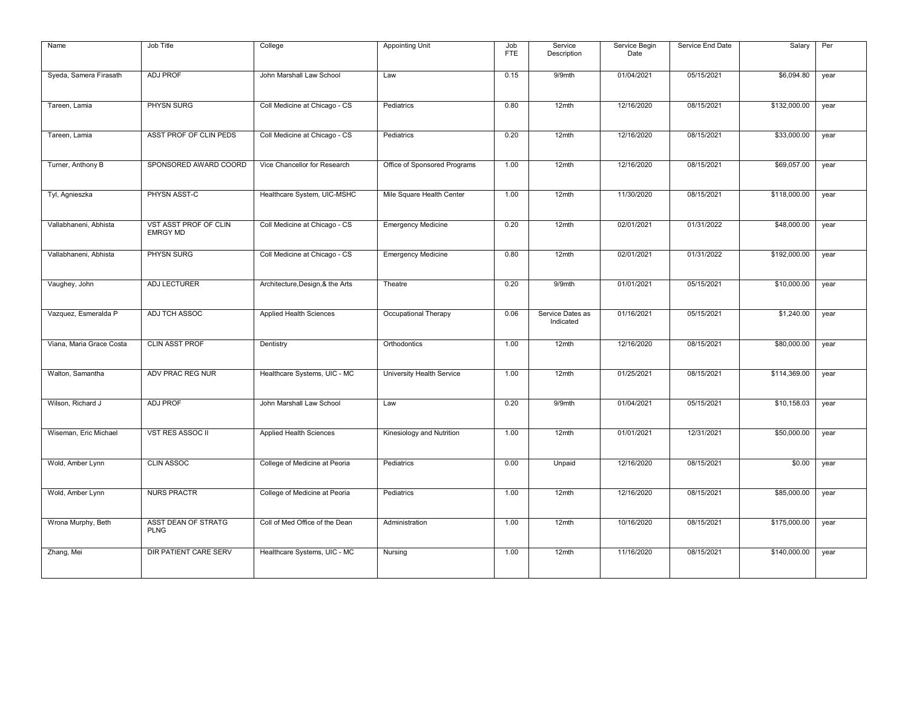| Name                     | Job Title                                | College                          | Appointing Unit              | Job        | Service                       | Service Begin | Service End Date | Salary       | Per  |
|--------------------------|------------------------------------------|----------------------------------|------------------------------|------------|-------------------------------|---------------|------------------|--------------|------|
|                          |                                          |                                  |                              | <b>FTE</b> | Description                   | Date          |                  |              |      |
| Syeda, Samera Firasath   | <b>ADJ PROF</b>                          | John Marshall Law School         | Law                          | 0.15       | 9/9mth                        | 01/04/2021    | 05/15/2021       | \$6,094.80   | year |
| Tareen, Lamia            | PHYSN SURG                               | Coll Medicine at Chicago - CS    | Pediatrics                   | 0.80       | 12mth                         | 12/16/2020    | 08/15/2021       | \$132,000.00 | year |
| Tareen, Lamia            | ASST PROF OF CLIN PEDS                   | Coll Medicine at Chicago - CS    | Pediatrics                   | 0.20       | 12mth                         | 12/16/2020    | 08/15/2021       | \$33,000.00  | year |
| Turner, Anthony B        | SPONSORED AWARD COORD                    | Vice Chancellor for Research     | Office of Sponsored Programs | 1.00       | 12mth                         | 12/16/2020    | 08/15/2021       | \$69,057.00  | year |
| Tyl, Agnieszka           | PHYSN ASST-C                             | Healthcare System, UIC-MSHC      | Mile Square Health Center    | 1.00       | 12mth                         | 11/30/2020    | 08/15/2021       | \$118,000.00 | year |
| Vallabhaneni, Abhista    | VST ASST PROF OF CLIN<br><b>EMRGY MD</b> | Coll Medicine at Chicago - CS    | <b>Emergency Medicine</b>    | 0.20       | $12$ mth                      | 02/01/2021    | 01/31/2022       | \$48,000.00  | year |
| Vallabhaneni, Abhista    | PHYSN SURG                               | Coll Medicine at Chicago - CS    | <b>Emergency Medicine</b>    | 0.80       | 12mth                         | 02/01/2021    | 01/31/2022       | \$192,000.00 | year |
| Vaughey, John            | ADJ LECTURER                             | Architecture, Design, & the Arts | Theatre                      | 0.20       | 9/9mth                        | 01/01/2021    | 05/15/2021       | \$10,000.00  | year |
| Vazquez, Esmeralda P     | ADJ TCH ASSOC                            | <b>Applied Health Sciences</b>   | Occupational Therapy         | 0.06       | Service Dates as<br>Indicated | 01/16/2021    | 05/15/2021       | \$1,240.00   | year |
| Viana, Maria Grace Costa | <b>CLIN ASST PROF</b>                    | Dentistry                        | Orthodontics                 | 1.00       | 12mth                         | 12/16/2020    | 08/15/2021       | \$80,000.00  | year |
| Walton, Samantha         | ADV PRAC REG NUR                         | Healthcare Systems, UIC - MC     | University Health Service    | 1.00       | 12mth                         | 01/25/2021    | 08/15/2021       | \$114,369.00 | year |
| Wilson, Richard J        | <b>ADJ PROF</b>                          | John Marshall Law School         | Law                          | 0.20       | 9/9mth                        | 01/04/2021    | 05/15/2021       | \$10,158.03  | year |
| Wiseman, Eric Michael    | <b>VST RES ASSOC II</b>                  | Applied Health Sciences          | Kinesiology and Nutrition    | 1.00       | 12mth                         | 01/01/2021    | 12/31/2021       | \$50,000.00  | year |
| Wold, Amber Lynn         | <b>CLIN ASSOC</b>                        | College of Medicine at Peoria    | Pediatrics                   | 0.00       | Unpaid                        | 12/16/2020    | 08/15/2021       | \$0.00       | year |
| Wold, Amber Lynn         | <b>NURS PRACTR</b>                       | College of Medicine at Peoria    | Pediatrics                   | 1.00       | 12mth                         | 12/16/2020    | 08/15/2021       | \$85,000.00  | year |
| Wrona Murphy, Beth       | ASST DEAN OF STRATG<br><b>PLNG</b>       | Coll of Med Office of the Dean   | Administration               | 1.00       | 12mth                         | 10/16/2020    | 08/15/2021       | \$175,000.00 | year |
| Zhang, Mei               | <b>DIR PATIENT CARE SERV</b>             | Healthcare Systems, UIC - MC     | Nursing                      | 1.00       | 12mth                         | 11/16/2020    | 08/15/2021       | \$140,000.00 | year |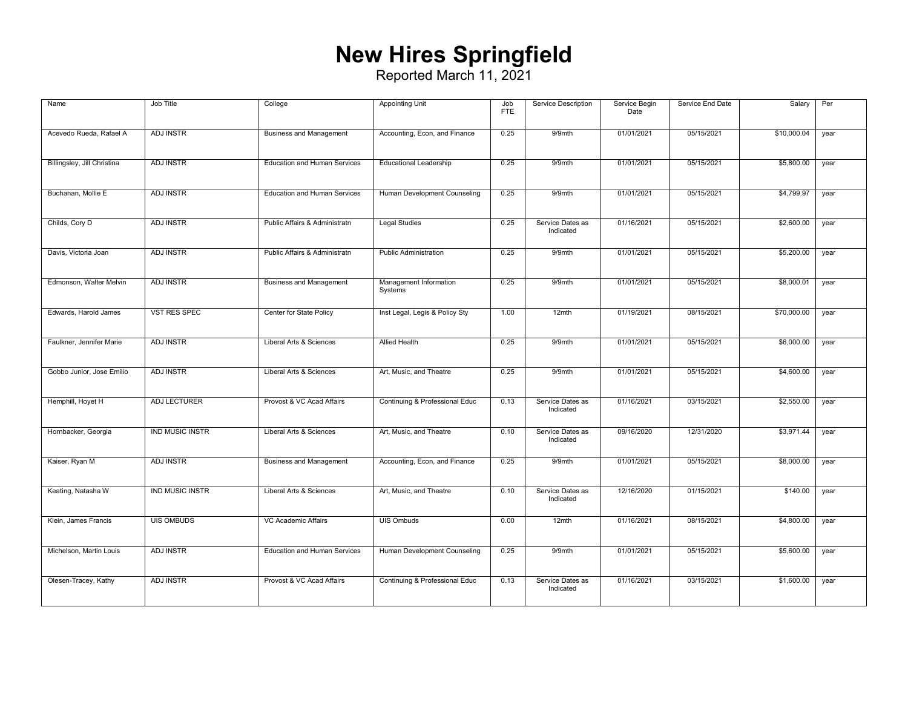## **New Hires Springfield**

| Name                        | Job Title              | College                             | <b>Appointing Unit</b>            | Job<br><b>FTE</b> | Service Description           | Service Begin<br>Date | Service End Date | Salary      | Per  |
|-----------------------------|------------------------|-------------------------------------|-----------------------------------|-------------------|-------------------------------|-----------------------|------------------|-------------|------|
| Acevedo Rueda, Rafael A     | <b>ADJ INSTR</b>       | <b>Business and Management</b>      | Accounting, Econ, and Finance     | 0.25              | 9/9mth                        | 01/01/2021            | 05/15/2021       | \$10,000.04 | year |
| Billingsley, Jill Christina | <b>ADJ INSTR</b>       | <b>Education and Human Services</b> | <b>Educational Leadership</b>     | 0.25              | 9/9mth                        | 01/01/2021            | 05/15/2021       | \$5,800.00  | year |
| Buchanan, Mollie E          | <b>ADJ INSTR</b>       | <b>Education and Human Services</b> | Human Development Counseling      | 0.25              | 9/9mth                        | 01/01/2021            | 05/15/2021       | \$4,799.97  | year |
| Childs, Cory D              | <b>ADJ INSTR</b>       | Public Affairs & Administratn       | <b>Legal Studies</b>              | 0.25              | Service Dates as<br>Indicated | 01/16/2021            | 05/15/2021       | \$2,600.00  | year |
| Davis, Victoria Joan        | <b>ADJ INSTR</b>       | Public Affairs & Administratn       | <b>Public Administration</b>      | 0.25              | 9/9mth                        | 01/01/2021            | 05/15/2021       | \$5,200.00  | year |
| Edmonson, Walter Melvin     | <b>ADJ INSTR</b>       | <b>Business and Management</b>      | Management Information<br>Systems | 0.25              | $9/9$ mth                     | 01/01/2021            | 05/15/2021       | \$8,000.01  | year |
| Edwards, Harold James       | <b>VST RES SPEC</b>    | Center for State Policy             | Inst Legal, Legis & Policy Sty    | 1.00              | 12mth                         | 01/19/2021            | 08/15/2021       | \$70,000.00 | year |
| Faulkner, Jennifer Marie    | ADJ INSTR              | Liberal Arts & Sciences             | <b>Allied Health</b>              | 0.25              | 9/9mth                        | 01/01/2021            | 05/15/2021       | \$6,000.00  | year |
| Gobbo Junior, Jose Emilio   | <b>ADJ INSTR</b>       | Liberal Arts & Sciences             | Art, Music, and Theatre           | 0.25              | 9/9mth                        | 01/01/2021            | 05/15/2021       | \$4,600.00  | year |
| Hemphill, Hoyet H           | ADJ LECTURER           | Provost & VC Acad Affairs           | Continuing & Professional Educ    | 0.13              | Service Dates as<br>Indicated | 01/16/2021            | 03/15/2021       | \$2,550.00  | year |
| Hornbacker, Georgia         | <b>IND MUSIC INSTR</b> | Liberal Arts & Sciences             | Art, Music, and Theatre           | 0.10              | Service Dates as<br>Indicated | 09/16/2020            | 12/31/2020       | \$3,971.44  | year |
| Kaiser, Ryan M              | <b>ADJ INSTR</b>       | <b>Business and Management</b>      | Accounting, Econ, and Finance     | 0.25              | $9/9$ mth                     | 01/01/2021            | 05/15/2021       | \$8,000.00  | year |
| Keating, Natasha W          | <b>IND MUSIC INSTR</b> | Liberal Arts & Sciences             | Art, Music, and Theatre           | 0.10              | Service Dates as<br>Indicated | 12/16/2020            | 01/15/2021       | \$140.00    | year |
| Klein, James Francis        | <b>UIS OMBUDS</b>      | VC Academic Affairs                 | UIS Ombuds                        | 0.00              | 12mth                         | 01/16/2021            | 08/15/2021       | \$4,800.00  | year |
| Michelson, Martin Louis     | <b>ADJ INSTR</b>       | <b>Education and Human Services</b> | Human Development Counseling      | 0.25              | 9/9mth                        | 01/01/2021            | 05/15/2021       | \$5,600.00  | year |
| Olesen-Tracey, Kathy        | <b>ADJ INSTR</b>       | Provost & VC Acad Affairs           | Continuing & Professional Educ    | 0.13              | Service Dates as<br>Indicated | 01/16/2021            | 03/15/2021       | \$1,600.00  | year |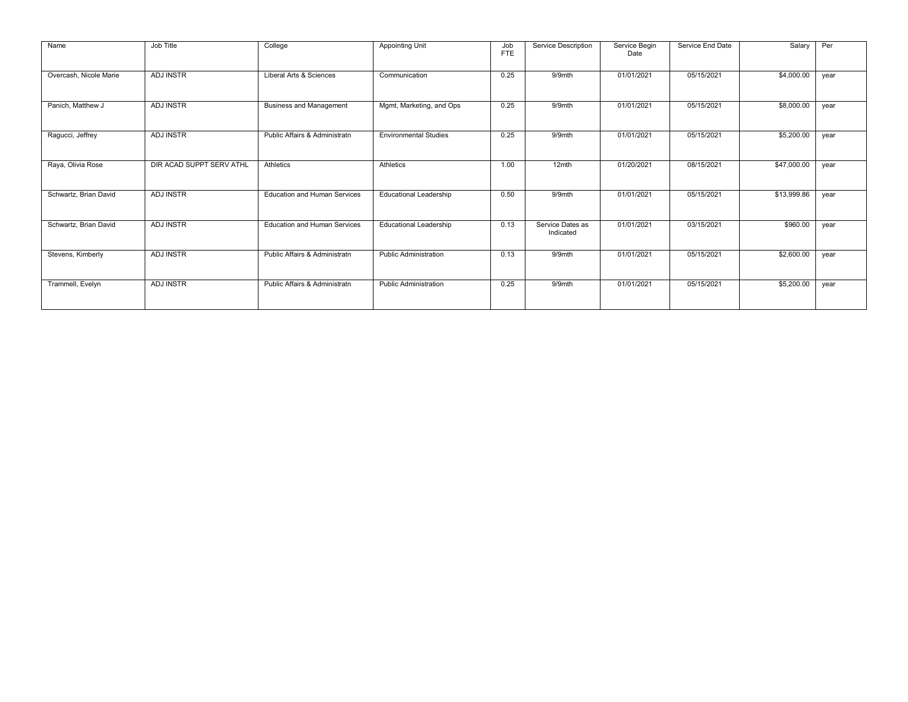| Name                   | Job Title                | College                             | <b>Appointing Unit</b>        | Job<br><b>FTE</b> | Service Description           | Service Begin<br>Date | Service End Date | Salary      | Per  |
|------------------------|--------------------------|-------------------------------------|-------------------------------|-------------------|-------------------------------|-----------------------|------------------|-------------|------|
| Overcash, Nicole Marie | <b>ADJ INSTR</b>         | Liberal Arts & Sciences             | Communication                 | 0.25              | 9/9mth                        | 01/01/2021            | 05/15/2021       | \$4,000.00  | year |
| Panich, Matthew J      | <b>ADJ INSTR</b>         | <b>Business and Management</b>      | Mgmt, Marketing, and Ops      | 0.25              | 9/9mth                        | 01/01/2021            | 05/15/2021       | \$8,000.00  | year |
| Ragucci, Jeffrey       | <b>ADJ INSTR</b>         | Public Affairs & Administratn       | <b>Environmental Studies</b>  | 0.25              | 9/9mth                        | 01/01/2021            | 05/15/2021       | \$5,200.00  | year |
| Raya, Olivia Rose      | DIR ACAD SUPPT SERV ATHL | Athletics                           | Athletics                     | 1.00              | 12mth                         | 01/20/2021            | 08/15/2021       | \$47,000.00 | year |
| Schwartz, Brian David  | <b>ADJ INSTR</b>         | <b>Education and Human Services</b> | <b>Educational Leadership</b> | 0.50              | 9/9mth                        | 01/01/2021            | 05/15/2021       | \$13,999.86 | year |
| Schwartz, Brian David  | <b>ADJ INSTR</b>         | <b>Education and Human Services</b> | <b>Educational Leadership</b> | 0.13              | Service Dates as<br>Indicated | 01/01/2021            | 03/15/2021       | \$960.00    | year |
| Stevens, Kimberly      | <b>ADJ INSTR</b>         | Public Affairs & Administratn       | <b>Public Administration</b>  | 0.13              | $9/9$ mth                     | 01/01/2021            | 05/15/2021       | \$2,600.00  | year |
| Trammell, Evelyn       | <b>ADJ INSTR</b>         | Public Affairs & Administratn       | <b>Public Administration</b>  | 0.25              | 9/9mth                        | 01/01/2021            | 05/15/2021       | \$5,200.00  | year |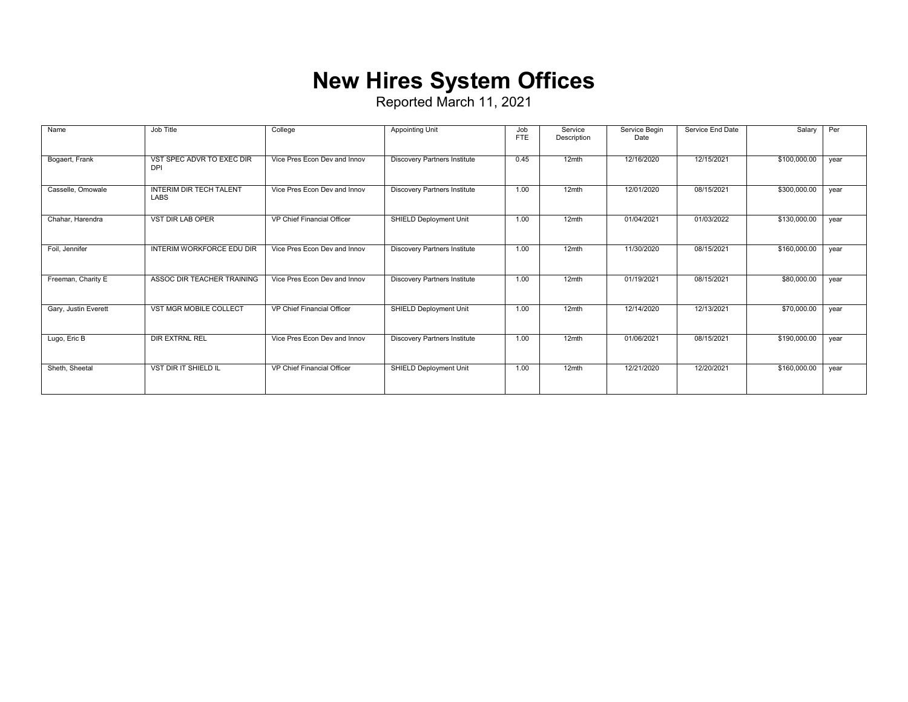## **New Hires System Offices**

| Name                 | Job Title                                     | College                      | <b>Appointing Unit</b>              | Job<br><b>FTE</b> | Service<br>Description | Service Begin<br>Date | Service End Date | Salary       | Per  |
|----------------------|-----------------------------------------------|------------------------------|-------------------------------------|-------------------|------------------------|-----------------------|------------------|--------------|------|
| Bogaert, Frank       | VST SPEC ADVR TO EXEC DIR<br><b>DPI</b>       | Vice Pres Econ Dev and Innov | <b>Discovery Partners Institute</b> | 0.45              | 12mth                  | 12/16/2020            | 12/15/2021       | \$100,000.00 | year |
| Casselle, Omowale    | <b>INTERIM DIR TECH TALENT</b><br><b>LABS</b> | Vice Pres Econ Dev and Innov | <b>Discovery Partners Institute</b> | 1.00              | 12mth                  | 12/01/2020            | 08/15/2021       | \$300,000.00 | year |
| Chahar, Harendra     | VST DIR LAB OPER                              | VP Chief Financial Officer   | SHIELD Deployment Unit              | 1.00              | 12mth                  | 01/04/2021            | 01/03/2022       | \$130,000.00 | year |
| Foil, Jennifer       | <b>INTERIM WORKFORCE EDU DIR</b>              | Vice Pres Econ Dev and Innov | <b>Discovery Partners Institute</b> | 1.00              | 12mth                  | 11/30/2020            | 08/15/2021       | \$160,000.00 | year |
| Freeman, Charity E   | ASSOC DIR TEACHER TRAINING                    | Vice Pres Econ Dev and Innov | <b>Discovery Partners Institute</b> | 1.00              | 12mth                  | 01/19/2021            | 08/15/2021       | \$80,000.00  | year |
| Gary, Justin Everett | VST MGR MOBILE COLLECT                        | VP Chief Financial Officer   | SHIELD Deployment Unit              | 1.00              | 12mth                  | 12/14/2020            | 12/13/2021       | \$70,000.00  | year |
| Lugo, Eric B         | <b>DIR EXTRNL REL</b>                         | Vice Pres Econ Dev and Innov | <b>Discovery Partners Institute</b> | 1.00              | 12mth                  | 01/06/2021            | 08/15/2021       | \$190,000.00 | year |
| Sheth, Sheetal       | <b>VST DIR IT SHIELD IL</b>                   | VP Chief Financial Officer   | SHIELD Deployment Unit              | 1.00              | 12mth                  | 12/21/2020            | 12/20/2021       | \$160,000.00 | year |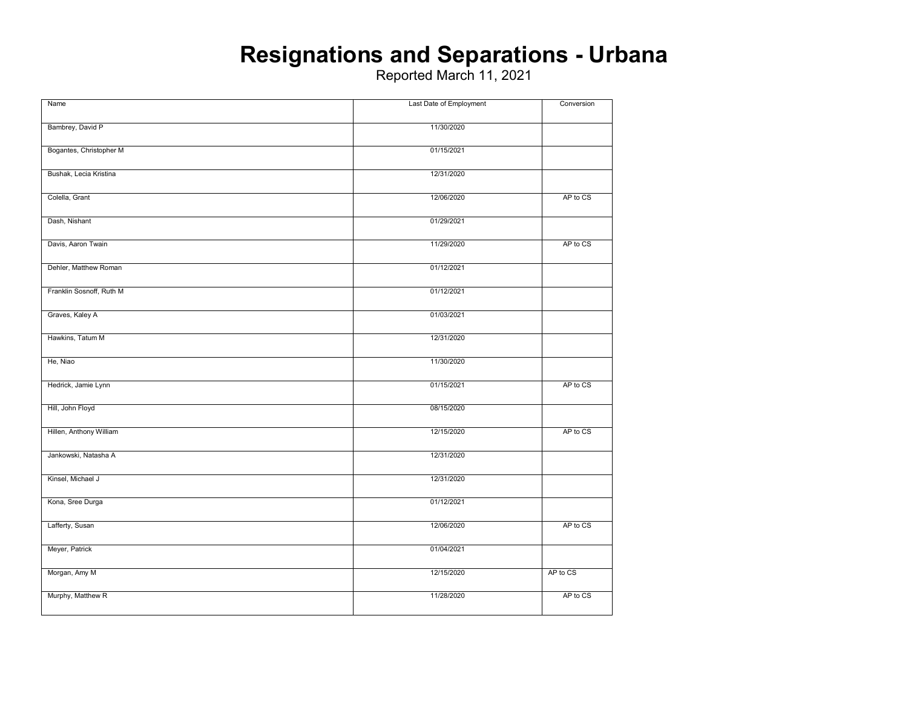### **Resignations and Separations - Urbana**

| Name                     | Last Date of Employment | Conversion |
|--------------------------|-------------------------|------------|
|                          |                         |            |
| Bambrey, David P         | 11/30/2020              |            |
|                          |                         |            |
| Bogantes, Christopher M  | 01/15/2021              |            |
|                          |                         |            |
|                          |                         |            |
| Bushak, Lecia Kristina   | 12/31/2020              |            |
|                          |                         |            |
| Colella, Grant           | 12/06/2020              | AP to CS   |
|                          |                         |            |
| Dash, Nishant            | 01/29/2021              |            |
|                          |                         |            |
|                          |                         |            |
| Davis, Aaron Twain       | 11/29/2020              | AP to CS   |
|                          |                         |            |
| Dehler, Matthew Roman    | 01/12/2021              |            |
|                          |                         |            |
| Franklin Sosnoff, Ruth M | 01/12/2021              |            |
|                          |                         |            |
|                          |                         |            |
| Graves, Kaley A          | 01/03/2021              |            |
|                          |                         |            |
| Hawkins, Tatum M         | 12/31/2020              |            |
|                          |                         |            |
| He, Niao                 | 11/30/2020              |            |
|                          |                         |            |
|                          |                         |            |
| Hedrick, Jamie Lynn      | 01/15/2021              | AP to CS   |
|                          |                         |            |
| Hill, John Floyd         | 08/15/2020              |            |
|                          |                         |            |
| Hillen, Anthony William  | 12/15/2020              | AP to CS   |
|                          |                         |            |
|                          |                         |            |
| Jankowski, Natasha A     | 12/31/2020              |            |
|                          |                         |            |
| Kinsel, Michael J        | 12/31/2020              |            |
|                          |                         |            |
| Kona, Sree Durga         | 01/12/2021              |            |
|                          |                         |            |
| Lafferty, Susan          | 12/06/2020              | AP to CS   |
|                          |                         |            |
|                          |                         |            |
| Meyer, Patrick           | 01/04/2021              |            |
|                          |                         |            |
| Morgan, Amy M            | 12/15/2020              | AP to CS   |
|                          |                         |            |
| Murphy, Matthew R        | 11/28/2020              | AP to CS   |
|                          |                         |            |
|                          |                         |            |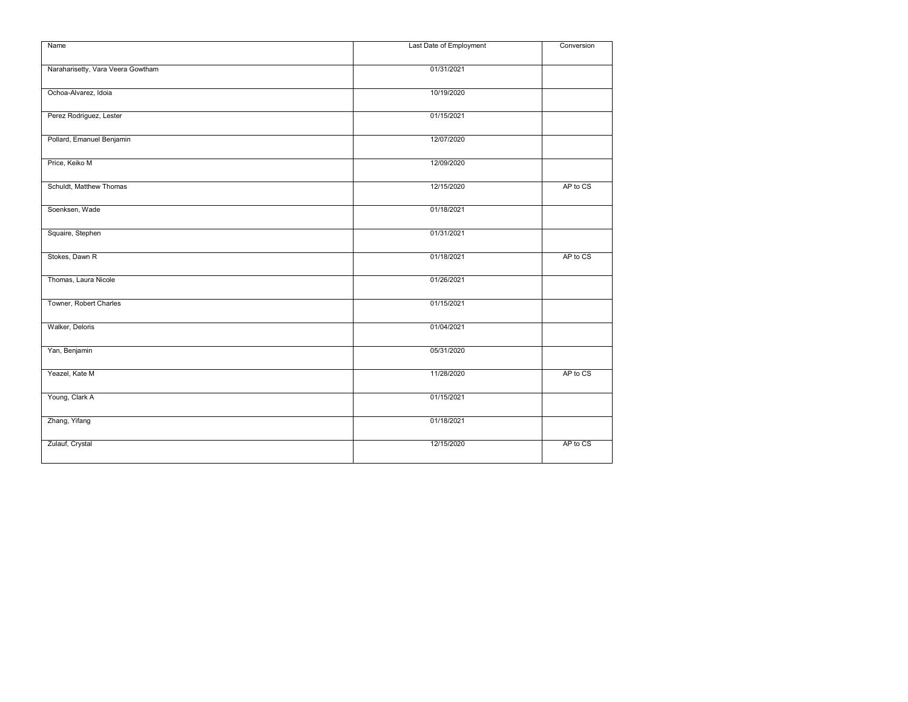| Name                              | Last Date of Employment |          |  |  |  |
|-----------------------------------|-------------------------|----------|--|--|--|
|                                   |                         |          |  |  |  |
| Naraharisetty, Vara Veera Gowtham | 01/31/2021              |          |  |  |  |
|                                   |                         |          |  |  |  |
| Ochoa-Alvarez, Idoia              | 10/19/2020              |          |  |  |  |
|                                   |                         |          |  |  |  |
|                                   |                         |          |  |  |  |
| Perez Rodriguez, Lester           | 01/15/2021              |          |  |  |  |
|                                   |                         |          |  |  |  |
| Pollard, Emanuel Benjamin         | 12/07/2020              |          |  |  |  |
|                                   |                         |          |  |  |  |
| Price, Keiko M                    | 12/09/2020              |          |  |  |  |
|                                   |                         |          |  |  |  |
| Schuldt, Matthew Thomas           | 12/15/2020              | AP to CS |  |  |  |
|                                   |                         |          |  |  |  |
|                                   |                         |          |  |  |  |
| Soenksen, Wade                    | 01/18/2021              |          |  |  |  |
|                                   |                         |          |  |  |  |
| Squaire, Stephen                  | 01/31/2021              |          |  |  |  |
|                                   |                         |          |  |  |  |
| Stokes, Dawn R                    | 01/18/2021              | AP to CS |  |  |  |
|                                   |                         |          |  |  |  |
| Thomas, Laura Nicole              | 01/26/2021              |          |  |  |  |
|                                   |                         |          |  |  |  |
| Towner, Robert Charles            | 01/15/2021              |          |  |  |  |
|                                   |                         |          |  |  |  |
|                                   |                         |          |  |  |  |
| Walker, Deloris                   | 01/04/2021              |          |  |  |  |
|                                   |                         |          |  |  |  |
| Yan, Benjamin                     | 05/31/2020              |          |  |  |  |
|                                   |                         |          |  |  |  |
| Yeazel, Kate M                    | 11/28/2020              | AP to CS |  |  |  |
|                                   |                         |          |  |  |  |
| Young, Clark A                    | 01/15/2021              |          |  |  |  |
|                                   |                         |          |  |  |  |
|                                   |                         |          |  |  |  |
| Zhang, Yifang                     | 01/18/2021              |          |  |  |  |
|                                   |                         |          |  |  |  |
| Zulauf, Crystal                   | 12/15/2020              | AP to CS |  |  |  |
|                                   |                         |          |  |  |  |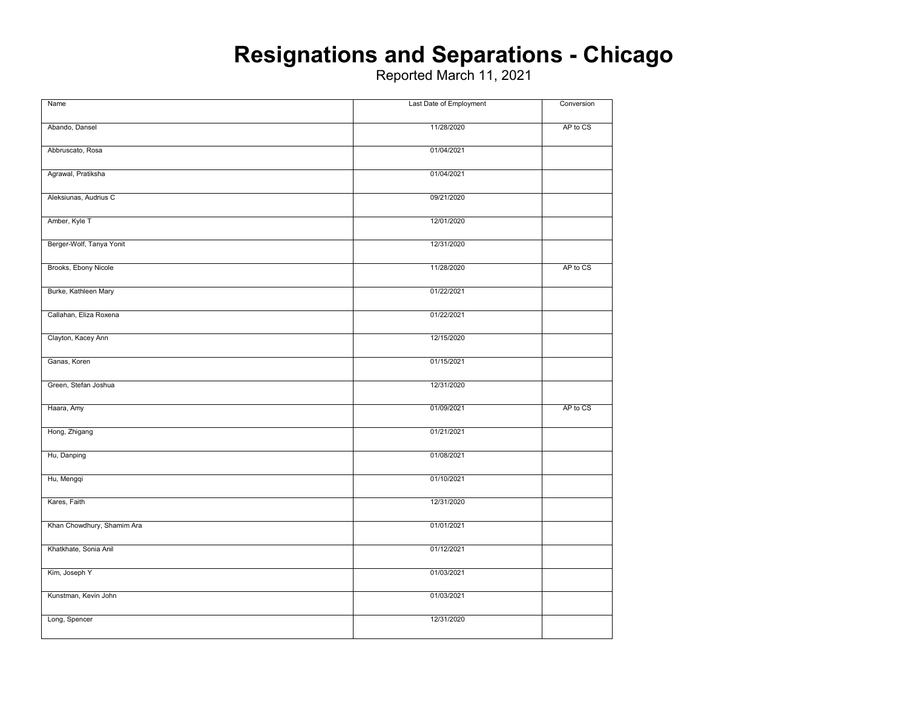### **Resignations and Separations - Chicago**

| Name                       | Last Date of Employment | Conversion |
|----------------------------|-------------------------|------------|
|                            |                         |            |
| Abando, Dansel             | 11/28/2020              | AP to CS   |
| Abbruscato, Rosa           | 01/04/2021              |            |
|                            |                         |            |
| Agrawal, Pratiksha         | 01/04/2021              |            |
| Aleksiunas, Audrius C      | 09/21/2020              |            |
|                            |                         |            |
| Amber, Kyle T              | 12/01/2020              |            |
| Berger-Wolf, Tanya Yonit   | 12/31/2020              |            |
|                            |                         |            |
| Brooks, Ebony Nicole       | 11/28/2020              | AP to CS   |
|                            |                         |            |
| Burke, Kathleen Mary       | 01/22/2021              |            |
| Callahan, Eliza Roxena     | 01/22/2021              |            |
|                            |                         |            |
| Clayton, Kacey Ann         | 12/15/2020              |            |
| Ganas, Koren               | 01/15/2021              |            |
|                            |                         |            |
| Green, Stefan Joshua       | 12/31/2020              |            |
| Haara, Amy                 | 01/09/2021              | AP to CS   |
|                            |                         |            |
| Hong, Zhigang              | 01/21/2021              |            |
|                            |                         |            |
| Hu, Danping                | 01/08/2021              |            |
| Hu, Mengqi                 | 01/10/2021              |            |
|                            |                         |            |
| Kares, Faith               | 12/31/2020              |            |
|                            |                         |            |
| Khan Chowdhury, Shamim Ara | 01/01/2021              |            |
|                            |                         |            |
| Khatkhate, Sonia Anil      | 01/12/2021              |            |
| Kim, Joseph Y              | 01/03/2021              |            |
|                            |                         |            |
| Kunstman, Kevin John       | 01/03/2021              |            |
|                            |                         |            |
| Long, Spencer              | 12/31/2020              |            |
|                            |                         |            |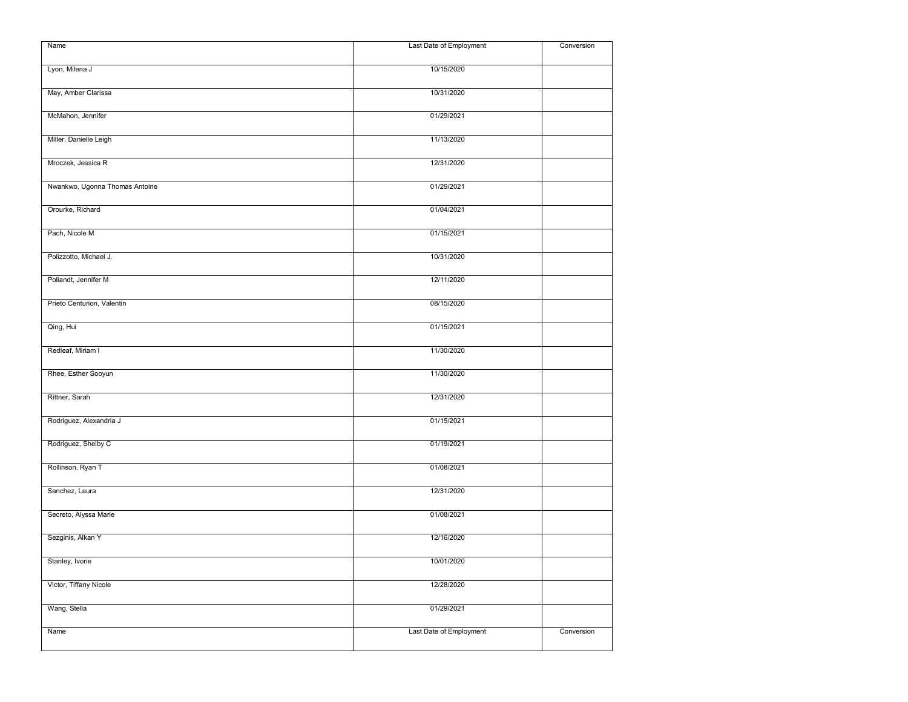| Lyon, Milena J<br>10/15/2020<br>May, Amber Clarissa<br>10/31/2020<br>McMahon, Jennifer<br>01/29/2021<br>Miller, Danielle Leigh<br>11/13/2020<br>12/31/2020<br>Mroczek, Jessica R<br>Nwankwo, Ugonna Thomas Antoine<br>01/29/2021<br>Orourke, Richard<br>01/04/2021<br>Pach, Nicole M<br>01/15/2021<br>Polizzotto, Michael J.<br>10/31/2020<br>Pollandt, Jennifer M<br>12/11/2020<br>Prieto Centurion, Valentin<br>08/15/2020<br>Qing, Hui<br>01/15/2021<br>Redleaf, Miriam I<br>11/30/2020<br>Rhee, Esther Sooyun<br>11/30/2020<br>12/31/2020<br>Rittner, Sarah<br>Rodriguez, Alexandria J<br>01/15/2021<br>Rodriguez, Shelby C<br>01/19/2021<br>Rollinson, Ryan T<br>01/08/2021<br>12/31/2020<br>Sanchez, Laura<br>Secreto, Alyssa Marie<br>01/08/2021<br>Sezginis, Alkan Y<br>12/16/2020<br>10/01/2020<br>Stanley, Ivorie<br>Victor, Tiffany Nicole<br>12/28/2020<br>01/29/2021<br>Wang, Stella<br>Last Date of Employment<br>Name<br>Conversion | Name | Last Date of Employment | Conversion |
|----------------------------------------------------------------------------------------------------------------------------------------------------------------------------------------------------------------------------------------------------------------------------------------------------------------------------------------------------------------------------------------------------------------------------------------------------------------------------------------------------------------------------------------------------------------------------------------------------------------------------------------------------------------------------------------------------------------------------------------------------------------------------------------------------------------------------------------------------------------------------------------------------------------------------------------------------|------|-------------------------|------------|
|                                                                                                                                                                                                                                                                                                                                                                                                                                                                                                                                                                                                                                                                                                                                                                                                                                                                                                                                                    |      |                         |            |
|                                                                                                                                                                                                                                                                                                                                                                                                                                                                                                                                                                                                                                                                                                                                                                                                                                                                                                                                                    |      |                         |            |
|                                                                                                                                                                                                                                                                                                                                                                                                                                                                                                                                                                                                                                                                                                                                                                                                                                                                                                                                                    |      |                         |            |
|                                                                                                                                                                                                                                                                                                                                                                                                                                                                                                                                                                                                                                                                                                                                                                                                                                                                                                                                                    |      |                         |            |
|                                                                                                                                                                                                                                                                                                                                                                                                                                                                                                                                                                                                                                                                                                                                                                                                                                                                                                                                                    |      |                         |            |
|                                                                                                                                                                                                                                                                                                                                                                                                                                                                                                                                                                                                                                                                                                                                                                                                                                                                                                                                                    |      |                         |            |
|                                                                                                                                                                                                                                                                                                                                                                                                                                                                                                                                                                                                                                                                                                                                                                                                                                                                                                                                                    |      |                         |            |
|                                                                                                                                                                                                                                                                                                                                                                                                                                                                                                                                                                                                                                                                                                                                                                                                                                                                                                                                                    |      |                         |            |
|                                                                                                                                                                                                                                                                                                                                                                                                                                                                                                                                                                                                                                                                                                                                                                                                                                                                                                                                                    |      |                         |            |
|                                                                                                                                                                                                                                                                                                                                                                                                                                                                                                                                                                                                                                                                                                                                                                                                                                                                                                                                                    |      |                         |            |
|                                                                                                                                                                                                                                                                                                                                                                                                                                                                                                                                                                                                                                                                                                                                                                                                                                                                                                                                                    |      |                         |            |
|                                                                                                                                                                                                                                                                                                                                                                                                                                                                                                                                                                                                                                                                                                                                                                                                                                                                                                                                                    |      |                         |            |
|                                                                                                                                                                                                                                                                                                                                                                                                                                                                                                                                                                                                                                                                                                                                                                                                                                                                                                                                                    |      |                         |            |
|                                                                                                                                                                                                                                                                                                                                                                                                                                                                                                                                                                                                                                                                                                                                                                                                                                                                                                                                                    |      |                         |            |
|                                                                                                                                                                                                                                                                                                                                                                                                                                                                                                                                                                                                                                                                                                                                                                                                                                                                                                                                                    |      |                         |            |
|                                                                                                                                                                                                                                                                                                                                                                                                                                                                                                                                                                                                                                                                                                                                                                                                                                                                                                                                                    |      |                         |            |
|                                                                                                                                                                                                                                                                                                                                                                                                                                                                                                                                                                                                                                                                                                                                                                                                                                                                                                                                                    |      |                         |            |
|                                                                                                                                                                                                                                                                                                                                                                                                                                                                                                                                                                                                                                                                                                                                                                                                                                                                                                                                                    |      |                         |            |
|                                                                                                                                                                                                                                                                                                                                                                                                                                                                                                                                                                                                                                                                                                                                                                                                                                                                                                                                                    |      |                         |            |
|                                                                                                                                                                                                                                                                                                                                                                                                                                                                                                                                                                                                                                                                                                                                                                                                                                                                                                                                                    |      |                         |            |
|                                                                                                                                                                                                                                                                                                                                                                                                                                                                                                                                                                                                                                                                                                                                                                                                                                                                                                                                                    |      |                         |            |
|                                                                                                                                                                                                                                                                                                                                                                                                                                                                                                                                                                                                                                                                                                                                                                                                                                                                                                                                                    |      |                         |            |
|                                                                                                                                                                                                                                                                                                                                                                                                                                                                                                                                                                                                                                                                                                                                                                                                                                                                                                                                                    |      |                         |            |
|                                                                                                                                                                                                                                                                                                                                                                                                                                                                                                                                                                                                                                                                                                                                                                                                                                                                                                                                                    |      |                         |            |
|                                                                                                                                                                                                                                                                                                                                                                                                                                                                                                                                                                                                                                                                                                                                                                                                                                                                                                                                                    |      |                         |            |
|                                                                                                                                                                                                                                                                                                                                                                                                                                                                                                                                                                                                                                                                                                                                                                                                                                                                                                                                                    |      |                         |            |
|                                                                                                                                                                                                                                                                                                                                                                                                                                                                                                                                                                                                                                                                                                                                                                                                                                                                                                                                                    |      |                         |            |
|                                                                                                                                                                                                                                                                                                                                                                                                                                                                                                                                                                                                                                                                                                                                                                                                                                                                                                                                                    |      |                         |            |
|                                                                                                                                                                                                                                                                                                                                                                                                                                                                                                                                                                                                                                                                                                                                                                                                                                                                                                                                                    |      |                         |            |
|                                                                                                                                                                                                                                                                                                                                                                                                                                                                                                                                                                                                                                                                                                                                                                                                                                                                                                                                                    |      |                         |            |
|                                                                                                                                                                                                                                                                                                                                                                                                                                                                                                                                                                                                                                                                                                                                                                                                                                                                                                                                                    |      |                         |            |
|                                                                                                                                                                                                                                                                                                                                                                                                                                                                                                                                                                                                                                                                                                                                                                                                                                                                                                                                                    |      |                         |            |
|                                                                                                                                                                                                                                                                                                                                                                                                                                                                                                                                                                                                                                                                                                                                                                                                                                                                                                                                                    |      |                         |            |
|                                                                                                                                                                                                                                                                                                                                                                                                                                                                                                                                                                                                                                                                                                                                                                                                                                                                                                                                                    |      |                         |            |
|                                                                                                                                                                                                                                                                                                                                                                                                                                                                                                                                                                                                                                                                                                                                                                                                                                                                                                                                                    |      |                         |            |
|                                                                                                                                                                                                                                                                                                                                                                                                                                                                                                                                                                                                                                                                                                                                                                                                                                                                                                                                                    |      |                         |            |
|                                                                                                                                                                                                                                                                                                                                                                                                                                                                                                                                                                                                                                                                                                                                                                                                                                                                                                                                                    |      |                         |            |
|                                                                                                                                                                                                                                                                                                                                                                                                                                                                                                                                                                                                                                                                                                                                                                                                                                                                                                                                                    |      |                         |            |
|                                                                                                                                                                                                                                                                                                                                                                                                                                                                                                                                                                                                                                                                                                                                                                                                                                                                                                                                                    |      |                         |            |
|                                                                                                                                                                                                                                                                                                                                                                                                                                                                                                                                                                                                                                                                                                                                                                                                                                                                                                                                                    |      |                         |            |
|                                                                                                                                                                                                                                                                                                                                                                                                                                                                                                                                                                                                                                                                                                                                                                                                                                                                                                                                                    |      |                         |            |
|                                                                                                                                                                                                                                                                                                                                                                                                                                                                                                                                                                                                                                                                                                                                                                                                                                                                                                                                                    |      |                         |            |
|                                                                                                                                                                                                                                                                                                                                                                                                                                                                                                                                                                                                                                                                                                                                                                                                                                                                                                                                                    |      |                         |            |
|                                                                                                                                                                                                                                                                                                                                                                                                                                                                                                                                                                                                                                                                                                                                                                                                                                                                                                                                                    |      |                         |            |
|                                                                                                                                                                                                                                                                                                                                                                                                                                                                                                                                                                                                                                                                                                                                                                                                                                                                                                                                                    |      |                         |            |
|                                                                                                                                                                                                                                                                                                                                                                                                                                                                                                                                                                                                                                                                                                                                                                                                                                                                                                                                                    |      |                         |            |
|                                                                                                                                                                                                                                                                                                                                                                                                                                                                                                                                                                                                                                                                                                                                                                                                                                                                                                                                                    |      |                         |            |
|                                                                                                                                                                                                                                                                                                                                                                                                                                                                                                                                                                                                                                                                                                                                                                                                                                                                                                                                                    |      |                         |            |
|                                                                                                                                                                                                                                                                                                                                                                                                                                                                                                                                                                                                                                                                                                                                                                                                                                                                                                                                                    |      |                         |            |
|                                                                                                                                                                                                                                                                                                                                                                                                                                                                                                                                                                                                                                                                                                                                                                                                                                                                                                                                                    |      |                         |            |
|                                                                                                                                                                                                                                                                                                                                                                                                                                                                                                                                                                                                                                                                                                                                                                                                                                                                                                                                                    |      |                         |            |
|                                                                                                                                                                                                                                                                                                                                                                                                                                                                                                                                                                                                                                                                                                                                                                                                                                                                                                                                                    |      |                         |            |
|                                                                                                                                                                                                                                                                                                                                                                                                                                                                                                                                                                                                                                                                                                                                                                                                                                                                                                                                                    |      |                         |            |
|                                                                                                                                                                                                                                                                                                                                                                                                                                                                                                                                                                                                                                                                                                                                                                                                                                                                                                                                                    |      |                         |            |
|                                                                                                                                                                                                                                                                                                                                                                                                                                                                                                                                                                                                                                                                                                                                                                                                                                                                                                                                                    |      |                         |            |
|                                                                                                                                                                                                                                                                                                                                                                                                                                                                                                                                                                                                                                                                                                                                                                                                                                                                                                                                                    |      |                         |            |
|                                                                                                                                                                                                                                                                                                                                                                                                                                                                                                                                                                                                                                                                                                                                                                                                                                                                                                                                                    |      |                         |            |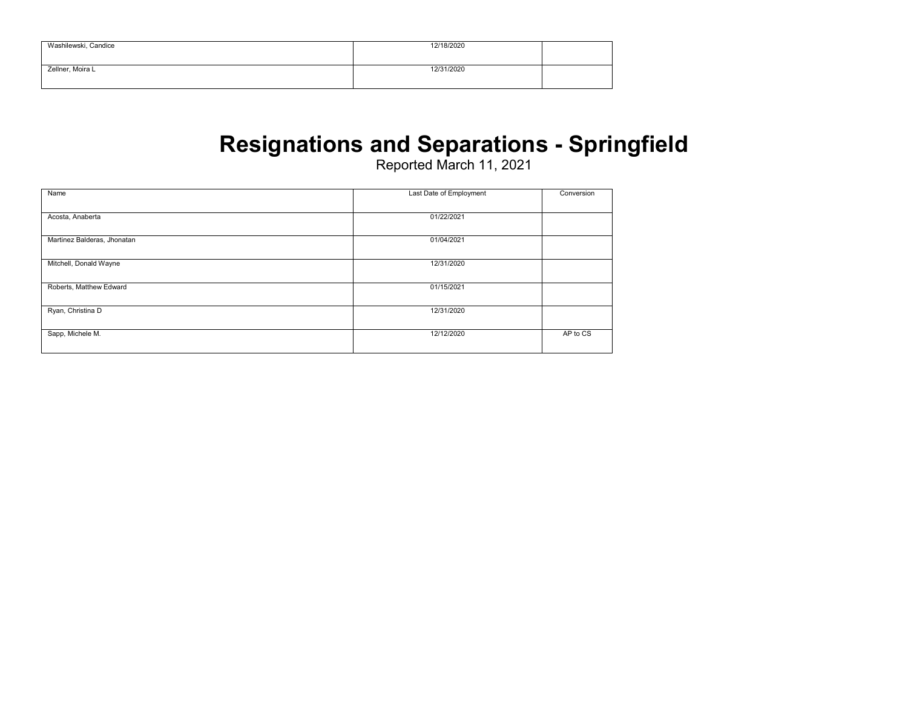| Washilewski, Candice | 12/18/2020 |  |
|----------------------|------------|--|
| Zellner, Moira L     | 12/31/2020 |  |

### **Resignations and Separations - Springfield**

| Name                        | Last Date of Employment | Conversion |
|-----------------------------|-------------------------|------------|
|                             |                         |            |
| Acosta, Anaberta            | 01/22/2021              |            |
|                             |                         |            |
| Martinez Balderas, Jhonatan | 01/04/2021              |            |
|                             |                         |            |
| Mitchell, Donald Wayne      | 12/31/2020              |            |
|                             |                         |            |
| Roberts, Matthew Edward     | 01/15/2021              |            |
|                             |                         |            |
| Ryan, Christina D           | 12/31/2020              |            |
|                             |                         |            |
| Sapp, Michele M.            | 12/12/2020              | AP to CS   |
|                             |                         |            |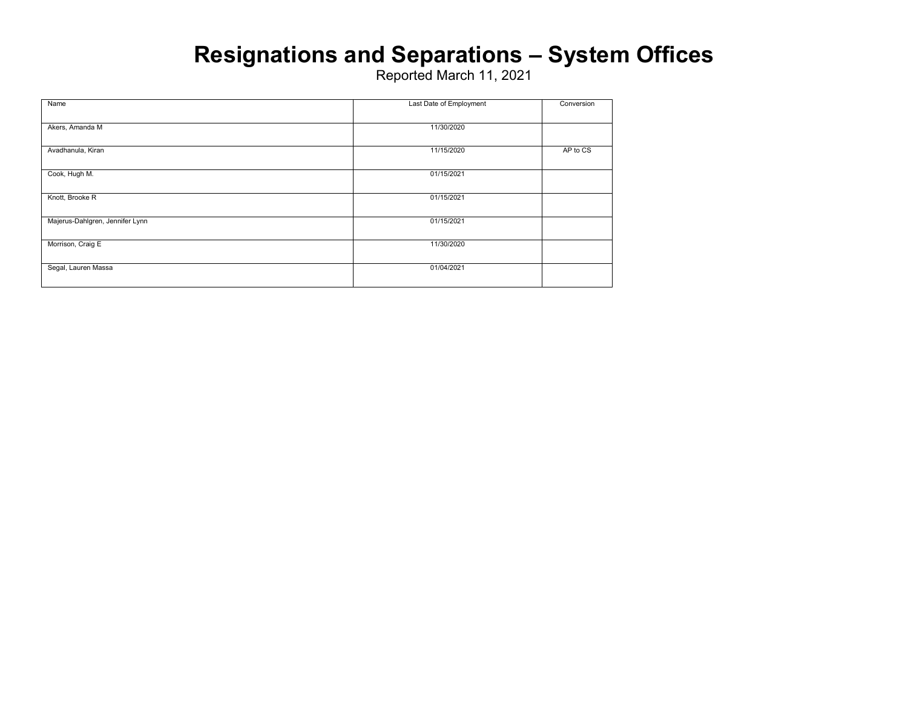### **Resignations and Separations – System Offices**

| Name                            | Last Date of Employment | Conversion |
|---------------------------------|-------------------------|------------|
| Akers, Amanda M                 | 11/30/2020              |            |
| Avadhanula, Kiran               | 11/15/2020              | AP to CS   |
| Cook, Hugh M.                   | 01/15/2021              |            |
| Knott, Brooke R                 | 01/15/2021              |            |
| Majerus-Dahlgren, Jennifer Lynn | 01/15/2021              |            |
| Morrison, Craig E               | 11/30/2020              |            |
| Segal, Lauren Massa             | 01/04/2021              |            |
|                                 |                         |            |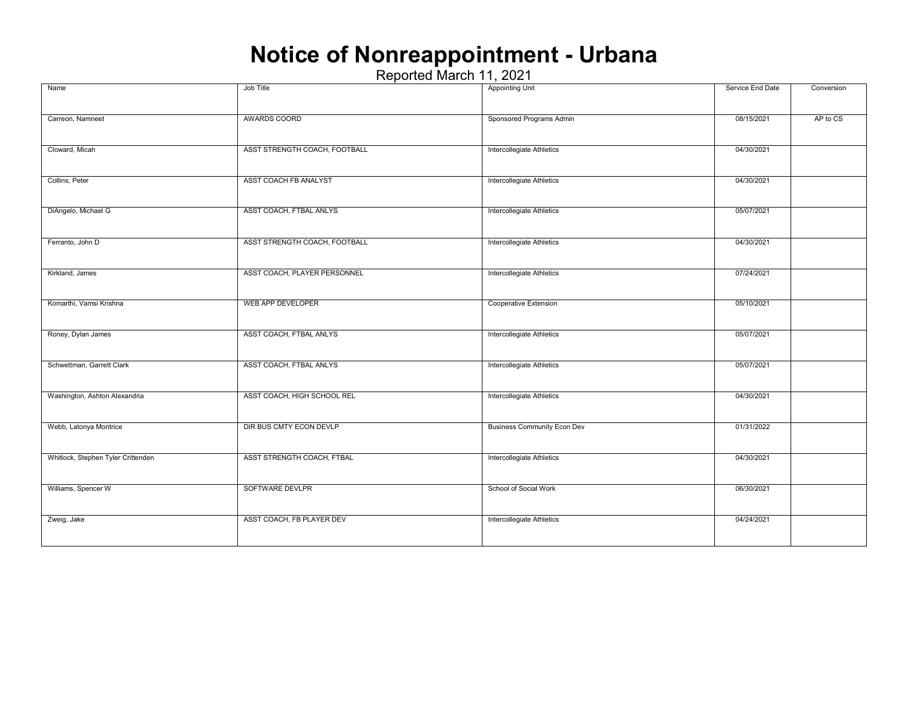### **Notice of Nonreappointment - Urbana**

| Name                               | Job Title                     | <b>Appointing Unit</b>             | Service End Date | Conversion |
|------------------------------------|-------------------------------|------------------------------------|------------------|------------|
|                                    |                               |                                    |                  |            |
| Carreon, Namneet                   | AWARDS COORD                  | Sponsored Programs Admin           | 08/15/2021       | AP to CS   |
|                                    |                               |                                    |                  |            |
| Cloward, Micah                     | ASST STRENGTH COACH, FOOTBALL | Intercollegiate Athletics          | 04/30/2021       |            |
|                                    |                               |                                    |                  |            |
| Collins, Peter                     | ASST COACH FB ANALYST         | Intercollegiate Athletics          | 04/30/2021       |            |
|                                    |                               |                                    |                  |            |
| DiAngelo, Michael G                | ASST COACH, FTBAL ANLYS       | Intercollegiate Athletics          | 05/07/2021       |            |
|                                    |                               |                                    |                  |            |
| Ferranto, John D                   | ASST STRENGTH COACH, FOOTBALL | Intercollegiate Athletics          | 04/30/2021       |            |
|                                    |                               |                                    |                  |            |
| Kirkland, James                    | ASST COACH, PLAYER PERSONNEL  | Intercollegiate Athletics          | 07/24/2021       |            |
|                                    |                               |                                    |                  |            |
| Komarthi, Vamsi Krishna            | WEB APP DEVELOPER             | Cooperative Extension              | 05/10/2021       |            |
|                                    |                               |                                    |                  |            |
| Roney, Dylan James                 | ASST COACH, FTBAL ANLYS       | Intercollegiate Athletics          | 05/07/2021       |            |
| Schwettman, Garrett Clark          | ASST COACH, FTBAL ANLYS       | Intercollegiate Athletics          | 05/07/2021       |            |
|                                    |                               |                                    |                  |            |
| Washington, Ashton Alexandria      | ASST COACH, HIGH SCHOOL REL   | Intercollegiate Athletics          | 04/30/2021       |            |
|                                    |                               |                                    |                  |            |
| Webb, Latonya Montrice             | DIR BUS CMTY ECON DEVLP       | <b>Business Community Econ Dev</b> | 01/31/2022       |            |
|                                    |                               |                                    |                  |            |
| Whitlock, Stephen Tyler Crittenden | ASST STRENGTH COACH, FTBAL    | Intercollegiate Athletics          | 04/30/2021       |            |
|                                    |                               |                                    |                  |            |
| Williams, Spencer W                | SOFTWARE DEVLPR               | School of Social Work              | 06/30/2021       |            |
|                                    |                               |                                    |                  |            |
| Zweig, Jake                        | ASST COACH, FB PLAYER DEV     | Intercollegiate Athletics          | 04/24/2021       |            |
|                                    |                               |                                    |                  |            |
|                                    |                               |                                    |                  |            |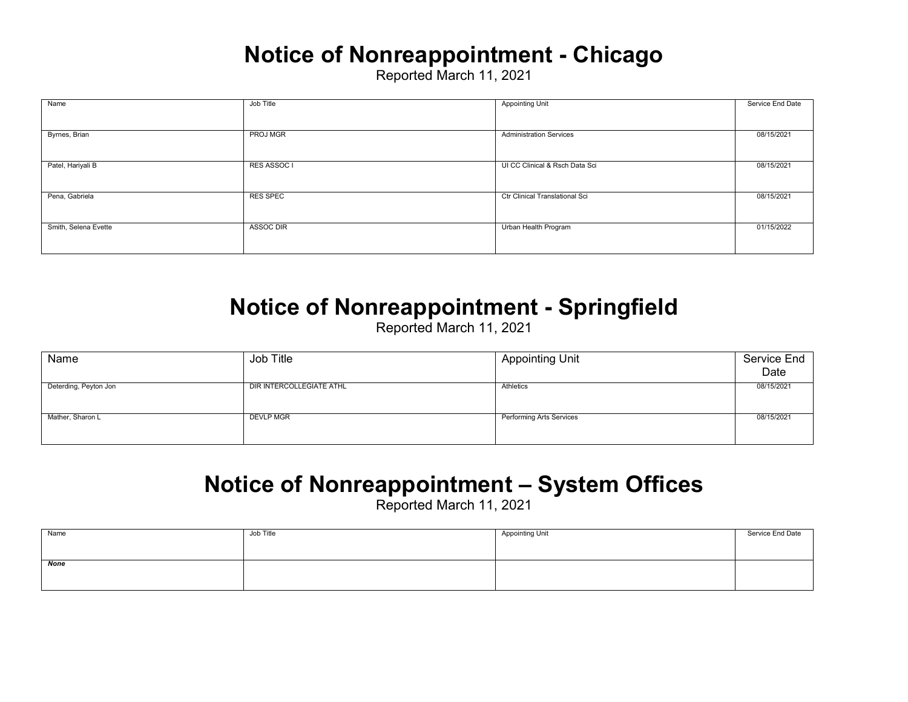### **Notice of Nonreappointment - Chicago**

Reported March 11, 2021

| Name                 | Job Title       | <b>Appointing Unit</b>         | Service End Date |
|----------------------|-----------------|--------------------------------|------------------|
|                      |                 |                                |                  |
|                      |                 |                                |                  |
| Byrnes, Brian        | PROJ MGR        | <b>Administration Services</b> | 08/15/2021       |
|                      |                 |                                |                  |
|                      |                 |                                |                  |
| Patel, Hariyali B    | RES ASSOC I     | UI CC Clinical & Rsch Data Sci | 08/15/2021       |
|                      |                 |                                |                  |
|                      |                 |                                |                  |
| Pena, Gabriela       | <b>RES SPEC</b> | Ctr Clinical Translational Sci | 08/15/2021       |
|                      |                 |                                |                  |
|                      |                 |                                |                  |
| Smith, Selena Evette | ASSOC DIR       | Urban Health Program           | 01/15/2022       |
|                      |                 |                                |                  |
|                      |                 |                                |                  |
|                      |                 |                                |                  |

#### **Notice of Nonreappointment - Springfield**

Reported March 11, 2021

| Name                  | Job Title                | <b>Appointing Unit</b>          | Service End<br>Date |
|-----------------------|--------------------------|---------------------------------|---------------------|
| Deterding, Peyton Jon | DIR INTERCOLLEGIATE ATHL | Athletics                       | 08/15/2021          |
| Mather, Sharon L      | <b>DEVLP MGR</b>         | <b>Performing Arts Services</b> | 08/15/2021          |

### **Notice of Nonreappointment – System Offices**

| Name | Job Title | <b>Appointing Unit</b> | Service End Date |
|------|-----------|------------------------|------------------|
|      |           |                        |                  |
| None |           |                        |                  |
|      |           |                        |                  |
|      |           |                        |                  |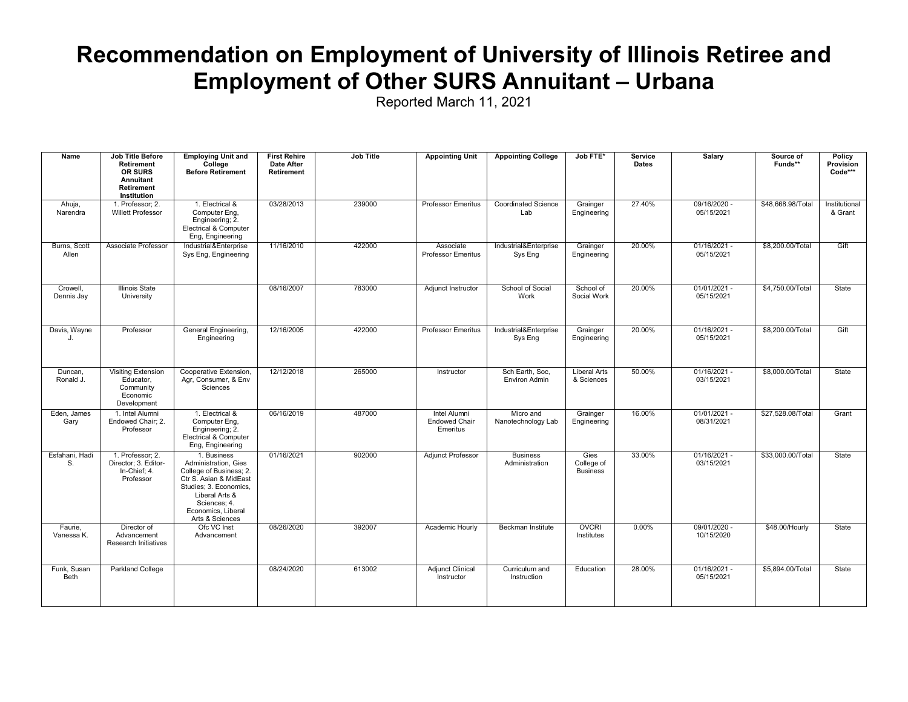### **Recommendation on Employment of University of Illinois Retiree and Employment of Other SURS Annuitant – Urbana**

| Name                       | <b>Job Title Before</b><br><b>Retirement</b><br>OR SURS<br>Annuitant<br><b>Retirement</b><br>Institution | <b>Employing Unit and</b><br>College<br><b>Before Retirement</b>                                                                                                                              | <b>First Rehire</b><br><b>Date After</b><br>Retirement | Job Title | <b>Appointing Unit</b>                                  | <b>Appointing College</b>               | Job FTE*                              | <b>Service</b><br><b>Dates</b> | <b>Salary</b>                | Source of<br>Funds** | Policy<br>Provision<br>Code*** |
|----------------------------|----------------------------------------------------------------------------------------------------------|-----------------------------------------------------------------------------------------------------------------------------------------------------------------------------------------------|--------------------------------------------------------|-----------|---------------------------------------------------------|-----------------------------------------|---------------------------------------|--------------------------------|------------------------------|----------------------|--------------------------------|
| Ahuja,<br>Narendra         | 1. Professor; 2.<br><b>Willett Professor</b>                                                             | 1. Electrical &<br>Computer Eng.<br>Engineering; 2.<br>Electrical & Computer<br>Eng, Engineering                                                                                              | 03/28/2013                                             | 239000    | <b>Professor Emeritus</b>                               | <b>Coordinated Science</b><br>Lab       | Grainger<br>Engineering               | 27.40%                         | 09/16/2020 -<br>05/15/2021   | \$48,668.98/Total    | Institutional<br>& Grant       |
| Burns, Scott<br>Allen      | Associate Professor                                                                                      | Industrial&Enterprise<br>Sys Eng, Engineering                                                                                                                                                 | 11/16/2010                                             | 422000    | Associate<br>Professor Emeritus                         | Industrial&Enterprise<br>Sys Eng        | Grainger<br>Engineering               | 20.00%                         | $01/16/2021 -$<br>05/15/2021 | \$8,200.00/Total     | Gift                           |
| Crowell.<br>Dennis Jay     | <b>Illinois State</b><br>University                                                                      |                                                                                                                                                                                               | 08/16/2007                                             | 783000    | Adjunct Instructor                                      | School of Social<br>Work                | School of<br>Social Work              | 20.00%                         | $01/01/2021 -$<br>05/15/2021 | \$4,750,00/Total     | State                          |
| Davis, Wayne<br>J.         | Professor                                                                                                | General Engineering,<br>Engineering                                                                                                                                                           | 12/16/2005                                             | 422000    | <b>Professor Emeritus</b>                               | Industrial&Enterprise<br>Sys Eng        | Grainger<br>Engineering               | 20.00%                         | $01/16/2021 -$<br>05/15/2021 | \$8,200.00/Total     | Gift                           |
| Duncan,<br>Ronald J.       | <b>Visiting Extension</b><br>Educator,<br>Community<br>Economic<br>Development                           | Cooperative Extension,<br>Agr, Consumer, & Env<br>Sciences                                                                                                                                    | 12/12/2018                                             | 265000    | Instructor                                              | Sch Earth, Soc.<br><b>Environ Admin</b> | <b>Liberal Arts</b><br>& Sciences     | 50.00%                         | $01/16/2021 -$<br>03/15/2021 | \$8,000.00/Total     | State                          |
| Eden, James<br>Gary        | 1. Intel Alumni<br>Endowed Chair: 2.<br>Professor                                                        | 1. Electrical &<br>Computer Eng.<br>Engineering; 2.<br>Electrical & Computer<br>Eng, Engineering                                                                                              | 06/16/2019                                             | 487000    | <b>Intel Alumni</b><br><b>Endowed Chair</b><br>Emeritus | Micro and<br>Nanotechnology Lab         | Grainger<br>Engineering               | 16.00%                         | $01/01/2021 -$<br>08/31/2021 | \$27,528.08/Total    | Grant                          |
| Esfahani, Hadi<br>S.       | 1. Professor; 2.<br>Director; 3. Editor-<br>In-Chief; 4.<br>Professor                                    | 1. Business<br>Administration, Gies<br>College of Business; 2.<br>Ctr S. Asian & MidEast<br>Studies; 3. Economics,<br>Liberal Arts &<br>Sciences: 4.<br>Economics, Liberal<br>Arts & Sciences | 01/16/2021                                             | 902000    | Adjunct Professor                                       | <b>Business</b><br>Administration       | Gies<br>College of<br><b>Business</b> | 33.00%                         | $01/16/2021 -$<br>03/15/2021 | \$33,000.00/Total    | State                          |
| Faurie,<br>Vanessa K.      | Director of<br>Advancement<br><b>Research Initiatives</b>                                                | Ofc VC Inst<br>Advancement                                                                                                                                                                    | 08/26/2020                                             | 392007    | Academic Hourly                                         | Beckman Institute                       | <b>OVCRI</b><br>Institutes            | 0.00%                          | 09/01/2020 -<br>10/15/2020   | \$48.00/Hourly       | State                          |
| Funk, Susan<br><b>Beth</b> | Parkland College                                                                                         |                                                                                                                                                                                               | 08/24/2020                                             | 613002    | <b>Adjunct Clinical</b><br>Instructor                   | Curriculum and<br>Instruction           | Education                             | 28.00%                         | 01/16/2021 -<br>05/15/2021   | \$5,894.00/Total     | State                          |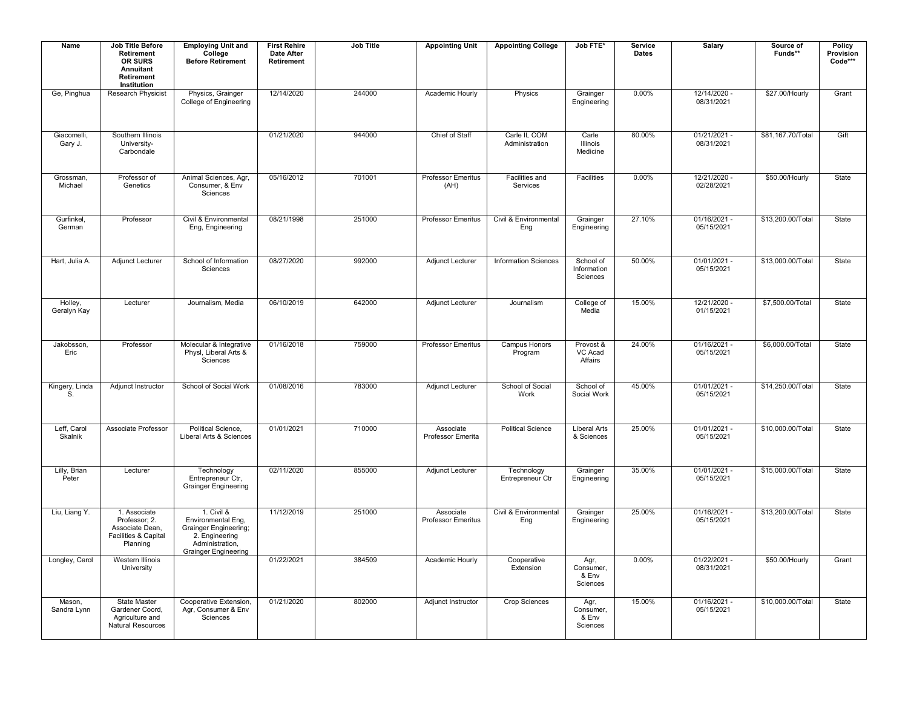| Name                   | <b>Job Title Before</b><br>Retirement<br>OR SURS<br>Annuitant<br><b>Retirement</b><br>Institution | <b>Employing Unit and</b><br>College<br><b>Before Retirement</b>                                                                     | <b>First Rehire</b><br>Date After<br>Retirement | <b>Job Title</b> | <b>Appointing Unit</b>                 | <b>Appointing College</b>      | Job FTE*                               | Service<br><b>Dates</b> | Salary                       | Source of<br>Funds** | <b>Policy</b><br>Provision<br>Code*** |
|------------------------|---------------------------------------------------------------------------------------------------|--------------------------------------------------------------------------------------------------------------------------------------|-------------------------------------------------|------------------|----------------------------------------|--------------------------------|----------------------------------------|-------------------------|------------------------------|----------------------|---------------------------------------|
| Ge, Pinghua            | Research Physicist                                                                                | Physics, Grainger<br>College of Engineering                                                                                          | 12/14/2020                                      | 244000           | Academic Hourly                        | Physics                        | Grainger<br>Engineering                | 0.00%                   | 12/14/2020 -<br>08/31/2021   | \$27.00/Hourly       | Grant                                 |
| Giacomelli,<br>Gary J. | Southern Illinois<br>University-<br>Carbondale                                                    |                                                                                                                                      | 01/21/2020                                      | 944000           | Chief of Staff                         | Carle IL COM<br>Administration | Carle<br>Illinois<br>Medicine          | 80.00%                  | $01/21/2021 -$<br>08/31/2021 | \$81,167.70/Total    | Gift                                  |
| Grossman,<br>Michael   | Professor of<br>Genetics                                                                          | Animal Sciences, Agr,<br>Consumer, & Env<br>Sciences                                                                                 | 05/16/2012                                      | 701001           | Professor Emeritus<br>(AH)             | Facilities and<br>Services     | Facilities                             | 0.00%                   | 12/21/2020 -<br>02/28/2021   | \$50.00/Hourly       | State                                 |
| Gurfinkel,<br>German   | Professor                                                                                         | Civil & Environmental<br>Eng, Engineering                                                                                            | 08/21/1998                                      | 251000           | Professor Emeritus                     | Civil & Environmental<br>Eng   | Grainger<br>Engineering                | 27.10%                  | 01/16/2021 -<br>05/15/2021   | \$13,200.00/Total    | State                                 |
| Hart, Julia A.         | Adjunct Lecturer                                                                                  | School of Information<br>Sciences                                                                                                    | 08/27/2020                                      | 992000           | Adjunct Lecturer                       | <b>Information Sciences</b>    | School of<br>Information<br>Sciences   | 50.00%                  | $01/01/2021 -$<br>05/15/2021 | \$13,000.00/Total    | State                                 |
| Holley,<br>Geralyn Kay | Lecturer                                                                                          | Journalism, Media                                                                                                                    | 06/10/2019                                      | 642000           | Adjunct Lecturer                       | Journalism                     | College of<br>Media                    | 15.00%                  | 12/21/2020 -<br>01/15/2021   | \$7,500.00/Total     | State                                 |
| Jakobsson,<br>Eric     | Professor                                                                                         | Molecular & Integrative<br>Physl, Liberal Arts &<br>Sciences                                                                         | 01/16/2018                                      | 759000           | Professor Emeritus                     | Campus Honors<br>Program       | Provost &<br>VC Acad<br>Affairs        | 24.00%                  | 01/16/2021 -<br>05/15/2021   | \$6,000.00/Total     | State                                 |
| Kingery, Linda<br>S.   | Adjunct Instructor                                                                                | School of Social Work                                                                                                                | 01/08/2016                                      | 783000           | <b>Adjunct Lecturer</b>                | School of Social<br>Work       | School of<br>Social Work               | 45.00%                  | $01/01/2021 -$<br>05/15/2021 | \$14,250.00/Total    | State                                 |
| Leff, Carol<br>Skalnik | Associate Professor                                                                               | Political Science,<br>Liberal Arts & Sciences                                                                                        | 01/01/2021                                      | 710000           | Associate<br>Professor Emerita         | <b>Political Science</b>       | <b>Liberal Arts</b><br>& Sciences      | 25.00%                  | 01/01/2021 -<br>05/15/2021   | \$10,000.00/Total    | State                                 |
| Lilly, Brian<br>Peter  | Lecturer                                                                                          | Technology<br>Entrepreneur Ctr.<br><b>Grainger Engineering</b>                                                                       | 02/11/2020                                      | 855000           | Adjunct Lecturer                       | Technology<br>Entrepreneur Ctr | Grainger<br>Engineering                | 35.00%                  | $01/01/2021 -$<br>05/15/2021 | \$15,000,00/Total    | State                                 |
| Liu, Liang Y.          | 1. Associate<br>Professor; 2.<br>Associate Dean,<br>Facilities & Capital<br>Planning              | 1. Civil &<br>Environmental Eng,<br><b>Grainger Engineering;</b><br>2. Engineering<br>Administration,<br><b>Grainger Engineering</b> | 11/12/2019                                      | 251000           | Associate<br><b>Professor Emeritus</b> | Civil & Environmental<br>Eng   | Grainger<br>Engineering                | 25.00%                  | 01/16/2021 -<br>05/15/2021   | \$13,200.00/Total    | State                                 |
| Longley, Carol         | Western Illinois<br>University                                                                    |                                                                                                                                      | 01/22/2021                                      | 384509           | Academic Hourly                        | Cooperative<br>Extension       | Agr,<br>Consumer,<br>& Env<br>Sciences | 0.00%                   | $01/22/2021 -$<br>08/31/2021 | \$50.00/Hourly       | Grant                                 |
| Mason,<br>Sandra Lynn  | <b>State Master</b><br>Gardener Coord,<br>Agriculture and<br><b>Natural Resources</b>             | Cooperative Extension,<br>Agr, Consumer & Env<br>Sciences                                                                            | 01/21/2020                                      | 802000           | Adjunct Instructor                     | <b>Crop Sciences</b>           | Agr,<br>Consumer,<br>& Env<br>Sciences | 15.00%                  | $01/16/2021 -$<br>05/15/2021 | \$10,000.00/Total    | State                                 |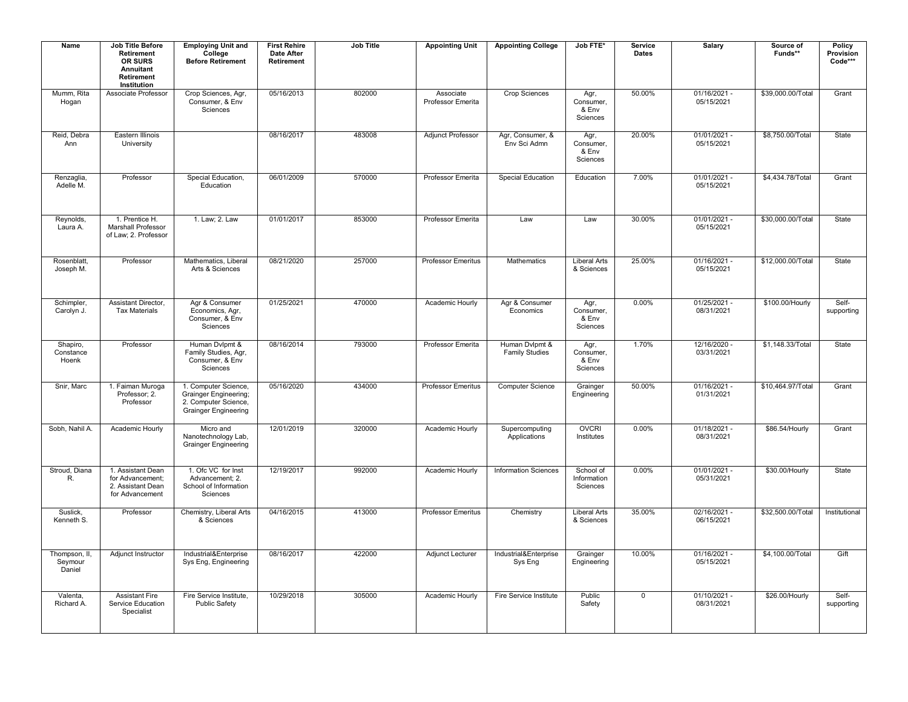| Name                               | <b>Job Title Before</b><br>Retirement<br>OR SURS<br>Annuitant<br>Retirement<br>Institution | <b>Employing Unit and</b><br>College<br><b>Before Retirement</b>                                            | <b>First Rehire</b><br><b>Date After</b><br>Retirement | <b>Job Title</b> | <b>Appointing Unit</b>         | <b>Appointing College</b>               | Job FTE*                               | Service<br><b>Dates</b> | Salary                       | Source of<br>Funds** | <b>Policy</b><br>Provision<br>Code*** |
|------------------------------------|--------------------------------------------------------------------------------------------|-------------------------------------------------------------------------------------------------------------|--------------------------------------------------------|------------------|--------------------------------|-----------------------------------------|----------------------------------------|-------------------------|------------------------------|----------------------|---------------------------------------|
| Mumm, Rita<br>Hogan                | Associate Professor                                                                        | Crop Sciences, Agr,<br>Consumer, & Env<br>Sciences                                                          | 05/16/2013                                             | 802000           | Associate<br>Professor Emerita | <b>Crop Sciences</b>                    | Agr,<br>Consumer,<br>& Env<br>Sciences | 50.00%                  | 01/16/2021 -<br>05/15/2021   | \$39,000.00/Total    | Grant                                 |
| Reid, Debra<br>Ann                 | Eastern Illinois<br>University                                                             |                                                                                                             | 08/16/2017                                             | 483008           | <b>Adjunct Professor</b>       | Agr, Consumer, &<br>Env Sci Admn        | Agr,<br>Consumer,<br>& Env<br>Sciences | 20.00%                  | $01/01/2021 -$<br>05/15/2021 | \$8,750.00/Total     | State                                 |
| Renzaglia<br>Adelle M.             | Professor                                                                                  | Special Education,<br>Education                                                                             | 06/01/2009                                             | 570000           | Professor Emerita              | Special Education                       | Education                              | 7.00%                   | 01/01/2021 -<br>05/15/2021   | \$4,434.78/Total     | Grant                                 |
| Reynolds,<br>Laura A.              | 1. Prentice H.<br>Marshall Professor<br>of Law; 2. Professor                               | 1. Law; 2. Law                                                                                              | 01/01/2017                                             | 853000           | Professor Emerita              | Law                                     | Law                                    | 30.00%                  | 01/01/2021 -<br>05/15/2021   | \$30,000.00/Total    | State                                 |
| Rosenblatt,<br>Joseph M.           | Professor                                                                                  | Mathematics, Liberal<br>Arts & Sciences                                                                     | 08/21/2020                                             | 257000           | <b>Professor Emeritus</b>      | Mathematics                             | <b>Liberal Arts</b><br>& Sciences      | 25.00%                  | $01/16/2021 -$<br>05/15/2021 | \$12,000.00/Total    | State                                 |
| Schimpler,<br>Carolyn J.           | Assistant Director,<br><b>Tax Materials</b>                                                | Agr & Consumer<br>Economics, Agr,<br>Consumer, & Env<br>Sciences                                            | 01/25/2021                                             | 470000           | Academic Hourly                | Agr & Consumer<br>Economics             | Agr,<br>Consumer,<br>& Env<br>Sciences | 0.00%                   | 01/25/2021 -<br>08/31/2021   | \$100.00/Hourly      | Self-<br>supporting                   |
| Shapiro,<br>Constance<br>Hoenk     | Professor                                                                                  | Human Dvlpmt &<br>Family Studies, Agr,<br>Consumer, & Env<br>Sciences                                       | 08/16/2014                                             | 793000           | Professor Emerita              | Human Dvlpmt &<br><b>Family Studies</b> | Agr,<br>Consumer,<br>& Env<br>Sciences | 1.70%                   | 12/16/2020 -<br>03/31/2021   | \$1,148.33/Total     | State                                 |
| Snir, Marc                         | 1. Faiman Muroga<br>Professor; 2.<br>Professor                                             | 1. Computer Science,<br><b>Grainger Engineering;</b><br>2. Computer Science.<br><b>Grainger Engineering</b> | 05/16/2020                                             | 434000           | <b>Professor Emeritus</b>      | <b>Computer Science</b>                 | Grainger<br>Engineering                | 50.00%                  | 01/16/2021 -<br>01/31/2021   | \$10.464.97/Total    | Grant                                 |
| Sobh, Nahil A.                     | Academic Hourly                                                                            | Micro and<br>Nanotechnology Lab,<br><b>Grainger Engineering</b>                                             | 12/01/2019                                             | 320000           | Academic Hourly                | Supercomputing<br>Applications          | <b>OVCRI</b><br>Institutes             | 0.00%                   | $01/18/2021 -$<br>08/31/2021 | \$86.54/Hourly       | Grant                                 |
| Stroud, Diana<br>R.                | 1. Assistant Dean<br>for Advancement:<br>2. Assistant Dean<br>for Advancement              | 1. Ofc VC for Inst<br>Advancement; 2.<br>School of Information<br>Sciences                                  | 12/19/2017                                             | 992000           | Academic Hourly                | <b>Information Sciences</b>             | School of<br>Information<br>Sciences   | 0.00%                   | $01/01/2021 -$<br>05/31/2021 | \$30.00/Hourly       | State                                 |
| Suslick,<br>Kenneth S.             | Professor                                                                                  | Chemistry, Liberal Arts<br>& Sciences                                                                       | 04/16/2015                                             | 413000           | <b>Professor Emeritus</b>      | Chemistry                               | <b>Liberal Arts</b><br>& Sciences      | 35.00%                  | 02/16/2021 -<br>06/15/2021   | \$32,500.00/Total    | Institutional                         |
| Thompson, II,<br>Seymour<br>Daniel | Adjunct Instructor                                                                         | Industrial&Enterprise<br>Sys Eng, Engineering                                                               | 08/16/2017                                             | 422000           | <b>Adjunct Lecturer</b>        | Industrial&Enterprise<br>Sys Eng        | Grainger<br>Engineering                | 10.00%                  | $01/16/2021 -$<br>05/15/2021 | \$4,100.00/Total     | Gift                                  |
| Valenta,<br>Richard A.             | <b>Assistant Fire</b><br>Service Education<br>Specialist                                   | Fire Service Institute,<br><b>Public Safety</b>                                                             | 10/29/2018                                             | 305000           | Academic Hourly                | Fire Service Institute                  | Public<br>Safety                       | $\mathbf 0$             | 01/10/2021 -<br>08/31/2021   | \$26.00/Hourly       | Self-<br>supporting                   |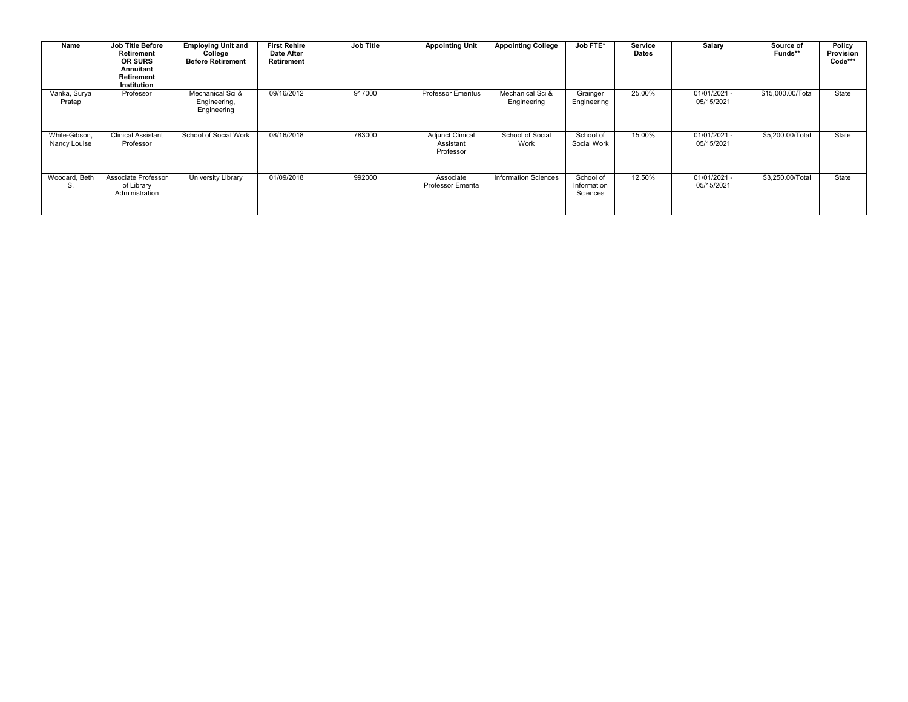| Name                          | <b>Job Title Before</b><br><b>Retirement</b><br><b>OR SURS</b><br>Annuitant<br><b>Retirement</b><br>Institution | <b>Employing Unit and</b><br>College<br><b>Before Retirement</b> | <b>First Rehire</b><br><b>Date After</b><br>Retirement | <b>Job Title</b> | <b>Appointing Unit</b>                            | <b>Appointing College</b>       | Job FTE*                             | Service<br><b>Dates</b> | Salary                       | Source of<br>Funds** | Policy<br>Provision<br>Code*** |
|-------------------------------|-----------------------------------------------------------------------------------------------------------------|------------------------------------------------------------------|--------------------------------------------------------|------------------|---------------------------------------------------|---------------------------------|--------------------------------------|-------------------------|------------------------------|----------------------|--------------------------------|
| Vanka, Surya<br>Pratap        | Professor                                                                                                       | Mechanical Sci &<br>Engineering,<br>Engineering                  | 09/16/2012                                             | 917000           | <b>Professor Emeritus</b>                         | Mechanical Sci &<br>Engineering | Grainger<br>Engineering              | 25.00%                  | 01/01/2021 -<br>05/15/2021   | \$15,000.00/Total    | State                          |
| White-Gibson,<br>Nancy Louise | <b>Clinical Assistant</b><br>Professor                                                                          | School of Social Work                                            | 08/16/2018                                             | 783000           | <b>Adjunct Clinical</b><br>Assistant<br>Professor | School of Social<br>Work        | School of<br>Social Work             | 15.00%                  | $01/01/2021 -$<br>05/15/2021 | \$5,200.00/Total     | State                          |
| Woodard, Beth<br>S.           | Associate Professor<br>of Library<br>Administration                                                             | University Library                                               | 01/09/2018                                             | 992000           | Associate<br>Professor Emerita                    | <b>Information Sciences</b>     | School of<br>Information<br>Sciences | 12.50%                  | 01/01/2021 -<br>05/15/2021   | \$3,250.00/Total     | State                          |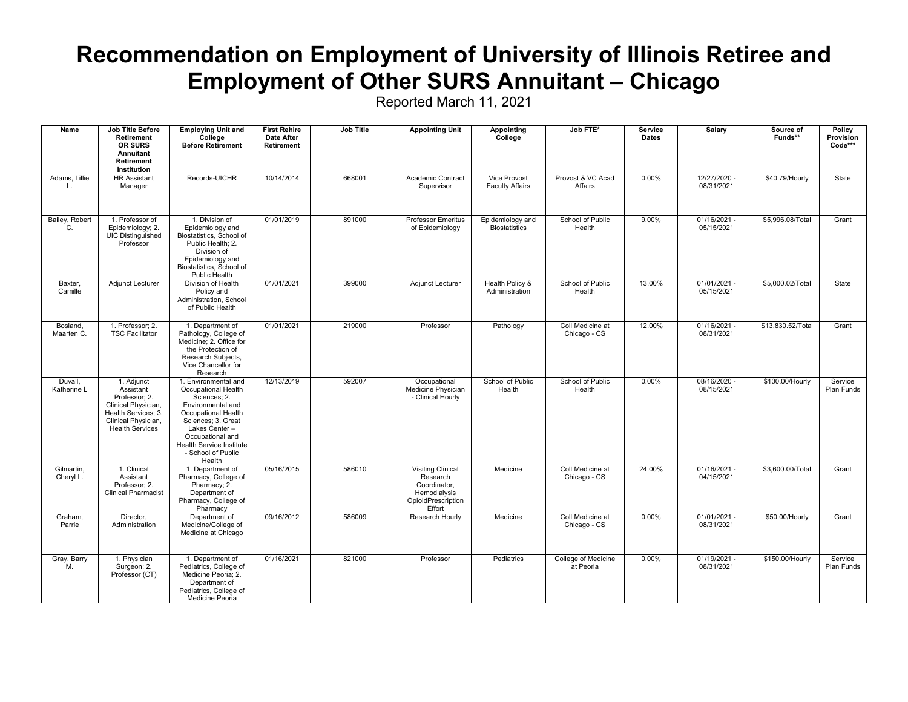#### **Recommendation on Employment of University of Illinois Retiree and Employment of Other SURS Annuitant – Chicago**

| Name                    | <b>Job Title Before</b><br>Retirement<br><b>OR SURS</b><br>Annuitant<br>Retirement<br>Institution                                       | <b>Employing Unit and</b><br>College<br><b>Before Retirement</b>                                                                                                                                                               | <b>First Rehire</b><br><b>Date After</b><br><b>Retirement</b> | <b>Job Title</b> | <b>Appointing Unit</b>                                                                                                                           | <b>Appointing</b><br>College             | Job FTE*                         |          | Salary                       | Source of<br>Funds** | Policy<br>Provision<br>Code***<br>State |
|-------------------------|-----------------------------------------------------------------------------------------------------------------------------------------|--------------------------------------------------------------------------------------------------------------------------------------------------------------------------------------------------------------------------------|---------------------------------------------------------------|------------------|--------------------------------------------------------------------------------------------------------------------------------------------------|------------------------------------------|----------------------------------|----------|------------------------------|----------------------|-----------------------------------------|
| Adams, Lillie<br>л.     | <b>HR Assistant</b><br>Manager                                                                                                          | Records-UICHR                                                                                                                                                                                                                  | 10/14/2014                                                    | 668001           | Vice Provost<br>Provost & VC Acad<br>0.00%<br>12/27/2020 -<br>Academic Contract<br><b>Faculty Affairs</b><br>Affairs<br>08/31/2021<br>Supervisor |                                          | \$40.79/Hourly                   |          |                              |                      |                                         |
| Bailey, Robert<br>C.    | 1. Professor of<br>Epidemiology; 2.<br>UIC Distinguished<br>Professor                                                                   | 1. Division of<br>Epidemiology and<br>Biostatistics, School of<br>Public Health: 2.<br>Division of<br>Epidemiology and<br>Biostatistics, School of<br>Public Health                                                            | 01/01/2019                                                    | 891000           | <b>Professor Emeritus</b><br>of Epidemiology                                                                                                     | Epidemiology and<br><b>Biostatistics</b> | School of Public<br>Health       | 9.00%    | $01/16/2021 -$<br>05/15/2021 | \$5,996.08/Total     | Grant                                   |
| Baxter,<br>Camille      | <b>Adjunct Lecturer</b>                                                                                                                 | Division of Health<br>Policy and<br>Administration, School<br>of Public Health                                                                                                                                                 | 01/01/2021                                                    | 399000           | Adjunct Lecturer                                                                                                                                 | Health Policy &<br>Administration        | School of Public<br>Health       | 13.00%   | $01/01/2021 -$<br>05/15/2021 | \$5,000.02/Total     | State                                   |
| Bosland,<br>Maarten C.  | 1. Professor; 2.<br><b>TSC Facilitator</b>                                                                                              | 1. Department of<br>Pathology, College of<br>Medicine; 2. Office for<br>the Protection of<br>Research Subjects,<br>Vice Chancellor for<br>Research                                                                             | 01/01/2021                                                    | 219000           | Professor                                                                                                                                        | Pathology                                | Coll Medicine at<br>Chicago - CS | 12.00%   | $01/16/2021 -$<br>08/31/2021 | \$13,830.52/Total    | Grant                                   |
| Duvall,<br>Katherine L  | 1. Adjunct<br>Assistant<br>Professor; 2.<br>Clinical Physician,<br>Health Services; 3.<br>Clinical Physician,<br><b>Health Services</b> | 1. Environmental and<br>Occupational Health<br>Sciences; 2.<br>Environmental and<br>Occupational Health<br>Sciences; 3. Great<br>Lakes Center-<br>Occupational and<br>Health Service Institute<br>- School of Public<br>Health | 12/13/2019                                                    | 592007           | Occupational<br>Medicine Physician<br>- Clinical Hourly                                                                                          | School of Public<br>Health               | School of Public<br>Health       | 0.00%    | 08/16/2020 -<br>08/15/2021   | \$100.00/Hourly      | Service<br>Plan Funds                   |
| Gilmartin.<br>Cheryl L. | 1. Clinical<br>Assistant<br>Professor: 2.<br><b>Clinical Pharmacist</b>                                                                 | 1. Department of<br>Pharmacy, College of<br>Pharmacy; 2.<br>Department of<br>Pharmacy, College of<br>Pharmacy                                                                                                                  | 05/16/2015                                                    | 586010           | <b>Visiting Clinical</b><br>Research<br>Coordinator.<br>Hemodialysis<br>OpioidPrescription<br>Effort                                             | Medicine                                 | Coll Medicine at<br>Chicago - CS | 24.00%   | $01/16/2021 -$<br>04/15/2021 | \$3,600.00/Total     | Grant                                   |
| Graham.<br>Parrie       | Director.<br>Administration                                                                                                             | Department of<br>Medicine/College of<br>Medicine at Chicago                                                                                                                                                                    | 09/16/2012                                                    | 586009           | Research Hourly                                                                                                                                  | Medicine                                 | Coll Medicine at<br>Chicago - CS | $0.00\%$ | $01/01/2021 -$<br>08/31/2021 | \$50.00/Hourly       | Grant                                   |
| Gray, Barry<br>M.       | 1. Physician<br>Surgeon; 2.<br>Professor (CT)                                                                                           | 1. Department of<br>Pediatrics, College of<br>Medicine Peoria; 2.<br>Department of<br>Pediatrics, College of<br>Medicine Peoria                                                                                                | 01/16/2021                                                    | 821000           | Professor                                                                                                                                        | Pediatrics                               | College of Medicine<br>at Peoria | 0.00%    | 01/19/2021 -<br>08/31/2021   | \$150.00/Hourly      | Service<br>Plan Funds                   |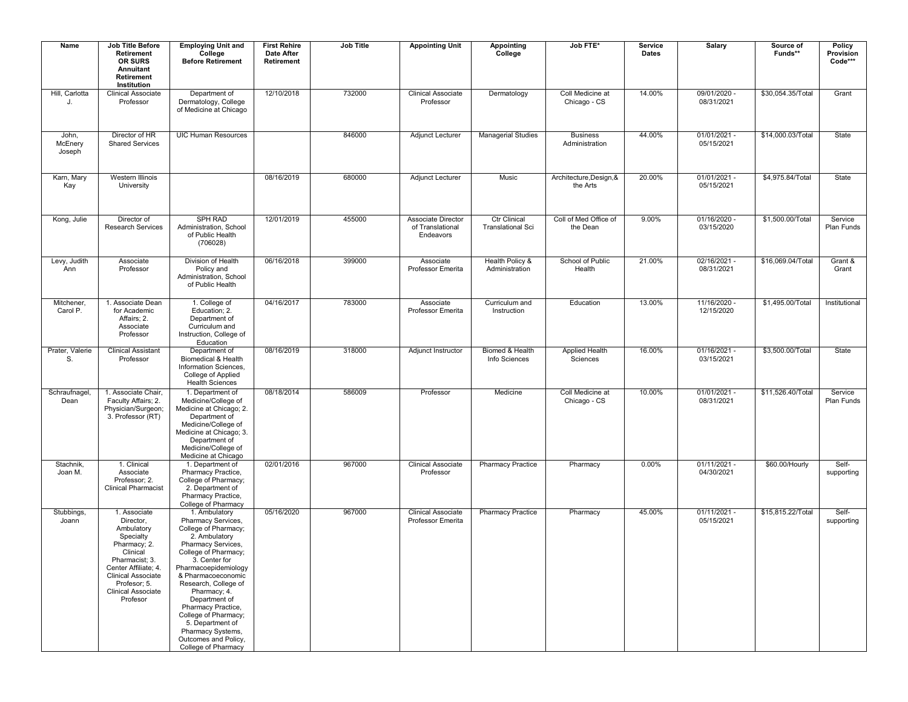| Name                       | <b>Job Title Before</b><br>Retirement<br><b>OR SURS</b><br>Annuitant<br><b>Retirement</b><br>Institution                                                                                                         | <b>Employing Unit and</b><br>College<br><b>Before Retirement</b>                                                                                                                                                                                                                                                                                                                         | <b>First Rehire</b><br><b>Date After</b><br>Retirement | Job Title | <b>Appointing Unit</b>                                                                                                            | <b>Appointing</b><br>College             | Job FTE*                            |                                      | Salary                                                      | Source of<br>Funds** | Policy<br>Provision<br>$Code***$ |
|----------------------------|------------------------------------------------------------------------------------------------------------------------------------------------------------------------------------------------------------------|------------------------------------------------------------------------------------------------------------------------------------------------------------------------------------------------------------------------------------------------------------------------------------------------------------------------------------------------------------------------------------------|--------------------------------------------------------|-----------|-----------------------------------------------------------------------------------------------------------------------------------|------------------------------------------|-------------------------------------|--------------------------------------|-------------------------------------------------------------|----------------------|----------------------------------|
| Hill, Carlotta<br>J.       | <b>Clinical Associate</b><br>Professor                                                                                                                                                                           | Department of<br>Dermatology, College<br>of Medicine at Chicago                                                                                                                                                                                                                                                                                                                          | 12/10/2018                                             | 732000    | Coll Medicine at<br>14.00%<br>09/01/2020 -<br><b>Clinical Associate</b><br>Dermatology<br>Professor<br>Chicago - CS<br>08/31/2021 |                                          | \$30,054.35/Total                   | Grant                                |                                                             |                      |                                  |
| John,<br>McEnery<br>Joseph | Director of HR<br><b>Shared Services</b>                                                                                                                                                                         | <b>UIC Human Resources</b>                                                                                                                                                                                                                                                                                                                                                               |                                                        | 846000    | 44.00%<br>$01/01/2021 -$<br>Adjunct Lecturer<br><b>Managerial Studies</b><br><b>Business</b><br>Administration<br>05/15/2021      |                                          | \$14,000.03/Total                   | State                                |                                                             |                      |                                  |
| Karn, Mary<br>Kay          | Western Illinois<br>University                                                                                                                                                                                   |                                                                                                                                                                                                                                                                                                                                                                                          | 08/16/2019                                             | 680000    | <b>Adjunct Lecturer</b>                                                                                                           | Music                                    | Architecture, Design, &<br>the Arts | 20.00%                               | 01/01/2021 -<br>05/15/2021                                  | \$4,975.84/Total     | State                            |
| Kong, Julie                | Director of<br><b>Research Services</b>                                                                                                                                                                          | <b>SPH RAD</b><br>Administration, School<br>of Public Health<br>(706028)                                                                                                                                                                                                                                                                                                                 | 12/01/2019                                             | 455000    | Associate Director<br>of Translational<br>Endeavors                                                                               | Ctr Clinical<br><b>Translational Sci</b> | Coll of Med Office of<br>the Dean   | 9.00%                                | 01/16/2020 -<br>03/15/2020                                  | \$1,500.00/Total     | Service<br>Plan Funds            |
| Levy, Judith<br>Ann        | Associate<br>Professor                                                                                                                                                                                           | Division of Health<br>Policy and<br>Administration, School<br>of Public Health                                                                                                                                                                                                                                                                                                           | 06/16/2018                                             | 399000    | Associate<br>Professor Emerita                                                                                                    | Health Policy &<br>Administration        | School of Public<br>Health          | 21.00%                               | 02/16/2021 -<br>08/31/2021                                  |                      | Grant &<br>Grant                 |
| Mitchener,<br>Carol P.     | 1. Associate Dean<br>for Academic<br>Affairs; 2.<br>Associate<br>Professor                                                                                                                                       | 1. College of<br>Education; 2.<br>Department of<br>Curriculum and<br>Instruction, College of<br>Education                                                                                                                                                                                                                                                                                | 04/16/2017                                             | 783000    | Associate<br>Professor Emerita                                                                                                    | Curriculum and<br>Instruction            | Education                           | 13.00%<br>11/16/2020 -<br>12/15/2020 |                                                             | \$1,495.00/Total     | Institutional                    |
| Prater, Valerie<br>S.      | <b>Clinical Assistant</b><br>Professor                                                                                                                                                                           | Department of<br>Biomedical & Health<br>Information Sciences.<br>College of Applied<br><b>Health Sciences</b>                                                                                                                                                                                                                                                                            | 08/16/2019                                             | 318000    | Adjunct Instructor                                                                                                                | Biomed & Health<br>Info Sciences         | <b>Applied Health</b><br>Sciences   | 16.00%                               | $01/16/2021 -$<br>03/15/2021                                | \$3,500.00/Total     | State                            |
| Schraufnagel,<br>Dean      | 1. Associate Chair,<br>Faculty Affairs; 2.<br>Physician/Surgeon;<br>3. Professor (RT)                                                                                                                            | 1. Department of<br>Medicine/College of<br>Medicine at Chicago; 2.<br>Department of<br>Medicine/College of<br>Medicine at Chicago; 3.<br>Department of<br>Medicine/College of<br>Medicine at Chicago                                                                                                                                                                                     | 08/18/2014                                             | 586009    | Professor                                                                                                                         | Medicine                                 | Coll Medicine at<br>Chicago - CS    |                                      | 10.00%<br>$01/01/2021 -$<br>\$11,526.40/Total<br>08/31/2021 |                      | Service<br>Plan Funds            |
| Stachnik,<br>Joan M.       | 1. Clinical<br>Associate<br>Professor; 2.<br><b>Clinical Pharmacist</b>                                                                                                                                          | 1. Department of<br>Pharmacy Practice,<br>College of Pharmacy;<br>2. Department of<br>Pharmacy Practice,<br>College of Pharmacy                                                                                                                                                                                                                                                          | 02/01/2016                                             | 967000    | <b>Clinical Associate</b><br>Professor                                                                                            | <b>Pharmacy Practice</b>                 | Pharmacy                            | 0.00%                                | $01/11/2021 -$<br>04/30/2021                                | \$60.00/Hourly       | Self-<br>supporting              |
| Stubbings,<br>Joann        | 1. Associate<br>Director,<br>Ambulatory<br>Specialty<br>Pharmacy; 2.<br>Clinical<br>Pharmacist; 3.<br>Center Affiliate; 4.<br><b>Clinical Associate</b><br>Profesor; 5.<br><b>Clinical Associate</b><br>Profesor | 1. Ambulatory<br>Pharmacy Services,<br>College of Pharmacy;<br>2. Ambulatory<br>Pharmacy Services,<br>College of Pharmacy;<br>3. Center for<br>Pharmacoepidemiology<br>& Pharmacoeconomic<br>Research, College of<br>Pharmacy; 4.<br>Department of<br>Pharmacy Practice,<br>College of Pharmacy;<br>5. Department of<br>Pharmacy Systems,<br>Outcomes and Policy,<br>College of Pharmacy | 05/16/2020                                             | 967000    | <b>Clinical Associate</b><br>Professor Emerita                                                                                    | <b>Pharmacy Practice</b>                 | Pharmacy                            | 45.00%                               | $01/11/2021 -$<br>05/15/2021                                | \$15,815.22/Total    | Self-<br>supporting              |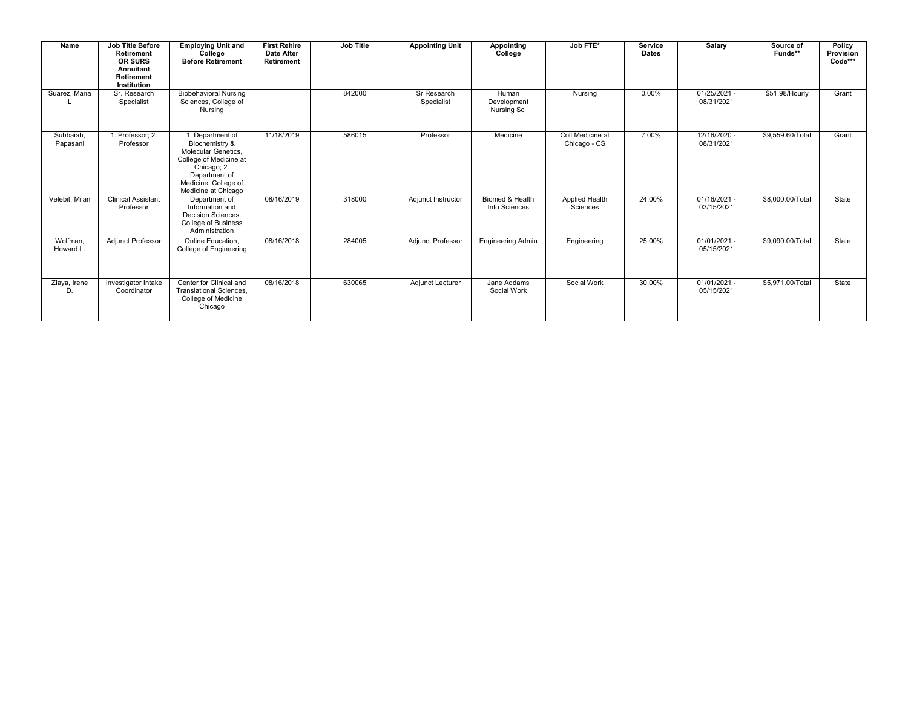| Name                  | <b>Job Title Before</b><br><b>Retirement</b><br><b>OR SURS</b><br>Annuitant<br><b>Retirement</b><br>Institution | <b>Employing Unit and</b><br>College<br><b>Before Retirement</b>                                                                                                   | <b>First Rehire</b><br><b>Date After</b><br><b>Retirement</b> | <b>Job Title</b> | <b>Appointing Unit</b>    | <b>Appointing</b><br>College               | Job FTE*                         | Service<br><b>Dates</b> | <b>Salary</b>                |                  | Policy<br>Provision<br>Code*** |
|-----------------------|-----------------------------------------------------------------------------------------------------------------|--------------------------------------------------------------------------------------------------------------------------------------------------------------------|---------------------------------------------------------------|------------------|---------------------------|--------------------------------------------|----------------------------------|-------------------------|------------------------------|------------------|--------------------------------|
| Suarez, Maria         | Sr. Research<br>Specialist                                                                                      | <b>Biobehavioral Nursing</b><br>Sciences, College of<br>Nursing                                                                                                    |                                                               | 842000           | Sr Research<br>Specialist | Human<br>Development<br><b>Nursing Sci</b> | Nursing                          | 0.00%                   | $01/25/2021 -$<br>08/31/2021 | \$51.98/Hourly   | Grant                          |
| Subbaiah,<br>Papasani | 1. Professor; 2.<br>Professor                                                                                   | 1. Department of<br>Biochemistry &<br>Molecular Genetics.<br>College of Medicine at<br>Chicago; 2.<br>Department of<br>Medicine, College of<br>Medicine at Chicago | 11/18/2019                                                    | 586015           | Professor                 | Medicine                                   | Coll Medicine at<br>Chicago - CS | 7.00%                   | 12/16/2020 -<br>08/31/2021   | \$9,559.60/Total | Grant                          |
| Velebit, Milan        | <b>Clinical Assistant</b><br>Professor                                                                          | Department of<br>Information and<br>Decision Sciences,<br>College of Business<br>Administration                                                                    | 08/16/2019                                                    | 318000           | Adjunct Instructor        | Biomed & Health<br>Info Sciences           | Applied Health<br>Sciences       | 24.00%                  | 01/16/2021 -<br>03/15/2021   | \$8,000.00/Total | State                          |
| Wolfman.<br>Howard L. | <b>Adjunct Professor</b>                                                                                        | Online Education.<br>College of Engineering                                                                                                                        | 08/16/2018                                                    | 284005           | <b>Adjunct Professor</b>  | <b>Engineering Admin</b>                   | Engineering                      | 25.00%                  | $01/01/2021 -$<br>05/15/2021 | \$9,090.00/Total | State                          |
| Ziaya, Irene<br>D.    | Investigator Intake<br>Coordinator                                                                              | Center for Clinical and<br>Translational Sciences,<br>College of Medicine<br>Chicago                                                                               | 08/16/2018                                                    | 630065           | Adjunct Lecturer          | Jane Addams<br>Social Work                 | Social Work                      | 30.00%                  | $01/01/2021 -$<br>05/15/2021 | \$5,971.00/Total | State                          |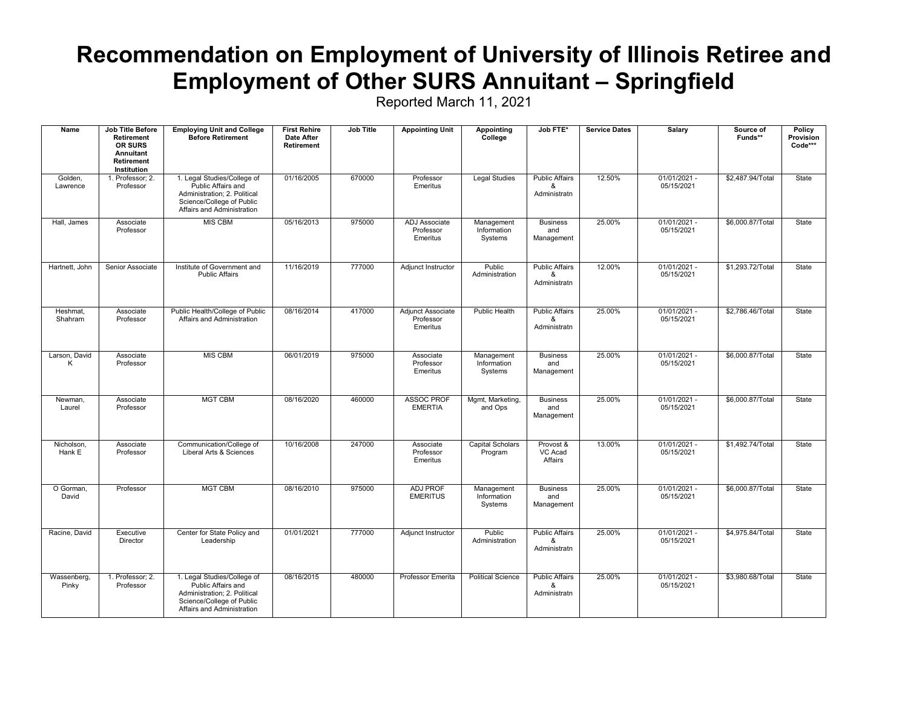#### **Recommendation on Employment of University of Illinois Retiree and Employment of Other SURS Annuitant – Springfield**

| Name                 | <b>Job Title Before</b><br>Retirement<br>OR SURS<br>Annuitant<br>Retirement<br>Institution | <b>Employing Unit and College</b><br><b>Before Retirement</b>                                                                                | <b>First Rehire</b><br><b>Date After</b><br>Retirement | <b>Job Title</b> | <b>Appointing Unit</b>                     | <b>Appointing</b><br>College         | Job FTE*                                   | <b>Service Dates</b> | <b>Salary</b>                | Source of<br>Funds** | Policy<br>Provision<br>Code*** |
|----------------------|--------------------------------------------------------------------------------------------|----------------------------------------------------------------------------------------------------------------------------------------------|--------------------------------------------------------|------------------|--------------------------------------------|--------------------------------------|--------------------------------------------|----------------------|------------------------------|----------------------|--------------------------------|
| Golden,<br>Lawrence  | 1. Professor; 2.<br>Professor                                                              | 1. Legal Studies/College of<br>Public Affairs and<br>Administration; 2. Political<br>Science/College of Public<br>Affairs and Administration | 01/16/2005                                             | 670000           | Professor<br>Emeritus                      | <b>Legal Studies</b>                 | <b>Public Affairs</b><br>&<br>Administratn | 12.50%               | 01/01/2021 -<br>05/15/2021   | \$2,487.94/Total     | State                          |
| Hall, James          | Associate<br>Professor                                                                     | <b>MIS CBM</b>                                                                                                                               | 05/16/2013                                             | 975000           | ADJ Associate<br>Professor<br>Emeritus     | Management<br>Information<br>Systems | <b>Business</b><br>and<br>Management       | 25.00%               | $01/01/2021 -$<br>05/15/2021 | \$6,000.87/Total     | State                          |
| Hartnett, John       | Senior Associate                                                                           | Institute of Government and<br><b>Public Affairs</b>                                                                                         | 11/16/2019                                             | 777000           | Adjunct Instructor                         | Public<br>Administration             | <b>Public Affairs</b><br>&<br>Administratn | 12.00%               | $01/01/2021 -$<br>05/15/2021 | \$1,293.72/Total     | State                          |
| Heshmat,<br>Shahram  | Associate<br>Professor                                                                     | Public Health/College of Public<br>Affairs and Administration                                                                                | 08/16/2014                                             | 417000           | Adjunct Associate<br>Professor<br>Emeritus | Public Health                        | <b>Public Affairs</b><br>&<br>Administratn | 25.00%               | $01/01/2021 -$<br>05/15/2021 | \$2,786.46/Total     | State                          |
| Larson, David<br>Κ   | Associate<br>Professor                                                                     | <b>MIS CBM</b>                                                                                                                               | 06/01/2019                                             | 975000           | Associate<br>Professor<br>Emeritus         | Management<br>Information<br>Systems | <b>Business</b><br>and<br>Management       | 25.00%               | $01/01/2021 -$<br>05/15/2021 | \$6,000.87/Total     | State                          |
| Newman,<br>Laurel    | Associate<br>Professor                                                                     | <b>MGT CBM</b>                                                                                                                               | 08/16/2020                                             | 460000           | <b>ASSOC PROF</b><br><b>EMERTIA</b>        | Mgmt, Marketing,<br>and Ops          | <b>Business</b><br>and<br>Management       | 25.00%               | $01/01/2021 -$<br>05/15/2021 | \$6,000.87/Total     | State                          |
| Nicholson,<br>Hank E | Associate<br>Professor                                                                     | Communication/College of<br>Liberal Arts & Sciences                                                                                          | 10/16/2008                                             | 247000           | Associate<br>Professor<br>Emeritus         | <b>Capital Scholars</b><br>Program   | Provost &<br>VC Acad<br>Affairs            | 13.00%               | $01/01/2021 -$<br>05/15/2021 | \$1,492.74/Total     | State                          |
| O Gorman,<br>David   | Professor                                                                                  | <b>MGT CBM</b>                                                                                                                               | 08/16/2010                                             | 975000           | <b>ADJ PROF</b><br><b>EMERITUS</b>         | Management<br>Information<br>Systems | <b>Business</b><br>and<br>Management       | 25.00%               | $01/01/2021 -$<br>05/15/2021 | \$6,000.87/Total     | State                          |
| Racine, David        | Executive<br>Director                                                                      | Center for State Policy and<br>Leadership                                                                                                    | 01/01/2021                                             | 777000           | Adjunct Instructor                         | Public<br>Administration             | <b>Public Affairs</b><br>&<br>Administratn | 25.00%               | $01/01/2021 -$<br>05/15/2021 | \$4,975.84/Total     | State                          |
| Wassenberg,<br>Pinky | 1. Professor; 2.<br>Professor                                                              | 1. Legal Studies/College of<br>Public Affairs and<br>Administration; 2. Political<br>Science/College of Public<br>Affairs and Administration | 08/16/2015                                             | 480000           | Professor Emerita                          | <b>Political Science</b>             | <b>Public Affairs</b><br>&<br>Administratn | 25.00%               | $01/01/2021 -$<br>05/15/2021 | \$3,980.68/Total     | State                          |